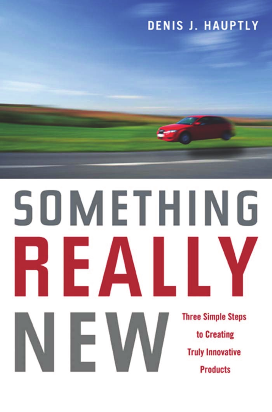### **DENIS J. HAUPTLY**

# **SOMETHING**  $\bm{\mathsf{F}}\bm{\Lambda}\bm{\mathsf{I}}$ L **Three Simple Steps** to Creating **Truly Innovative Products**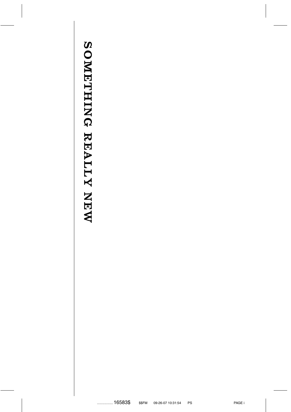# SOMETHING REALLY NEW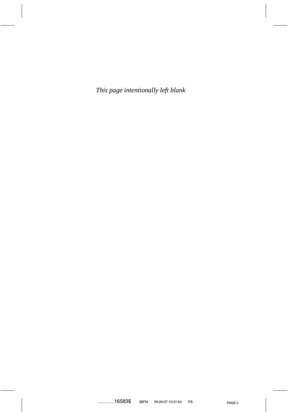This page intentionally left blank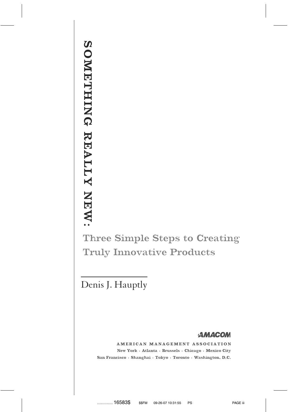# OON SOMETHING REALLY SAVIDED STATES SIMPLY SAVID REALLY SERVER AND REALLY SERVER WITH THE SIMPLE REALLY SERVER WITH  $\overline{\text{Denis } J. \text{ Hauptly}}$

Three Simple Steps to Creating Truly Innovative Products

### **AMACOM**

AMERICAN MANAGEMENT ASSOCIATION New York • Atlanta • Brussels • Chicago • Mexico City San Francisco • Shanghai • Tokyo • Toronto • Washington, D.C.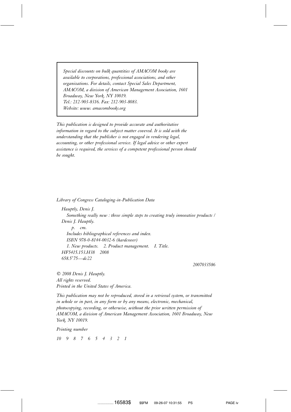*Special discounts on bulk quantities of AMACOM books are available to corporations, professional associations, and other organizations. For details, contact Special Sales Department, AMACOM, a division of American Management Association, 1601 Broadway, New York, NY 10019. Tel.: 212-903-8316. Fax: 212-903-8083. Website: www. amacombooks.org*

*This publication is designed to provide accurate and authoritative information in regard to the subject matter covered. It is sold with the understanding that the publisher is not engaged in rendering legal, accounting, or other professional service. If legal advice or other expert assistance is required, the services of a competent professional person should be sought.*

*Library of Congress Cataloging-in-Publication Data*

*Hauptly, Denis J. Something really new : three simple steps to creating truly innovative products / Denis J. Hauptly. p. cm. Includes bibliographical references and index. ISBN 978-0-8144-0032-6 (hardcover) 1. New products. 2. Product management. I. Title. HF5415.153.H38 2008 658.5*-*75—dc22*

*2007033586*

- *2008 Denis J. Hauptly. All rights reserved. Printed in the United States of America.*

*This publication may not be reproduced, stored in a retrieval system, or transmitted in whole or in part, in any form or by any means, electronic, mechanical, photocopying, recording, or otherwise, without the prior written permission of AMACOM, a division of American Management Association, 1601 Broadway, New York, NY 10019.*

*Printing number*

*10 9 8 7 6 5 4 3 2 1*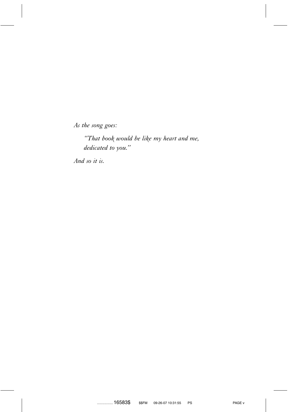*As the song goes:*

*''That book would be like my heart and me, dedicated to you.''*

*And so it is.*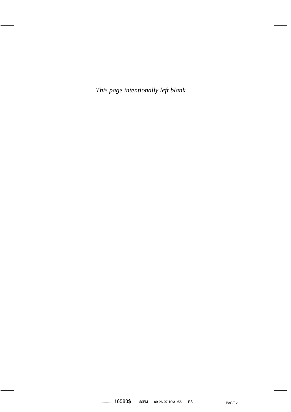This page intentionally left blank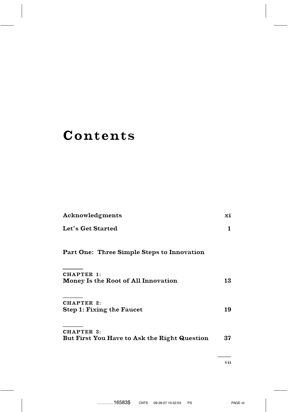

# Contents

| Acknowledgments                                                   | xi |
|-------------------------------------------------------------------|----|
| Let's Get Started                                                 | 1  |
| Part One: Three Simple Steps to Innovation                        |    |
| CHAPTER 1:<br>Money Is the Root of All Innovation                 | 13 |
| CHAPTER 2:<br><b>Step 1: Fixing the Faucet</b>                    | 19 |
| <b>CHAPTER 3:</b><br>But First You Have to Ask the Right Question | 37 |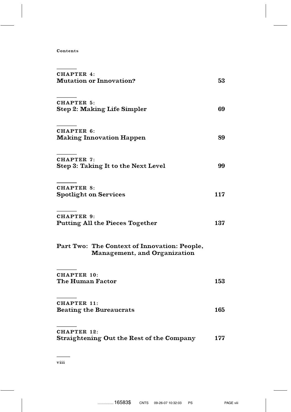### Contents

 $\frac{1}{1} \left( \frac{1}{1} \right)^{2} \left( \frac{1}{1} \right)^{2} \left( \frac{1}{1} \right)^{2} \left( \frac{1}{1} \right)^{2} \left( \frac{1}{1} \right)^{2} \left( \frac{1}{1} \right)^{2} \left( \frac{1}{1} \right)^{2} \left( \frac{1}{1} \right)^{2} \left( \frac{1}{1} \right)^{2} \left( \frac{1}{1} \right)^{2} \left( \frac{1}{1} \right)^{2} \left( \frac{1}{1} \right)^{2} \left( \frac{1}{1} \right)^{2} \left( \frac$ 

| <b>CHAPTER 4:</b><br><b>Mutation or Innovation?</b>                          | 53  |
|------------------------------------------------------------------------------|-----|
| <b>CHAPTER 5:</b><br>Step 2: Making Life Simpler                             | 69  |
| CHAPTER 6:<br><b>Making Innovation Happen</b>                                | 89  |
| <b>CHAPTER 7:</b><br>Step 3: Taking It to the Next Level                     | 99  |
| CHAPTER 8:<br><b>Spotlight on Services</b>                                   | 117 |
| <b>CHAPTER 9:</b><br><b>Putting All the Pieces Together</b>                  | 137 |
| Part Two: The Context of Innovation: People,<br>Management, and Organization |     |
| <b>CHAPTER 10:</b><br>The Human Factor                                       | 153 |
| <b>CHAPTER 11:</b><br><b>Beating the Bureaucrats</b>                         | 165 |
| <b>CHAPTER 12:</b><br>Straightening Out the Rest of the Company              | 177 |

.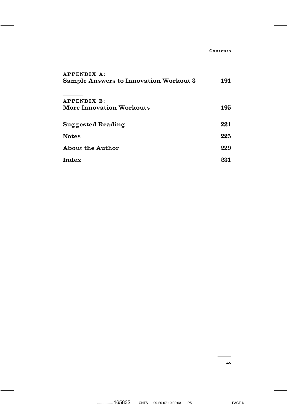| APPENDIX A:                                   |     |
|-----------------------------------------------|-----|
| <b>Sample Answers to Innovation Workout 3</b> | 191 |
|                                               |     |
| <b>APPENDIX B:</b>                            |     |
| <b>More Innovation Workouts</b>               | 195 |
| <b>Suggested Reading</b>                      | 221 |
| <b>Notes</b>                                  | 225 |
| <b>About the Author</b>                       | 229 |
| Index                                         | 231 |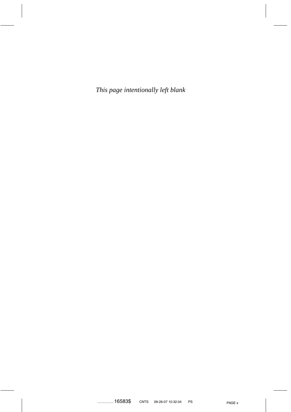This page intentionally left blank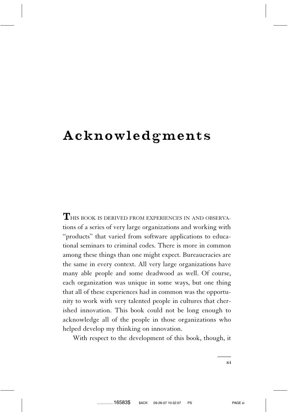# Acknowledgments

**his book is derived from experiences in and observa**tions of a series of very large organizations and working with "products" that varied from software applications to educational seminars to criminal codes. There is more in common among these things than one might expect. Bureaucracies are the same in every context. All very large organizations have many able people and some deadwood as well. Of course, each organization was unique in some ways, but one thing that all of these experiences had in common was the opportunity to work with very talented people in cultures that cherished innovation. This book could not be long enough to acknowledge all of the people in those organizations who helped develop my thinking on innovation.

With respect to the development of this book, though, it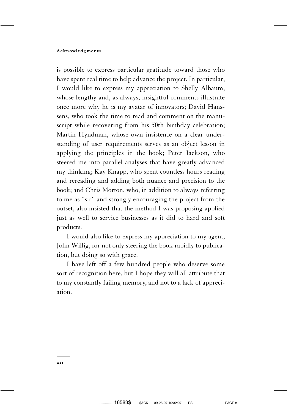### Acknowledgments

is possible to express particular gratitude toward those who have spent real time to help advance the project. In particular, I would like to express my appreciation to Shelly Albaum, whose lengthy and, as always, insightful comments illustrate once more why he is my avatar of innovators; David Hanssens, who took the time to read and comment on the manuscript while recovering from his 50th birthday celebration; Martin Hyndman, whose own insistence on a clear understanding of user requirements serves as an object lesson in applying the principles in the book; Peter Jackson, who steered me into parallel analyses that have greatly advanced my thinking; Kay Knapp, who spent countless hours reading and rereading and adding both nuance and precision to the book; and Chris Morton, who, in addition to always referring to me as ''sir'' and strongly encouraging the project from the outset, also insisted that the method I was proposing applied just as well to service businesses as it did to hard and soft products.

I would also like to express my appreciation to my agent, John Willig, for not only steering the book rapidly to publication, but doing so with grace.

I have left off a few hundred people who deserve some sort of recognition here, but I hope they will all attribute that to my constantly failing memory, and not to a lack of appreciation.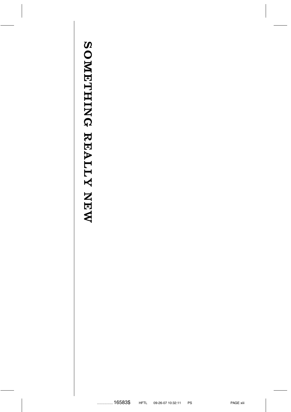# SOMETHING REALLY NEW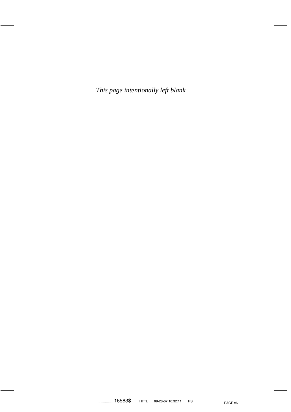*This page intentionally left blank*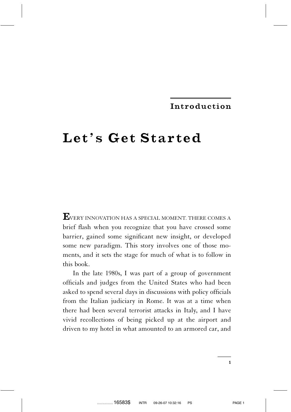## Let's Get Started

 ${\bf E}$ very innovation has a special moment. There comes a brief flash when you recognize that you have crossed some barrier, gained some significant new insight, or developed some new paradigm. This story involves one of those moments, and it sets the stage for much of what is to follow in this book.

In the late 1980s, I was part of a group of government officials and judges from the United States who had been asked to spend several days in discussions with policy officials from the Italian judiciary in Rome. It was at a time when there had been several terrorist attacks in Italy, and I have vivid recollections of being picked up at the airport and driven to my hotel in what amounted to an armored car, and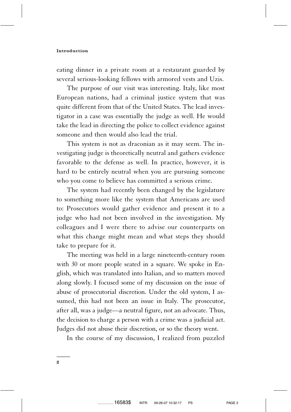eating dinner in a private room at a restaurant guarded by several serious-looking fellows with armored vests and Uzis.

The purpose of our visit was interesting. Italy, like most European nations, had a criminal justice system that was quite different from that of the United States. The lead investigator in a case was essentially the judge as well. He would take the lead in directing the police to collect evidence against someone and then would also lead the trial.

This system is not as draconian as it may seem. The investigating judge is theoretically neutral and gathers evidence favorable to the defense as well. In practice, however, it is hard to be entirely neutral when you are pursuing someone who you come to believe has committed a serious crime.

The system had recently been changed by the legislature to something more like the system that Americans are used to: Prosecutors would gather evidence and present it to a judge who had not been involved in the investigation. My colleagues and I were there to advise our counterparts on what this change might mean and what steps they should take to prepare for it.

The meeting was held in a large nineteenth-century room with 30 or more people seated in a square. We spoke in English, which was translated into Italian, and so matters moved along slowly. I focused some of my discussion on the issue of abuse of prosecutorial discretion. Under the old system, I assumed, this had not been an issue in Italy. The prosecutor, after all, was a judge—a neutral figure, not an advocate. Thus, the decision to charge a person with a crime was a judicial act. Judges did not abuse their discretion, or so the theory went.

In the course of my discussion, I realized from puzzled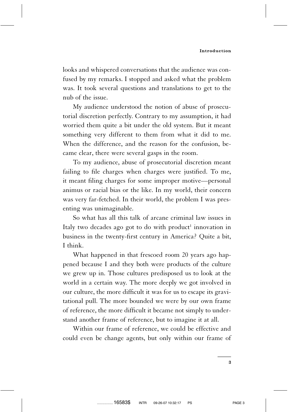looks and whispered conversations that the audience was confused by my remarks. I stopped and asked what the problem was. It took several questions and translations to get to the nub of the issue.

My audience understood the notion of abuse of prosecutorial discretion perfectly. Contrary to my assumption, it had worried them quite a bit under the old system. But it meant something very different to them from what it did to me. When the difference, and the reason for the confusion, became clear, there were several gasps in the room.

To my audience, abuse of prosecutorial discretion meant failing to file charges when charges were justified. To me, it meant filing charges for some improper motive—personal animus or racial bias or the like. In my world, their concern was very far-fetched. In their world, the problem I was presenting was unimaginable.

So what has all this talk of arcane criminal law issues in Italy two decades ago got to do with product<sup>1</sup> innovation in business in the twenty-first century in America? Quite a bit, I think.

What happened in that frescoed room 20 years ago happened because I and they both were products of the culture we grew up in. Those cultures predisposed us to look at the world in a certain way. The more deeply we got involved in our culture, the more difficult it was for us to escape its gravitational pull. The more bounded we were by our own frame of reference, the more difficult it became not simply to understand another frame of reference, but to imagine it at all.

Within our frame of reference, we could be effective and could even be change agents, but only within our frame of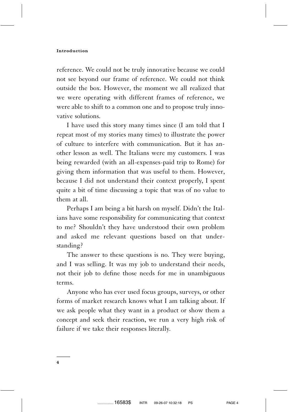reference. We could not be truly innovative because we could not see beyond our frame of reference. We could not think outside the box. However, the moment we all realized that we were operating with different frames of reference, we were able to shift to a common one and to propose truly innovative solutions.

I have used this story many times since (I am told that I repeat most of my stories many times) to illustrate the power of culture to interfere with communication. But it has another lesson as well. The Italians were my customers. I was being rewarded (with an all-expenses-paid trip to Rome) for giving them information that was useful to them. However, because I did not understand their context properly, I spent quite a bit of time discussing a topic that was of no value to them at all.

Perhaps I am being a bit harsh on myself. Didn't the Italians have some responsibility for communicating that context to me? Shouldn't they have understood their own problem and asked me relevant questions based on that understanding?

The answer to these questions is no. They were buying, and I was selling. It was my job to understand their needs, not their job to define those needs for me in unambiguous terms.

Anyone who has ever used focus groups, surveys, or other forms of market research knows what I am talking about. If we ask people what they want in a product or show them a concept and seek their reaction, we run a very high risk of failure if we take their responses literally.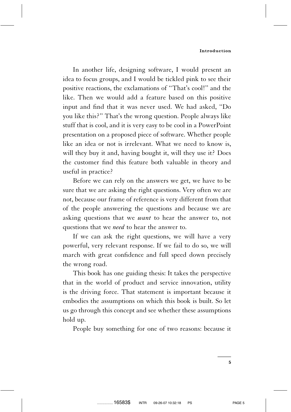In another life, designing software, I would present an idea to focus groups, and I would be tickled pink to see their positive reactions, the exclamations of ''That's cool!'' and the like. Then we would add a feature based on this positive input and find that it was never used. We had asked, ''Do you like this?'' That's the wrong question. People always like stuff that is cool, and it is very easy to be cool in a PowerPoint presentation on a proposed piece of software. Whether people like an idea or not is irrelevant. What we need to know is, will they buy it and, having bought it, will they use it? Does the customer find this feature both valuable in theory and useful in practice?

Before we can rely on the answers we get, we have to be sure that we are asking the right questions. Very often we are not, because our frame of reference is very different from that of the people answering the questions and because we are asking questions that we *want* to hear the answer to, not questions that we *need* to hear the answer to.

If we can ask the right questions, we will have a very powerful, very relevant response. If we fail to do so, we will march with great confidence and full speed down precisely the wrong road.

This book has one guiding thesis: It takes the perspective that in the world of product and service innovation, utility is the driving force. That statement is important because it embodies the assumptions on which this book is built. So let us go through this concept and see whether these assumptions hold up.

People buy something for one of two reasons: because it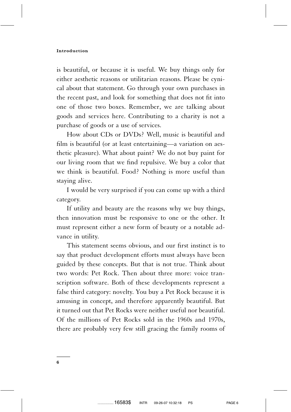is beautiful, or because it is useful. We buy things only for either aesthetic reasons or utilitarian reasons. Please be cynical about that statement. Go through your own purchases in the recent past, and look for something that does not fit into one of those two boxes. Remember, we are talking about goods and services here. Contributing to a charity is not a purchase of goods or a use of services.

How about CDs or DVDs? Well, music is beautiful and film is beautiful (or at least entertaining—a variation on aesthetic pleasure). What about paint? We do not buy paint for our living room that we find repulsive. We buy a color that we think is beautiful. Food? Nothing is more useful than staying alive.

I would be very surprised if you can come up with a third category.

If utility and beauty are the reasons why we buy things, then innovation must be responsive to one or the other. It must represent either a new form of beauty or a notable advance in utility.

This statement seems obvious, and our first instinct is to say that product development efforts must always have been guided by these concepts. But that is not true. Think about two words: Pet Rock. Then about three more: voice transcription software. Both of these developments represent a false third category: novelty. You buy a Pet Rock because it is amusing in concept, and therefore apparently beautiful. But it turned out that Pet Rocks were neither useful nor beautiful. Of the millions of Pet Rocks sold in the 1960s and 1970s, there are probably very few still gracing the family rooms of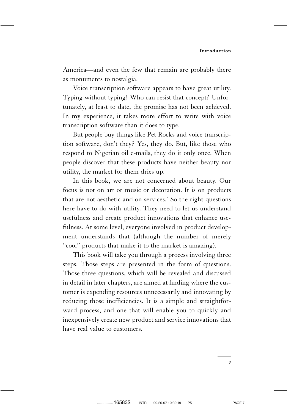America—and even the few that remain are probably there as monuments to nostalgia.

Voice transcription software appears to have great utility. Typing without typing! Who can resist that concept? Unfortunately, at least to date, the promise has not been achieved. In my experience, it takes more effort to write with voice transcription software than it does to type.

But people buy things like Pet Rocks and voice transcription software, don't they? Yes, they do. But, like those who respond to Nigerian oil e-mails, they do it only once. When people discover that these products have neither beauty nor utility, the market for them dries up.

In this book, we are not concerned about beauty. Our focus is not on art or music or decoration. It is on products that are not aesthetic and on services.<sup>2</sup> So the right questions here have to do with utility. They need to let us understand usefulness and create product innovations that enhance usefulness. At some level, everyone involved in product development understands that (although the number of merely "cool" products that make it to the market is amazing).

This book will take you through a process involving three steps. Those steps are presented in the form of questions. Those three questions, which will be revealed and discussed in detail in later chapters, are aimed at finding where the customer is expending resources unnecessarily and innovating by reducing those inefficiencies. It is a simple and straightforward process, and one that will enable you to quickly and inexpensively create new product and service innovations that have real value to customers.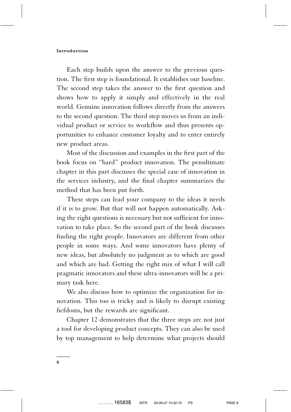Each step builds upon the answer to the previous question. The first step is foundational. It establishes our baseline. The second step takes the answer to the first question and shows how to apply it simply and effectively in the real world. Genuine innovation follows directly from the answers to the second question. The third step moves us from an individual product or service to workflow and thus presents opportunities to enhance customer loyalty and to enter entirely new product areas.

Most of the discussion and examples in the first part of the book focus on ''hard'' product innovation. The penultimate chapter in this part discusses the special case of innovation in the services industry, and the final chapter summarizes the method that has been put forth.

These steps can lead your company to the ideas it needs if it is to grow. But that will not happen automatically. Asking the right questions is necessary but not sufficient for innovation to take place. So the second part of the book discusses finding the right people. Innovators are different from other people in some ways. And some innovators have plenty of new ideas, but absolutely no judgment as to which are good and which are bad. Getting the right mix of what I will call pragmatic innovators and these ultra-innovators will be a primary task here.

We also discuss how to optimize the organization for innovation. This too is tricky and is likely to disrupt existing fiefdoms, but the rewards are significant.

Chapter 12 demonstrates that the three steps are not just a tool for developing product concepts. They can also be used by top management to help determine what projects should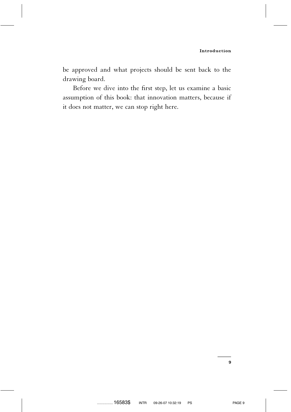be approved and what projects should be sent back to the drawing board.

Before we dive into the first step, let us examine a basic assumption of this book: that innovation matters, because if it does not matter, we can stop right here.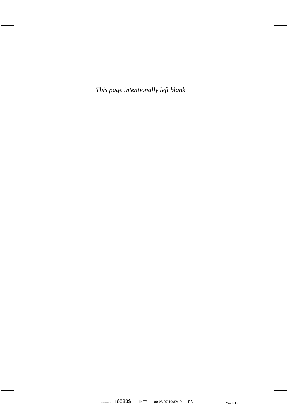*This page intentionally left blank*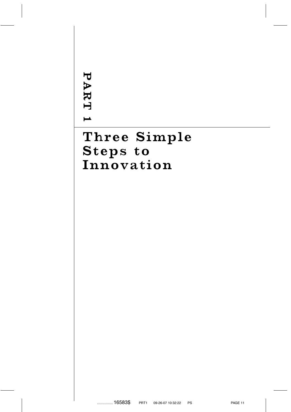# PART  $\overline{\phantom{1}}$

# Three Simple Steps to<br>Innovation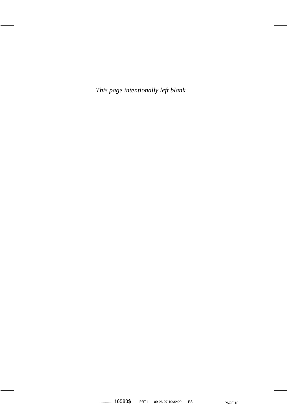This page intentionally left blank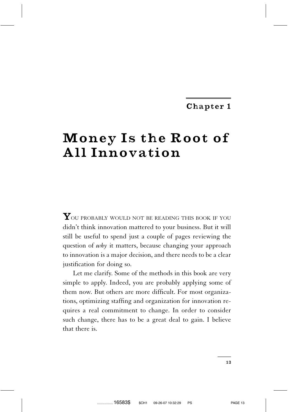Chapter 1

# Money Is the Root of All Innovation

 $\mathbf{Y}_\textnormal{OU}$  probably would not be reading this book if you didn't think innovation mattered to your business. But it will still be useful to spend just a couple of pages reviewing the question of *why* it matters, because changing your approach to innovation is a major decision, and there needs to be a clear justification for doing so.

Let me clarify. Some of the methods in this book are very simple to apply. Indeed, you are probably applying some of them now. But others are more difficult. For most organizations, optimizing staffing and organization for innovation requires a real commitment to change. In order to consider such change, there has to be a great deal to gain. I believe that there is.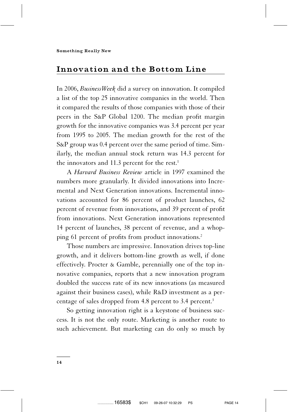### Innovation and the Bottom Line

In 2006, *BusinessWeek* did a survey on innovation. It compiled a list of the top 25 innovative companies in the world. Then it compared the results of those companies with those of their peers in the S&P Global 1200. The median profit margin growth for the innovative companies was 3.4 percent per year from 1995 to 2005. The median growth for the rest of the S&P group was 0.4 percent over the same period of time. Similarly, the median annual stock return was 14.3 percent for the innovators and 11.3 percent for the rest.<sup>1</sup>

A *Harvard Business Review* article in 1997 examined the numbers more granularly. It divided innovations into Incremental and Next Generation innovations. Incremental innovations accounted for 86 percent of product launches, 62 percent of revenue from innovations, and 39 percent of profit from innovations. Next Generation innovations represented 14 percent of launches, 38 percent of revenue, and a whopping 61 percent of profits from product innovations.<sup>2</sup>

Those numbers are impressive. Innovation drives top-line growth, and it delivers bottom-line growth as well, if done effectively. Procter & Gamble, perennially one of the top innovative companies, reports that a new innovation program doubled the success rate of its new innovations (as measured against their business cases), while R&D investment as a percentage of sales dropped from 4.8 percent to 3.4 percent.3

So getting innovation right is a keystone of business success. It is not the only route. Marketing is another route to such achievement. But marketing can do only so much by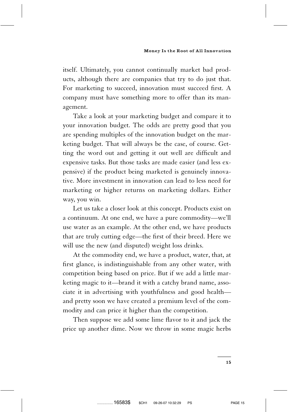itself. Ultimately, you cannot continually market bad products, although there are companies that try to do just that. For marketing to succeed, innovation must succeed first. A company must have something more to offer than its management.

Take a look at your marketing budget and compare it to your innovation budget. The odds are pretty good that you are spending multiples of the innovation budget on the marketing budget. That will always be the case, of course. Getting the word out and getting it out well are difficult and expensive tasks. But those tasks are made easier (and less expensive) if the product being marketed is genuinely innovative. More investment in innovation can lead to less need for marketing or higher returns on marketing dollars. Either way, you win.

Let us take a closer look at this concept. Products exist on a continuum. At one end, we have a pure commodity—we'll use water as an example. At the other end, we have products that are truly cutting edge—the first of their breed. Here we will use the new (and disputed) weight loss drinks.

At the commodity end, we have a product, water, that, at first glance, is indistinguishable from any other water, with competition being based on price. But if we add a little marketing magic to it—brand it with a catchy brand name, associate it in advertising with youthfulness and good health and pretty soon we have created a premium level of the commodity and can price it higher than the competition.

Then suppose we add some lime flavor to it and jack the price up another dime. Now we throw in some magic herbs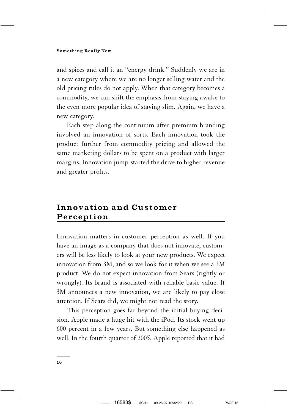and spices and call it an ''energy drink.'' Suddenly we are in a new category where we are no longer selling water and the old pricing rules do not apply. When that category becomes a commodity, we can shift the emphasis from staying awake to the even more popular idea of staying slim. Again, we have a new category.

Each step along the continuum after premium branding involved an innovation of sorts. Each innovation took the product further from commodity pricing and allowed the same marketing dollars to be spent on a product with larger margins. Innovation jump-started the drive to higher revenue and greater profits.

### Innovation and Customer Perception

Innovation matters in customer perception as well. If you have an image as a company that does not innovate, customers will be less likely to look at your new products. We expect innovation from 3M, and so we look for it when we see a 3M product. We do not expect innovation from Sears (rightly or wrongly). Its brand is associated with reliable basic value. If 3M announces a new innovation, we are likely to pay close attention. If Sears did, we might not read the story.

This perception goes far beyond the initial buying decision. Apple made a huge hit with the iPod. Its stock went up 600 percent in a few years. But something else happened as well. In the fourth quarter of 2005, Apple reported that it had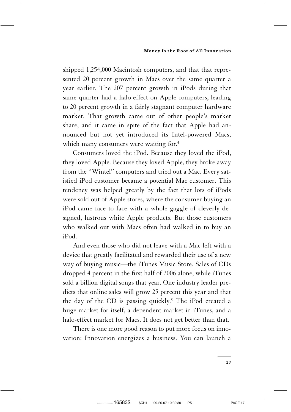shipped 1,254,000 Macintosh computers, and that that represented 20 percent growth in Macs over the same quarter a year earlier. The 207 percent growth in iPods during that same quarter had a halo effect on Apple computers, leading to 20 percent growth in a fairly stagnant computer hardware market. That growth came out of other people's market share, and it came in spite of the fact that Apple had announced but not yet introduced its Intel-powered Macs, which many consumers were waiting for.<sup>4</sup>

Consumers loved the iPod. Because they loved the iPod, they loved Apple. Because they loved Apple, they broke away from the ''Wintel'' computers and tried out a Mac. Every satisfied iPod customer became a potential Mac customer. This tendency was helped greatly by the fact that lots of iPods were sold out of Apple stores, where the consumer buying an iPod came face to face with a whole gaggle of cleverly designed, lustrous white Apple products. But those customers who walked out with Macs often had walked in to buy an iPod.

And even those who did not leave with a Mac left with a device that greatly facilitated and rewarded their use of a new way of buying music—the iTunes Music Store. Sales of CDs dropped 4 percent in the first half of 2006 alone, while iTunes sold a billion digital songs that year. One industry leader predicts that online sales will grow 25 percent this year and that the day of the CD is passing quickly.<sup>5</sup> The iPod created a huge market for itself, a dependent market in iTunes, and a halo-effect market for Macs. It does not get better than that.

There is one more good reason to put more focus on innovation: Innovation energizes a business. You can launch a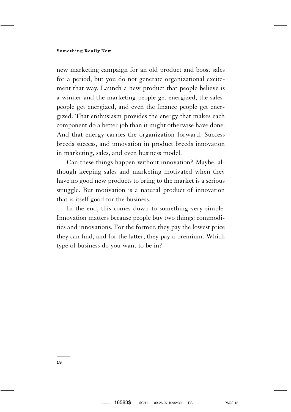new marketing campaign for an old product and boost sales for a period, but you do not generate organizational excitement that way. Launch a new product that people believe is a winner and the marketing people get energized, the salespeople get energized, and even the finance people get energized. That enthusiasm provides the energy that makes each component do a better job than it might otherwise have done. And that energy carries the organization forward. Success breeds success, and innovation in product breeds innovation in marketing, sales, and even business model.

Can these things happen without innovation? Maybe, although keeping sales and marketing motivated when they have no good new products to bring to the market is a serious struggle. But motivation is a natural product of innovation that is itself good for the business.

In the end, this comes down to something very simple. Innovation matters because people buy two things: commodities and innovations. For the former, they pay the lowest price they can find, and for the latter, they pay a premium. Which type of business do you want to be in?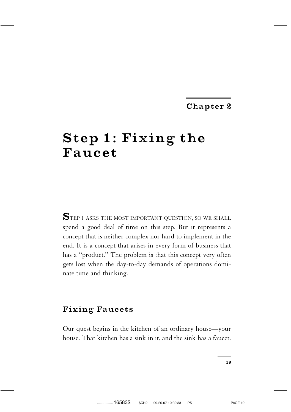### Chapter 2

# Step 1: Fixing the Faucet

STEP 1 ASKS THE MOST IMPORTANT QUESTION, SO WE SHALL spend a good deal of time on this step. But it represents a concept that is neither complex nor hard to implement in the end. It is a concept that arises in every form of business that has a ''product.'' The problem is that this concept very often gets lost when the day-to-day demands of operations dominate time and thinking.

### Fixing Faucets

Our quest begins in the kitchen of an ordinary house—your house. That kitchen has a sink in it, and the sink has a faucet.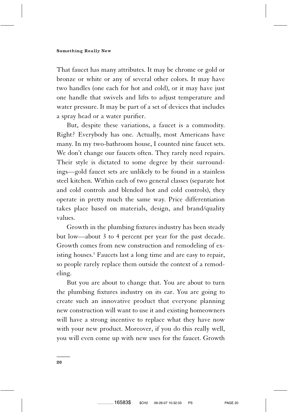That faucet has many attributes. It may be chrome or gold or bronze or white or any of several other colors. It may have two handles (one each for hot and cold), or it may have just one handle that swivels and lifts to adjust temperature and water pressure. It may be part of a set of devices that includes a spray head or a water purifier.

But, despite these variations, a faucet is a commodity. Right? Everybody has one. Actually, most Americans have many. In my two-bathroom house, I counted nine faucet sets. We don't change our faucets often. They rarely need repairs. Their style is dictated to some degree by their surroundings—gold faucet sets are unlikely to be found in a stainless steel kitchen. Within each of two general classes (separate hot and cold controls and blended hot and cold controls), they operate in pretty much the same way. Price differentiation takes place based on materials, design, and brand/quality values.

Growth in the plumbing fixtures industry has been steady but low—about 3 to 4 percent per year for the past decade. Growth comes from new construction and remodeling of existing houses.<sup>1</sup> Faucets last a long time and are easy to repair, so people rarely replace them outside the context of a remodeling.

But you are about to change that. You are about to turn the plumbing fixtures industry on its ear. You are going to create such an innovative product that everyone planning new construction will want to use it and existing homeowners will have a strong incentive to replace what they have now with your new product. Moreover, if you do this really well, you will even come up with new uses for the faucet. Growth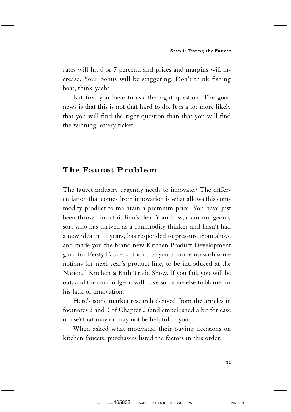rates will hit 6 or 7 percent, and prices and margins will increase. Your bonus will be staggering. Don't think fishing boat, think yacht.

But first you have to ask the right question. The good news is that this is not that hard to do. It is a lot more likely that you will find the right question than that you will find the winning lottery ticket.

### The Faucet Problem

The faucet industry urgently needs to innovate.<sup>2</sup> The differentiation that comes from innovation is what allows this commodity product to maintain a premium price. You have just been thrown into this lion's den. Your boss, a curmudgeonly sort who has thrived as a commodity thinker and hasn't had a new idea in 11 years, has responded to pressure from above and made you the brand new Kitchen Product Development guru for Feisty Faucets. It is up to you to come up with some notions for next year's product line, to be introduced at the National Kitchen & Bath Trade Show. If you fail, you will be out, and the curmudgeon will have someone else to blame for his lack of innovation.

Here's some market research derived from the articles in footnotes 2 and 3 of Chapter 2 (and embellished a bit for ease of use) that may or may not be helpful to you.

When asked what motivated their buying decisions on kitchen faucets, purchasers listed the factors in this order: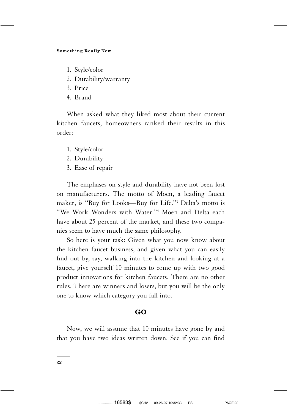- 1. Style/color
- 2. Durability/warranty
- 3. Price
- 4. Brand

When asked what they liked most about their current kitchen faucets, homeowners ranked their results in this order:

- 1. Style/color
- 2. Durability
- 3. Ease of repair

The emphases on style and durability have not been lost on manufacturers. The motto of Moen, a leading faucet maker, is ''Buy for Looks—Buy for Life.''3 Delta's motto is ''We Work Wonders with Water.''4 Moen and Delta each have about 25 percent of the market, and these two companies seem to have much the same philosophy.

So here is your task: Given what you now know about the kitchen faucet business, and given what you can easily find out by, say, walking into the kitchen and looking at a faucet, give yourself 10 minutes to come up with two good product innovations for kitchen faucets. There are no other rules. There are winners and losers, but you will be the only one to know which category you fall into.

#### GO

Now, we will assume that 10 minutes have gone by and that you have two ideas written down. See if you can find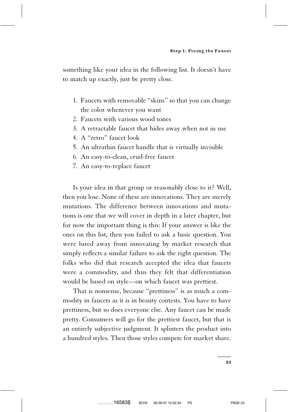something like your idea in the following list. It doesn't have to match up exactly, just be pretty close.

- 1. Faucets with removable ''skins'' so that you can change the color whenever you want
- 2. Faucets with various wood tones
- 3. A retractable faucet that hides away when not in use
- 4. A ''retro'' faucet look
- 5. An ultrathin faucet handle that is virtually invisible
- 6. An easy-to-clean, crud-free faucet
- 7. An easy-to-replace faucet

Is your idea in that group or reasonably close to it? Well, then you lose. None of these are innovations. They are merely mutations. The difference between innovations and mutations is one that we will cover in depth in a later chapter, but for now the important thing is this: If your answer is like the ones on this list, then you failed to ask a basic question. You were lured away from innovating by market research that simply reflects a similar failure to ask the right question. The folks who did that research accepted the idea that faucets were a commodity, and thus they felt that differentiation would be based on style—on which faucet was prettiest.

That is nonsense, because "prettiness" is as much a commodity in faucets as it is in beauty contests. You have to have prettiness, but so does everyone else. Any faucet can be made pretty. Consumers will go for the prettiest faucet, but that is an entirely subjective judgment. It splinters the product into a hundred styles. Then those styles compete for market share.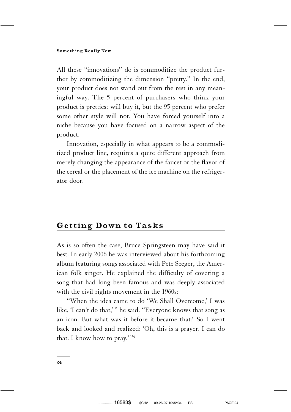All these ''innovations'' do is commoditize the product further by commoditizing the dimension ''pretty.'' In the end, your product does not stand out from the rest in any meaningful way. The 5 percent of purchasers who think your product is prettiest will buy it, but the 95 percent who prefer some other style will not. You have forced yourself into a niche because you have focused on a narrow aspect of the product.

Innovation, especially in what appears to be a commoditized product line, requires a quite different approach from merely changing the appearance of the faucet or the flavor of the cereal or the placement of the ice machine on the refrigerator door.

## Getting Down to Tasks

As is so often the case, Bruce Springsteen may have said it best. In early 2006 he was interviewed about his forthcoming album featuring songs associated with Pete Seeger, the American folk singer. He explained the difficulty of covering a song that had long been famous and was deeply associated with the civil rights movement in the 1960s:

''When the idea came to do 'We Shall Overcome,' I was like, 'I can't do that,'" he said. "Everyone knows that song as an icon. But what was it before it became that? So I went back and looked and realized: 'Oh, this is a prayer. I can do that. I know how to pray.'"<sup>5</sup>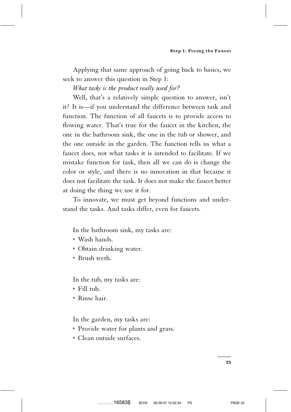Applying that same approach of going back to basics, we seek to answer this question in Step 1:

*What tasks is the product really used for?*

Well, that's a relatively simple question to answer, isn't it? It is—if you understand the difference between task and function. The function of all faucets is to provide access to flowing water. That's true for the faucet in the kitchen, the one in the bathroom sink, the one in the tub or shower, and the one outside in the garden. The function tells us what a faucet does, not what tasks it is intended to facilitate. If we mistake function for task, then all we can do is change the color or style, and there is no innovation in that because it does not facilitate the task. It does not make the faucet better at doing the thing we use it for.

To innovate, we must get beyond functions and understand the tasks. And tasks differ, even for faucets.

In the bathroom sink, my tasks are:

- Wash hands.
- Obtain drinking water.
- Brush teeth.

In the tub, my tasks are:

- Fill tub.
- Rinse hair.

In the garden, my tasks are:

- Provide water for plants and grass.
- Clean outside surfaces.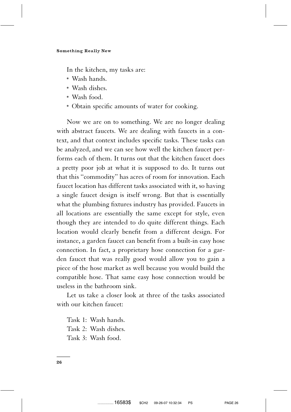In the kitchen, my tasks are:

- Wash hands.
- Wash dishes.
- Wash food.
- Obtain specific amounts of water for cooking.

Now we are on to something. We are no longer dealing with abstract faucets. We are dealing with faucets in a context, and that context includes specific tasks. These tasks can be analyzed, and we can see how well the kitchen faucet performs each of them. It turns out that the kitchen faucet does a pretty poor job at what it is supposed to do. It turns out that this ''commodity'' has acres of room for innovation. Each faucet location has different tasks associated with it, so having a single faucet design is itself wrong. But that is essentially what the plumbing fixtures industry has provided. Faucets in all locations are essentially the same except for style, even though they are intended to do quite different things. Each location would clearly benefit from a different design. For instance, a garden faucet can benefit from a built-in easy hose connection. In fact, a proprietary hose connection for a garden faucet that was really good would allow you to gain a piece of the hose market as well because you would build the compatible hose. That same easy hose connection would be useless in the bathroom sink.

Let us take a closer look at three of the tasks associated with our kitchen faucet:

Task 1: Wash hands. Task 2: Wash dishes. Task 3: Wash food.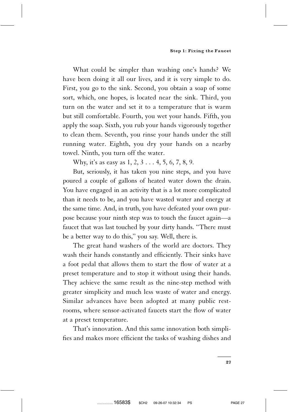What could be simpler than washing one's hands? We have been doing it all our lives, and it is very simple to do. First, you go to the sink. Second, you obtain a soap of some sort, which, one hopes, is located near the sink. Third, you turn on the water and set it to a temperature that is warm but still comfortable. Fourth, you wet your hands. Fifth, you apply the soap. Sixth, you rub your hands vigorously together to clean them. Seventh, you rinse your hands under the still running water. Eighth, you dry your hands on a nearby towel. Ninth, you turn off the water.

Why, it's as easy as 1, 2, 3 . . . 4, 5, 6, 7, 8, 9.

But, seriously, it has taken you nine steps, and you have poured a couple of gallons of heated water down the drain. You have engaged in an activity that is a lot more complicated than it needs to be, and you have wasted water and energy at the same time. And, in truth, you have defeated your own purpose because your ninth step was to touch the faucet again—a faucet that was last touched by your dirty hands. ''There must be a better way to do this,'' you say. Well, there is.

The great hand washers of the world are doctors. They wash their hands constantly and efficiently. Their sinks have a foot pedal that allows them to start the flow of water at a preset temperature and to stop it without using their hands. They achieve the same result as the nine-step method with greater simplicity and much less waste of water and energy. Similar advances have been adopted at many public restrooms, where sensor-activated faucets start the flow of water at a preset temperature.

That's innovation. And this same innovation both simplifies and makes more efficient the tasks of washing dishes and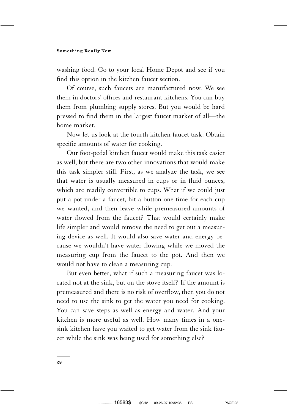washing food. Go to your local Home Depot and see if you find this option in the kitchen faucet section.

Of course, such faucets are manufactured now. We see them in doctors' offices and restaurant kitchens. You can buy them from plumbing supply stores. But you would be hard pressed to find them in the largest faucet market of all—the home market.

Now let us look at the fourth kitchen faucet task: Obtain specific amounts of water for cooking.

Our foot-pedal kitchen faucet would make this task easier as well, but there are two other innovations that would make this task simpler still. First, as we analyze the task, we see that water is usually measured in cups or in fluid ounces, which are readily convertible to cups. What if we could just put a pot under a faucet, hit a button one time for each cup we wanted, and then leave while premeasured amounts of water flowed from the faucet? That would certainly make life simpler and would remove the need to get out a measuring device as well. It would also save water and energy because we wouldn't have water flowing while we moved the measuring cup from the faucet to the pot. And then we would not have to clean a measuring cup.

But even better, what if such a measuring faucet was located not at the sink, but on the stove itself? If the amount is premeasured and there is no risk of overflow, then you do not need to use the sink to get the water you need for cooking. You can save steps as well as energy and water. And your kitchen is more useful as well. How many times in a onesink kitchen have you waited to get water from the sink faucet while the sink was being used for something else?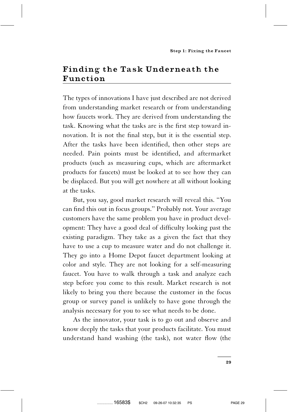# Finding the Task Underneath the Function

The types of innovations I have just described are not derived from understanding market research or from understanding how faucets work. They are derived from understanding the task. Knowing what the tasks are is the first step toward innovation. It is not the final step, but it is the essential step. After the tasks have been identified, then other steps are needed. Pain points must be identified, and aftermarket products (such as measuring cups, which are aftermarket products for faucets) must be looked at to see how they can be displaced. But you will get nowhere at all without looking at the tasks.

But, you say, good market research will reveal this. ''You can find this out in focus groups.'' Probably not. Your average customers have the same problem you have in product development: They have a good deal of difficulty looking past the existing paradigm. They take as a given the fact that they have to use a cup to measure water and do not challenge it. They go into a Home Depot faucet department looking at color and style. They are not looking for a self-measuring faucet. You have to walk through a task and analyze each step before you come to this result. Market research is not likely to bring you there because the customer in the focus group or survey panel is unlikely to have gone through the analysis necessary for you to see what needs to be done.

As the innovator, your task is to go out and observe and know deeply the tasks that your products facilitate. You must understand hand washing (the task), not water flow (the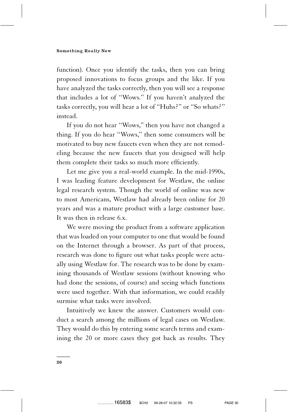function). Once you identify the tasks, then you can bring proposed innovations to focus groups and the like. If you have analyzed the tasks correctly, then you will see a response that includes a lot of ''Wows.'' If you haven't analyzed the tasks correctly, you will hear a lot of ''Huhs?'' or ''So whats?'' instead.

If you do not hear ''Wows,'' then you have not changed a thing. If you do hear "Wows," then some consumers will be motivated to buy new faucets even when they are not remodeling because the new faucets that you designed will help them complete their tasks so much more efficiently.

Let me give you a real-world example. In the mid-1990s, I was leading feature development for Westlaw, the online legal research system. Though the world of online was new to most Americans, Westlaw had already been online for 20 years and was a mature product with a large customer base. It was then in release 6.x.

We were moving the product from a software application that was loaded on your computer to one that would be found on the Internet through a browser. As part of that process, research was done to figure out what tasks people were actually using Westlaw for. The research was to be done by examining thousands of Westlaw sessions (without knowing who had done the sessions, of course) and seeing which functions were used together. With that information, we could readily surmise what tasks were involved.

Intuitively we knew the answer. Customers would conduct a search among the millions of legal cases on Westlaw. They would do this by entering some search terms and examining the 20 or more cases they got back as results. They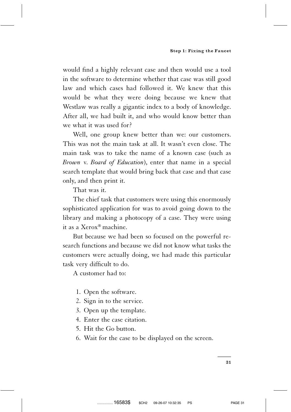would find a highly relevant case and then would use a tool in the software to determine whether that case was still good law and which cases had followed it. We knew that this would be what they were doing because we knew that Westlaw was really a gigantic index to a body of knowledge. After all, we had built it, and who would know better than we what it was used for?

Well, one group knew better than we: our customers. This was not the main task at all. It wasn't even close. The main task was to take the name of a known case (such as *Brown* v. *Board of Education*), enter that name in a special search template that would bring back that case and that case only, and then print it.

That was it.

The chief task that customers were using this enormously sophisticated application for was to avoid going down to the library and making a photocopy of a case. They were using it as a Xerox machine.

But because we had been so focused on the powerful research functions and because we did not know what tasks the customers were actually doing, we had made this particular task very difficult to do.

A customer had to:

- 1. Open the software.
- 2. Sign in to the service.
- 3. Open up the template.
- 4. Enter the case citation.
- 5. Hit the Go button.
- 6. Wait for the case to be displayed on the screen.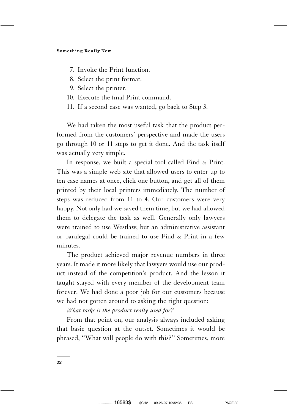- 7. Invoke the Print function.
- 8. Select the print format.
- 9. Select the printer.
- 10. Execute the final Print command.
- 11. If a second case was wanted, go back to Step 3.

We had taken the most useful task that the product performed from the customers' perspective and made the users go through 10 or 11 steps to get it done. And the task itself was actually very simple.

In response, we built a special tool called Find & Print. This was a simple web site that allowed users to enter up to ten case names at once, click one button, and get all of them printed by their local printers immediately. The number of steps was reduced from 11 to 4. Our customers were very happy. Not only had we saved them time, but we had allowed them to delegate the task as well. Generally only lawyers were trained to use Westlaw, but an administrative assistant or paralegal could be trained to use Find & Print in a few minutes.

The product achieved major revenue numbers in three years. It made it more likely that lawyers would use our product instead of the competition's product. And the lesson it taught stayed with every member of the development team forever. We had done a poor job for our customers because we had not gotten around to asking the right question:

*What tasks is the product really used for?*

From that point on, our analysis always included asking that basic question at the outset. Sometimes it would be phrased, ''What will people do with this?'' Sometimes, more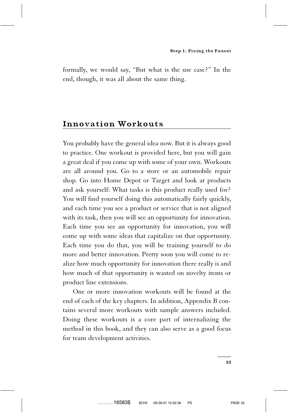formally, we would say, ''But what is the use case?'' In the end, though, it was all about the same thing.

## Innovation Workouts

You probably have the general idea now. But it is always good to practice. One workout is provided here, but you will gain a great deal if you come up with some of your own. Workouts are all around you. Go to a store or an automobile repair shop. Go into Home Depot or Target and look at products and ask yourself: What tasks is this product really used for? You will find yourself doing this automatically fairly quickly, and each time you see a product or service that is not aligned with its task, then you will see an opportunity for innovation. Each time you see an opportunity for innovation, you will come up with some ideas that capitalize on that opportunity. Each time you do that, you will be training yourself to do more and better innovation. Pretty soon you will come to realize how much opportunity for innovation there really is and how much of that opportunity is wasted on novelty items or product line extensions.

One or more innovation workouts will be found at the end of each of the key chapters. In addition, Appendix B contains several more workouts with sample answers included. Doing these workouts is a core part of internalizing the method in this book, and they can also serve as a good focus for team development activities.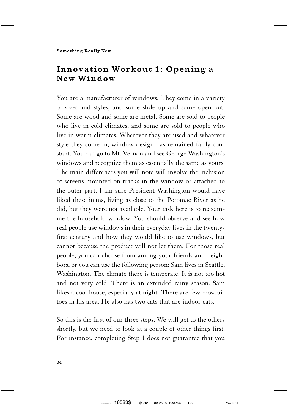## Innovation Workout 1: Opening a New Window

You are a manufacturer of windows. They come in a variety of sizes and styles, and some slide up and some open out. Some are wood and some are metal. Some are sold to people who live in cold climates, and some are sold to people who live in warm climates. Wherever they are used and whatever style they come in, window design has remained fairly constant. You can go to Mt. Vernon and see George Washington's windows and recognize them as essentially the same as yours. The main differences you will note will involve the inclusion of screens mounted on tracks in the window or attached to the outer part. I am sure President Washington would have liked these items, living as close to the Potomac River as he did, but they were not available. Your task here is to reexamine the household window. You should observe and see how real people use windows in their everyday lives in the twentyfirst century and how they would like to use windows, but cannot because the product will not let them. For those real people, you can choose from among your friends and neighbors, or you can use the following person: Sam lives in Seattle, Washington. The climate there is temperate. It is not too hot and not very cold. There is an extended rainy season. Sam likes a cool house, especially at night. There are few mosquitoes in his area. He also has two cats that are indoor cats.

So this is the first of our three steps. We will get to the others shortly, but we need to look at a couple of other things first. For instance, completing Step 1 does not guarantee that you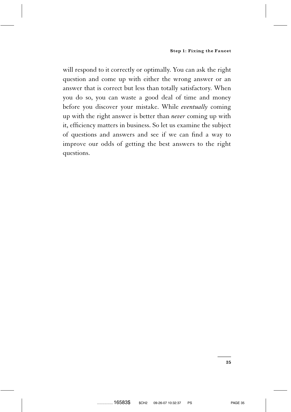will respond to it correctly or optimally. You can ask the right question and come up with either the wrong answer or an answer that is correct but less than totally satisfactory. When you do so, you can waste a good deal of time and money before you discover your mistake. While *eventually* coming up with the right answer is better than *never* coming up with it, efficiency matters in business. So let us examine the subject of questions and answers and see if we can find a way to improve our odds of getting the best answers to the right questions.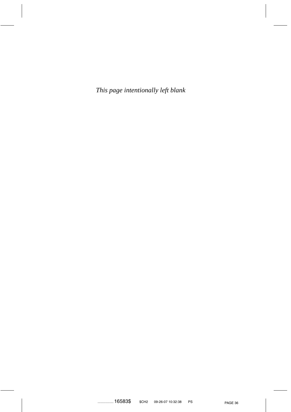*This page intentionally left blank*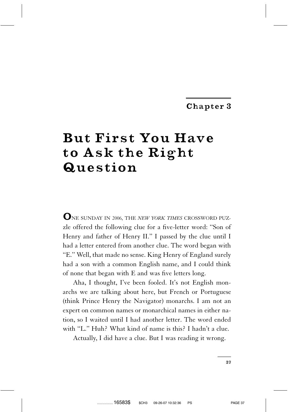Chapter 3

# But First You Have to Ask the Right **Question**

ONE SUNDAY IN 2006, THE *NEW YORK TIMES* CROSSWORD PUZzle offered the following clue for a five-letter word: ''Son of Henry and father of Henry II.'' I passed by the clue until I had a letter entered from another clue. The word began with "E." Well, that made no sense. King Henry of England surely had a son with a common English name, and I could think of none that began with E and was five letters long.

Aha, I thought, I've been fooled. It's not English monarchs we are talking about here, but French or Portuguese (think Prince Henry the Navigator) monarchs. I am not an expert on common names or monarchical names in either nation, so I waited until I had another letter. The word ended with "L." Huh? What kind of name is this? I hadn't a clue.

Actually, I did have a clue. But I was reading it wrong.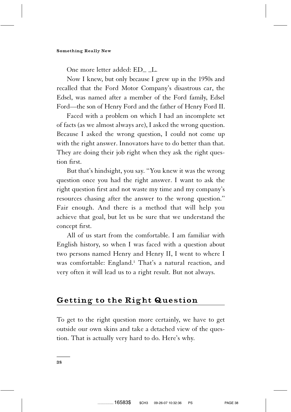One more letter added: ED\_ \_L.

Now I knew, but only because I grew up in the 1950s and recalled that the Ford Motor Company's disastrous car, the Edsel, was named after a member of the Ford family, Edsel Ford—the son of Henry Ford and the father of Henry Ford II.

Faced with a problem on which I had an incomplete set of facts (as we almost always are), I asked the wrong question. Because I asked the wrong question, I could not come up with the right answer. Innovators have to do better than that. They are doing their job right when they ask the right question first.

But that's hindsight, you say. ''You knew it was the wrong question once you had the right answer. I want to ask the right question first and not waste my time and my company's resources chasing after the answer to the wrong question.'' Fair enough. And there is a method that will help you achieve that goal, but let us be sure that we understand the concept first.

All of us start from the comfortable. I am familiar with English history, so when I was faced with a question about two persons named Henry and Henry II, I went to where I was comfortable: England.<sup>1</sup> That's a natural reaction, and very often it will lead us to a right result. But not always.

## Getting to the Right Question

To get to the right question more certainly, we have to get outside our own skins and take a detached view of the question. That is actually very hard to do. Here's why.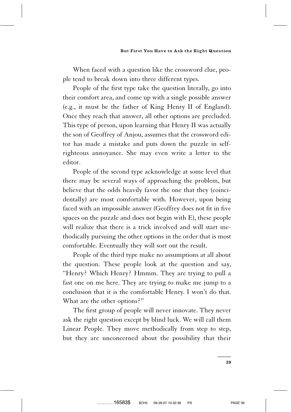When faced with a question like the crossword clue, people tend to break down into three different types.

People of the first type take the question literally, go into their comfort area, and come up with a single possible answer (e.g., it must be the father of King Henry II of England). Once they reach that answer, all other options are precluded. This type of person, upon learning that Henry II was actually the son of Geoffrey of Anjou, assumes that the crossword editor has made a mistake and puts down the puzzle in selfrighteous annoyance. She may even write a letter to the editor.

People of the second type acknowledge at some level that there may be several ways of approaching the problem, but believe that the odds heavily favor the one that they (coincidentally) are most comfortable with. However, upon being faced with an impossible answer (Geoffrey does not fit in five spaces on the puzzle and does not begin with E), these people will realize that there is a trick involved and will start methodically pursuing the other options in the order that is most comfortable. Eventually they will sort out the result.

People of the third type make no assumptions at all about the question. These people look at the question and say, "Henry? Which Henry? Hmmm. They are trying to pull a fast one on me here. They are trying to make me jump to a conclusion that it is the comfortable Henry. I won't do that. What are the other options?''

The first group of people will never innovate. They never ask the right question except by blind luck. We will call them Linear People. They move methodically from step to step, but they are unconcerned about the possibility that their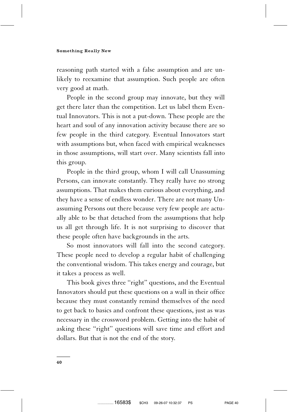reasoning path started with a false assumption and are unlikely to reexamine that assumption. Such people are often very good at math.

People in the second group may innovate, but they will get there later than the competition. Let us label them Eventual Innovators. This is not a put-down. These people are the heart and soul of any innovation activity because there are so few people in the third category. Eventual Innovators start with assumptions but, when faced with empirical weaknesses in those assumptions, will start over. Many scientists fall into this group.

People in the third group, whom I will call Unassuming Persons, can innovate constantly. They really have no strong assumptions. That makes them curious about everything, and they have a sense of endless wonder. There are not many Unassuming Persons out there because very few people are actually able to be that detached from the assumptions that help us all get through life. It is not surprising to discover that these people often have backgrounds in the arts.

So most innovators will fall into the second category. These people need to develop a regular habit of challenging the conventional wisdom. This takes energy and courage, but it takes a process as well.

This book gives three "right" questions, and the Eventual Innovators should put these questions on a wall in their office because they must constantly remind themselves of the need to get back to basics and confront these questions, just as was necessary in the crossword problem. Getting into the habit of asking these ''right'' questions will save time and effort and dollars. But that is not the end of the story.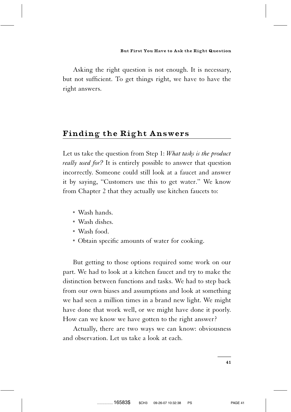Asking the right question is not enough. It is necessary, but not sufficient. To get things right, we have to have the right answers.

### Finding the Right Answers

Let us take the question from Step 1: *What tasks is the product really used for?* It is entirely possible to answer that question incorrectly. Someone could still look at a faucet and answer it by saying, ''Customers use this to get water.'' We know from Chapter 2 that they actually use kitchen faucets to:

- Wash hands.
- Wash dishes.
- Wash food.
- Obtain specific amounts of water for cooking.

But getting to those options required some work on our part. We had to look at a kitchen faucet and try to make the distinction between functions and tasks. We had to step back from our own biases and assumptions and look at something we had seen a million times in a brand new light. We might have done that work well, or we might have done it poorly. How can we know we have gotten to the right answer?

Actually, there are two ways we can know: obviousness and observation. Let us take a look at each.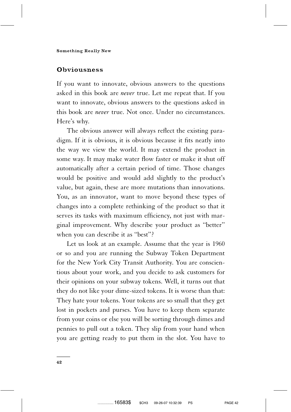#### Obviousness

If you want to innovate, obvious answers to the questions asked in this book are *never* true. Let me repeat that. If you want to innovate, obvious answers to the questions asked in this book are *never* true. Not once. Under no circumstances. Here's why.

The obvious answer will always reflect the existing paradigm. If it is obvious, it is obvious because it fits neatly into the way we view the world. It may extend the product in some way. It may make water flow faster or make it shut off automatically after a certain period of time. Those changes would be positive and would add slightly to the product's value, but again, these are more mutations than innovations. You, as an innovator, want to move beyond these types of changes into a complete rethinking of the product so that it serves its tasks with maximum efficiency, not just with marginal improvement. Why describe your product as ''better'' when you can describe it as "best"?

Let us look at an example. Assume that the year is 1960 or so and you are running the Subway Token Department for the New York City Transit Authority. You are conscientious about your work, and you decide to ask customers for their opinions on your subway tokens. Well, it turns out that they do not like your dime-sized tokens. It is worse than that: They hate your tokens. Your tokens are so small that they get lost in pockets and purses. You have to keep them separate from your coins or else you will be sorting through dimes and pennies to pull out a token. They slip from your hand when you are getting ready to put them in the slot. You have to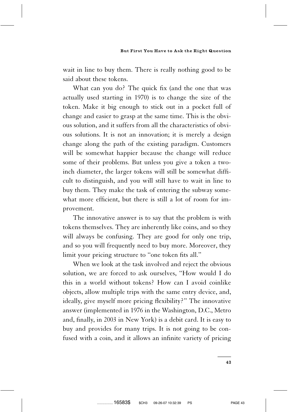wait in line to buy them. There is really nothing good to be said about these tokens.

What can you do? The quick fix (and the one that was actually used starting in 1970) is to change the size of the token. Make it big enough to stick out in a pocket full of change and easier to grasp at the same time. This is the obvious solution, and it suffers from all the characteristics of obvious solutions. It is not an innovation; it is merely a design change along the path of the existing paradigm. Customers will be somewhat happier because the change will reduce some of their problems. But unless you give a token a twoinch diameter, the larger tokens will still be somewhat difficult to distinguish, and you will still have to wait in line to buy them. They make the task of entering the subway somewhat more efficient, but there is still a lot of room for improvement.

The innovative answer is to say that the problem is with tokens themselves. They are inherently like coins, and so they will always be confusing. They are good for only one trip, and so you will frequently need to buy more. Moreover, they limit your pricing structure to "one token fits all."

When we look at the task involved and reject the obvious solution, we are forced to ask ourselves, ''How would I do this in a world without tokens? How can I avoid coinlike objects, allow multiple trips with the same entry device, and, ideally, give myself more pricing flexibility?'' The innovative answer (implemented in 1976 in the Washington, D.C., Metro and, finally, in 2003 in New York) is a debit card. It is easy to buy and provides for many trips. It is not going to be confused with a coin, and it allows an infinite variety of pricing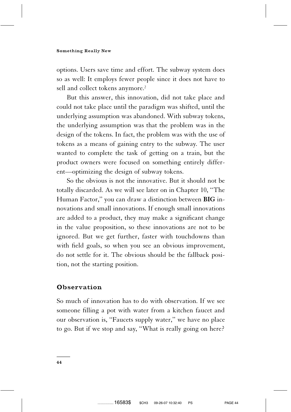options. Users save time and effort. The subway system does so as well: It employs fewer people since it does not have to sell and collect tokens anymore.<sup>2</sup>

But this answer, this innovation, did not take place and could not take place until the paradigm was shifted, until the underlying assumption was abandoned. With subway tokens, the underlying assumption was that the problem was in the design of the tokens. In fact, the problem was with the use of tokens as a means of gaining entry to the subway. The user wanted to complete the task of getting on a train, but the product owners were focused on something entirely different—optimizing the design of subway tokens.

So the obvious is not the innovative. But it should not be totally discarded. As we will see later on in Chapter 10, ''The Human Factor,'' you can draw a distinction between **BIG** innovations and small innovations. If enough small innovations are added to a product, they may make a significant change in the value proposition, so these innovations are not to be ignored. But we get further, faster with touchdowns than with field goals, so when you see an obvious improvement, do not settle for it. The obvious should be the fallback position, not the starting position.

#### Observation

So much of innovation has to do with observation. If we see someone filling a pot with water from a kitchen faucet and our observation is, ''Faucets supply water,'' we have no place to go. But if we stop and say, ''What is really going on here?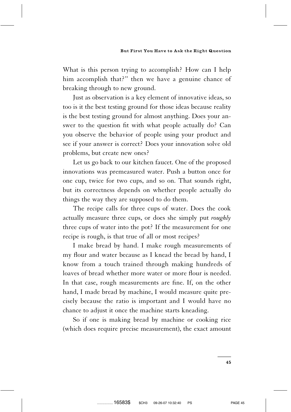What is this person trying to accomplish? How can I help him accomplish that?" then we have a genuine chance of breaking through to new ground.

Just as observation is a key element of innovative ideas, so too is it the best testing ground for those ideas because reality is the best testing ground for almost anything. Does your answer to the question fit with what people actually do? Can you observe the behavior of people using your product and see if your answer is correct? Does your innovation solve old problems, but create new ones?

Let us go back to our kitchen faucet. One of the proposed innovations was premeasured water. Push a button once for one cup, twice for two cups, and so on. That sounds right, but its correctness depends on whether people actually do things the way they are supposed to do them.

The recipe calls for three cups of water. Does the cook actually measure three cups, or does she simply put *roughly* three cups of water into the pot? If the measurement for one recipe is rough, is that true of all or most recipes?

I make bread by hand. I make rough measurements of my flour and water because as I knead the bread by hand, I know from a touch trained through making hundreds of loaves of bread whether more water or more flour is needed. In that case, rough measurements are fine. If, on the other hand, I made bread by machine, I would measure quite precisely because the ratio is important and I would have no chance to adjust it once the machine starts kneading.

So if one is making bread by machine or cooking rice (which does require precise measurement), the exact amount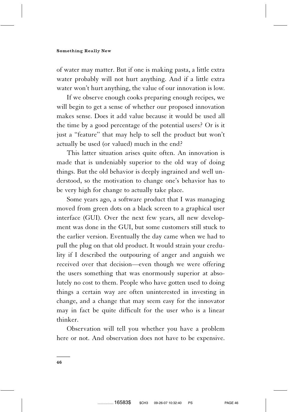of water may matter. But if one is making pasta, a little extra water probably will not hurt anything. And if a little extra water won't hurt anything, the value of our innovation is low.

If we observe enough cooks preparing enough recipes, we will begin to get a sense of whether our proposed innovation makes sense. Does it add value because it would be used all the time by a good percentage of the potential users? Or is it just a "feature" that may help to sell the product but won't actually be used (or valued) much in the end?

This latter situation arises quite often. An innovation is made that is undeniably superior to the old way of doing things. But the old behavior is deeply ingrained and well understood, so the motivation to change one's behavior has to be very high for change to actually take place.

Some years ago, a software product that I was managing moved from green dots on a black screen to a graphical user interface (GUI). Over the next few years, all new development was done in the GUI, but some customers still stuck to the earlier version. Eventually the day came when we had to pull the plug on that old product. It would strain your credulity if I described the outpouring of anger and anguish we received over that decision—even though we were offering the users something that was enormously superior at absolutely no cost to them. People who have gotten used to doing things a certain way are often uninterested in investing in change, and a change that may seem easy for the innovator may in fact be quite difficult for the user who is a linear thinker.

Observation will tell you whether you have a problem here or not. And observation does not have to be expensive.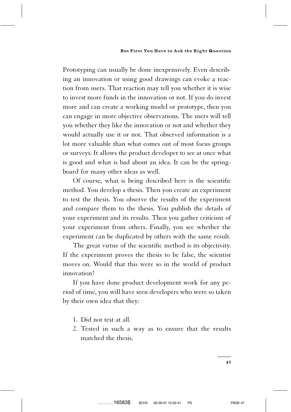Prototyping can usually be done inexpensively. Even describing an innovation or using good drawings can evoke a reaction from users. That reaction may tell you whether it is wise to invest more funds in the innovation or not. If you do invest more and can create a working model or prototype, then you can engage in more objective observations. The users will tell you whether they like the innovation or not and whether they would actually use it or not. That observed information is a lot more valuable than what comes out of most focus groups or surveys. It allows the product developer to see at once what is good and what is bad about an idea. It can be the springboard for many other ideas as well.

Of course, what is being described here is the scientific method. You develop a thesis. Then you create an experiment to test the thesis. You observe the results of the experiment and compare them to the thesis. You publish the details of your experiment and its results. Then you gather criticism of your experiment from others. Finally, you see whether the experiment can be duplicated by others with the same result.

The great virtue of the scientific method is its objectivity. If the experiment proves the thesis to be false, the scientist moves on. Would that this were so in the world of product innovation!

If you have done product development work for any period of time, you will have seen developers who were so taken by their own idea that they:

- 1. Did not test at all.
- 2. Tested in such a way as to ensure that the results matched the thesis.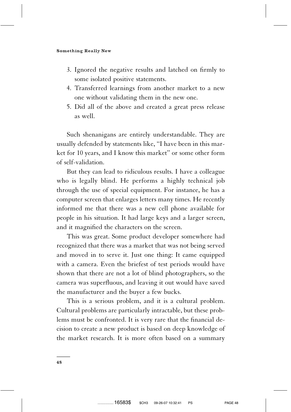- 3. Ignored the negative results and latched on firmly to some isolated positive statements.
- 4. Transferred learnings from another market to a new one without validating them in the new one.
- 5. Did all of the above and created a great press release as well.

Such shenanigans are entirely understandable. They are usually defended by statements like, ''I have been in this market for 10 years, and I know this market'' or some other form of self-validation.

But they can lead to ridiculous results. I have a colleague who is legally blind. He performs a highly technical job through the use of special equipment. For instance, he has a computer screen that enlarges letters many times. He recently informed me that there was a new cell phone available for people in his situation. It had large keys and a larger screen, and it magnified the characters on the screen.

This was great. Some product developer somewhere had recognized that there was a market that was not being served and moved in to serve it. Just one thing: It came equipped with a camera. Even the briefest of test periods would have shown that there are not a lot of blind photographers, so the camera was superfluous, and leaving it out would have saved the manufacturer and the buyer a few bucks.

This is a serious problem, and it is a cultural problem. Cultural problems are particularly intractable, but these problems must be confronted. It is very rare that the financial decision to create a new product is based on deep knowledge of the market research. It is more often based on a summary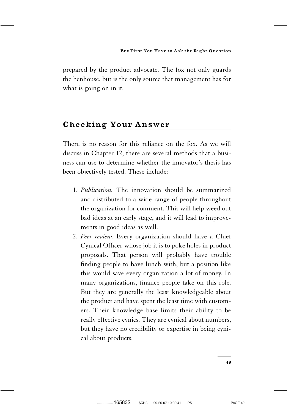prepared by the product advocate. The fox not only guards the henhouse, but is the only source that management has for what is going on in it.

# Checking Your Answer

There is no reason for this reliance on the fox. As we will discuss in Chapter 12, there are several methods that a business can use to determine whether the innovator's thesis has been objectively tested. These include:

- 1. *Publication.* The innovation should be summarized and distributed to a wide range of people throughout the organization for comment. This will help weed out bad ideas at an early stage, and it will lead to improvements in good ideas as well.
- 2. *Peer review.* Every organization should have a Chief Cynical Officer whose job it is to poke holes in product proposals. That person will probably have trouble finding people to have lunch with, but a position like this would save every organization a lot of money. In many organizations, finance people take on this role. But they are generally the least knowledgeable about the product and have spent the least time with customers. Their knowledge base limits their ability to be really effective cynics. They are cynical about numbers, but they have no credibility or expertise in being cynical about products.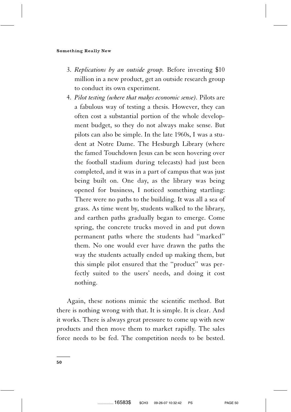- 3. *Replications by an outside group.* Before investing \$10 million in a new product, get an outside research group to conduct its own experiment.
- 4. *Pilot testing (where that makes economic sense).* Pilots are a fabulous way of testing a thesis. However, they can often cost a substantial portion of the whole development budget, so they do not always make sense. But pilots can also be simple. In the late 1960s, I was a student at Notre Dame. The Hesburgh Library (where the famed Touchdown Jesus can be seen hovering over the football stadium during telecasts) had just been completed, and it was in a part of campus that was just being built on. One day, as the library was being opened for business, I noticed something startling: There were no paths to the building. It was all a sea of grass. As time went by, students walked to the library, and earthen paths gradually began to emerge. Come spring, the concrete trucks moved in and put down permanent paths where the students had ''marked'' them. No one would ever have drawn the paths the way the students actually ended up making them, but this simple pilot ensured that the ''product'' was perfectly suited to the users' needs, and doing it cost nothing.

Again, these notions mimic the scientific method. But there is nothing wrong with that. It is simple. It is clear. And it works. There is always great pressure to come up with new products and then move them to market rapidly. The sales force needs to be fed. The competition needs to be bested.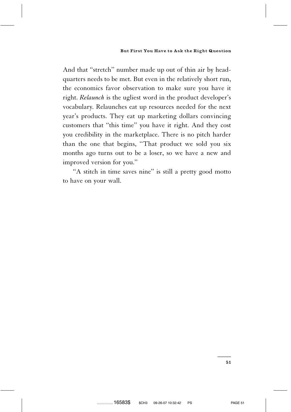And that ''stretch'' number made up out of thin air by headquarters needs to be met. But even in the relatively short run, the economics favor observation to make sure you have it right. *Relaunch* is the ugliest word in the product developer's vocabulary. Relaunches eat up resources needed for the next year's products. They eat up marketing dollars convincing customers that ''this time'' you have it right. And they cost you credibility in the marketplace. There is no pitch harder than the one that begins, ''That product we sold you six months ago turns out to be a loser, so we have a new and improved version for you.''

"A stitch in time saves nine" is still a pretty good motto to have on your wall.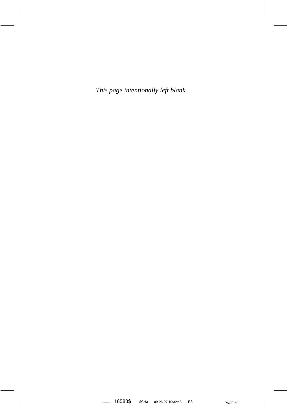*This page intentionally left blank*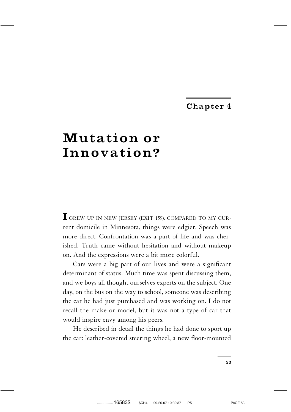## Chapter 4

# Mutation or Innovation?

 $I$  GREW UP IN NEW JERSEY (EXIT 159). COMPARED TO MY CURrent domicile in Minnesota, things were edgier. Speech was more direct. Confrontation was a part of life and was cherished. Truth came without hesitation and without makeup on. And the expressions were a bit more colorful.

Cars were a big part of our lives and were a significant determinant of status. Much time was spent discussing them, and we boys all thought ourselves experts on the subject. One day, on the bus on the way to school, someone was describing the car he had just purchased and was working on. I do not recall the make or model, but it was not a type of car that would inspire envy among his peers.

He described in detail the things he had done to sport up the car: leather-covered steering wheel, a new floor-mounted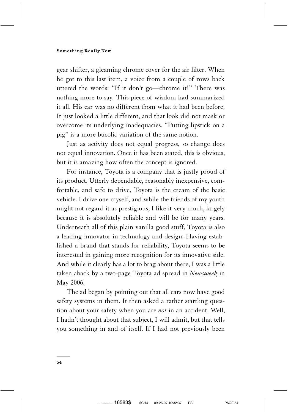gear shifter, a gleaming chrome cover for the air filter. When he got to this last item, a voice from a couple of rows back uttered the words: ''If it don't go—chrome it!'' There was nothing more to say. This piece of wisdom had summarized it all. His car was no different from what it had been before. It just looked a little different, and that look did not mask or overcome its underlying inadequacies. ''Putting lipstick on a pig'' is a more bucolic variation of the same notion.

Just as activity does not equal progress, so change does not equal innovation. Once it has been stated, this is obvious, but it is amazing how often the concept is ignored.

For instance, Toyota is a company that is justly proud of its product. Utterly dependable, reasonably inexpensive, comfortable, and safe to drive, Toyota is the cream of the basic vehicle. I drive one myself, and while the friends of my youth might not regard it as prestigious, I like it very much, largely because it is absolutely reliable and will be for many years. Underneath all of this plain vanilla good stuff, Toyota is also a leading innovator in technology and design. Having established a brand that stands for reliability, Toyota seems to be interested in gaining more recognition for its innovative side. And while it clearly has a lot to brag about there, I was a little taken aback by a two-page Toyota ad spread in *Newsweek* in May 2006.

The ad began by pointing out that all cars now have good safety systems in them. It then asked a rather startling question about your safety when you are *not* in an accident. Well, I hadn't thought about that subject, I will admit, but that tells you something in and of itself. If I had not previously been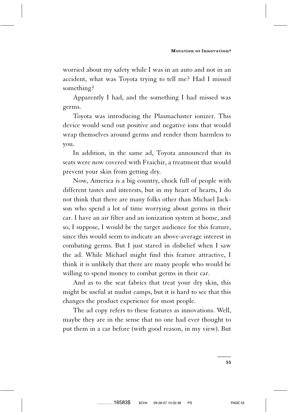worried about my safety while I was in an auto and not in an accident, what was Toyota trying to tell me? Had I missed something?

Apparently I had, and the something I had missed was germs.

Toyota was introducing the Plasmacluster ionizer. This device would send out positive and negative ions that would wrap themselves around germs and render them harmless to you.

In addition, in the same ad, Toyota announced that its seats were now covered with Fraichir, a treatment that would prevent your skin from getting dry.

Now, America is a big country, chock full of people with different tastes and interests, but in my heart of hearts, I do not think that there are many folks other than Michael Jackson who spend a lot of time worrying about germs in their car. I have an air filter and an ionization system at home, and so, I suppose, I would be the target audience for this feature, since this would seem to indicate an above-average interest in combating germs. But I just stared in disbelief when I saw the ad. While Michael might find this feature attractive, I think it is unlikely that there are many people who would be willing to spend money to combat germs in their car.

And as to the seat fabrics that treat your dry skin, this might be useful at nudist camps, but it is hard to see that this changes the product experience for most people.

The ad copy refers to these features as innovations. Well, maybe they are in the sense that no one had ever thought to put them in a car before (with good reason, in my view). But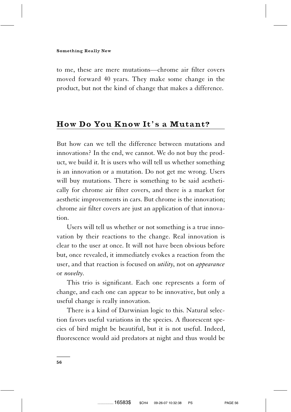#### Something Really New

to me, these are mere mutations—chrome air filter covers moved forward 40 years. They make some change in the product, but not the kind of change that makes a difference.

## How Do You Know It's a Mutant?

But how can we tell the difference between mutations and innovations? In the end, we cannot. We do not buy the product, we build it. It is users who will tell us whether something is an innovation or a mutation. Do not get me wrong. Users will buy mutations. There is something to be said aesthetically for chrome air filter covers, and there is a market for aesthetic improvements in cars. But chrome is the innovation; chrome air filter covers are just an application of that innovation.

Users will tell us whether or not something is a true innovation by their reactions to the change. Real innovation is clear to the user at once. It will not have been obvious before but, once revealed, it immediately evokes a reaction from the user, and that reaction is focused on *utility*, not on *appearance* or *novelty*.

This trio is significant. Each one represents a form of change, and each one can appear to be innovative, but only a useful change is really innovation.

There is a kind of Darwinian logic to this. Natural selection favors useful variations in the species. A fluorescent species of bird might be beautiful, but it is not useful. Indeed, fluorescence would aid predators at night and thus would be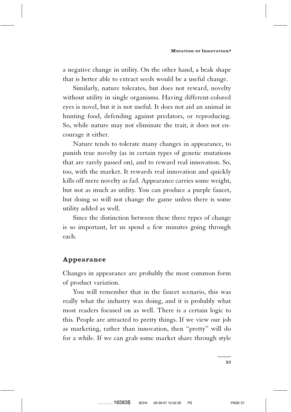a negative change in utility. On the other hand, a beak shape that is better able to extract seeds would be a useful change.

Similarly, nature tolerates, but does not reward, novelty without utility in single organisms. Having different-colored eyes is novel, but it is not useful. It does not aid an animal in hunting food, defending against predators, or reproducing. So, while nature may not eliminate the trait, it does not encourage it either.

Nature tends to tolerate many changes in appearance, to punish true novelty (as in certain types of genetic mutations that are rarely passed on), and to reward real innovation. So, too, with the market. It rewards real innovation and quickly kills off mere novelty as fad. Appearance carries some weight, but not as much as utility. You can produce a purple faucet, but doing so will not change the game unless there is some utility added as well.

Since the distinction between these three types of change is so important, let us spend a few minutes going through each.

### Appearance

Changes in appearance are probably the most common form of product variation.

You will remember that in the faucet scenario, this was really what the industry was doing, and it is probably what most readers focused on as well. There is a certain logic to this. People are attracted to pretty things. If we view our job as marketing, rather than innovation, then ''pretty'' will do for a while. If we can grab some market share through style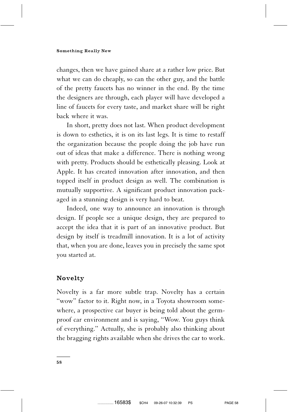changes, then we have gained share at a rather low price. But what we can do cheaply, so can the other guy, and the battle of the pretty faucets has no winner in the end. By the time the designers are through, each player will have developed a line of faucets for every taste, and market share will be right back where it was.

In short, pretty does not last. When product development is down to esthetics, it is on its last legs. It is time to restaff the organization because the people doing the job have run out of ideas that make a difference. There is nothing wrong with pretty. Products should be esthetically pleasing. Look at Apple. It has created innovation after innovation, and then topped itself in product design as well. The combination is mutually supportive. A significant product innovation packaged in a stunning design is very hard to beat.

Indeed, one way to announce an innovation is through design. If people see a unique design, they are prepared to accept the idea that it is part of an innovative product. But design by itself is treadmill innovation. It is a lot of activity that, when you are done, leaves you in precisely the same spot you started at.

### Novelty

Novelty is a far more subtle trap. Novelty has a certain "wow" factor to it. Right now, in a Toyota showroom somewhere, a prospective car buyer is being told about the germproof car environment and is saying, ''Wow. You guys think of everything.'' Actually, she is probably also thinking about the bragging rights available when she drives the car to work.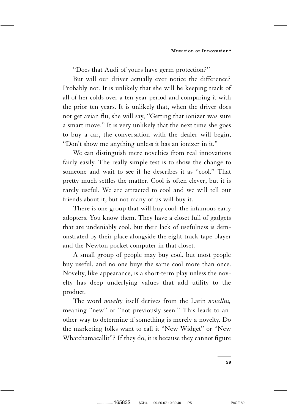''Does that Audi of yours have germ protection?''

But will our driver actually ever notice the difference? Probably not. It is unlikely that she will be keeping track of all of her colds over a ten-year period and comparing it with the prior ten years. It is unlikely that, when the driver does not get avian flu, she will say, ''Getting that ionizer was sure a smart move.'' It is very unlikely that the next time she goes to buy a car, the conversation with the dealer will begin, ''Don't show me anything unless it has an ionizer in it.''

We can distinguish mere novelties from real innovations fairly easily. The really simple test is to show the change to someone and wait to see if he describes it as ''cool.'' That pretty much settles the matter. Cool is often clever, but it is rarely useful. We are attracted to cool and we will tell our friends about it, but not many of us will buy it.

There is one group that will buy cool: the infamous early adopters. You know them. They have a closet full of gadgets that are undeniably cool, but their lack of usefulness is demonstrated by their place alongside the eight-track tape player and the Newton pocket computer in that closet.

A small group of people may buy cool, but most people buy useful, and no one buys the same cool more than once. Novelty, like appearance, is a short-term play unless the novelty has deep underlying values that add utility to the product.

The word *novelty* itself derives from the Latin *novellus,* meaning "new" or "not previously seen." This leads to another way to determine if something is merely a novelty. Do the marketing folks want to call it ''New Widget'' or ''New Whatchamacallit''? If they do, it is because they cannot figure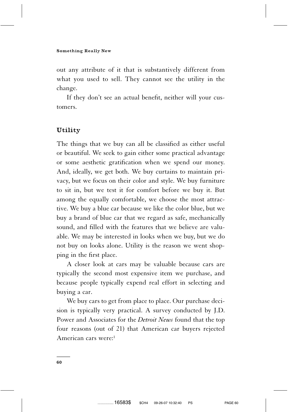out any attribute of it that is substantively different from what you used to sell. They cannot see the utility in the change.

If they don't see an actual benefit, neither will your customers.

### **Utility**

The things that we buy can all be classified as either useful or beautiful. We seek to gain either some practical advantage or some aesthetic gratification when we spend our money. And, ideally, we get both. We buy curtains to maintain privacy, but we focus on their color and style. We buy furniture to sit in, but we test it for comfort before we buy it. But among the equally comfortable, we choose the most attractive. We buy a blue car because we like the color blue, but we buy a brand of blue car that we regard as safe, mechanically sound, and filled with the features that we believe are valuable. We may be interested in looks when we buy, but we do not buy on looks alone. Utility is the reason we went shopping in the first place.

A closer look at cars may be valuable because cars are typically the second most expensive item we purchase, and because people typically expend real effort in selecting and buying a car.

We buy cars to get from place to place. Our purchase decision is typically very practical. A survey conducted by J.D. Power and Associates for the *Detroit News* found that the top four reasons (out of 21) that American car buyers rejected American cars were:<sup>1</sup>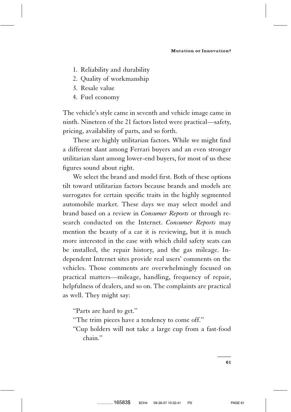- 1. Reliability and durability
- 2. Quality of workmanship
- 3. Resale value
- 4. Fuel economy

The vehicle's style came in seventh and vehicle image came in ninth. Nineteen of the 21 factors listed were practical—safety, pricing, availability of parts, and so forth.

These are highly utilitarian factors. While we might find a different slant among Ferrari buyers and an even stronger utilitarian slant among lower-end buyers, for most of us these figures sound about right.

We select the brand and model first. Both of these options tilt toward utilitarian factors because brands and models are surrogates for certain specific traits in the highly segmented automobile market. These days we may select model and brand based on a review in *Consumer Reports* or through research conducted on the Internet. *Consumer Reports* may mention the beauty of a car it is reviewing, but it is much more interested in the ease with which child safety seats can be installed, the repair history, and the gas mileage. Independent Internet sites provide real users' comments on the vehicles. Those comments are overwhelmingly focused on practical matters—mileage, handling, frequency of repair, helpfulness of dealers, and so on. The complaints are practical as well. They might say:

''Parts are hard to get.''

- ''The trim pieces have a tendency to come off.''
- ''Cup holders will not take a large cup from a fast-food chain.''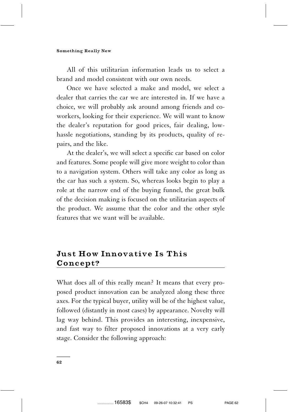All of this utilitarian information leads us to select a brand and model consistent with our own needs.

Once we have selected a make and model, we select a dealer that carries the car we are interested in. If we have a choice, we will probably ask around among friends and coworkers, looking for their experience. We will want to know the dealer's reputation for good prices, fair dealing, lowhassle negotiations, standing by its products, quality of repairs, and the like.

At the dealer's, we will select a specific car based on color and features. Some people will give more weight to color than to a navigation system. Others will take any color as long as the car has such a system. So, whereas looks begin to play a role at the narrow end of the buying funnel, the great bulk of the decision making is focused on the utilitarian aspects of the product. We assume that the color and the other style features that we want will be available.

# Just How Innovative Is This Concept?

What does all of this really mean? It means that every proposed product innovation can be analyzed along these three axes. For the typical buyer, utility will be of the highest value, followed (distantly in most cases) by appearance. Novelty will lag way behind. This provides an interesting, inexpensive, and fast way to filter proposed innovations at a very early stage. Consider the following approach: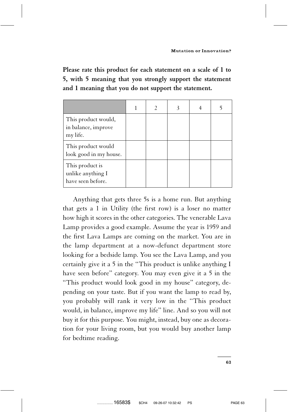**Please rate this product for each statement on a scale of 1 to 5, with 5 meaning that you strongly support the statement and 1 meaning that you do not support the statement.**

| This product would,<br>in balance, improve<br>my life.    |  |  |  |
|-----------------------------------------------------------|--|--|--|
| This product would<br>look good in my house.              |  |  |  |
| This product is<br>unlike anything I<br>have seen before. |  |  |  |

Anything that gets three 5s is a home run. But anything that gets a 1 in Utility (the first row) is a loser no matter how high it scores in the other categories. The venerable Lava Lamp provides a good example. Assume the year is 1959 and the first Lava Lamps are coming on the market. You are in the lamp department at a now-defunct department store looking for a bedside lamp. You see the Lava Lamp, and you certainly give it a 5 in the ''This product is unlike anything I have seen before'' category. You may even give it a 5 in the ''This product would look good in my house'' category, depending on your taste. But if you want the lamp to read by, you probably will rank it very low in the ''This product would, in balance, improve my life'' line. And so you will not buy it for this purpose. You might, instead, buy one as decoration for your living room, but you would buy another lamp for bedtime reading.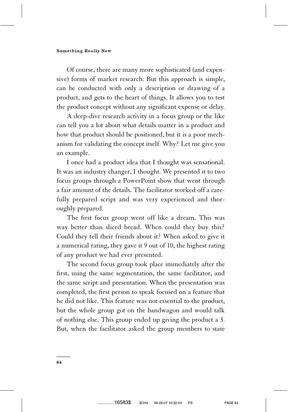Of course, there are many more sophisticated (and expensive) forms of market research. But this approach is simple, can be conducted with only a description or drawing of a product, and gets to the heart of things. It allows you to test the product concept without any significant expense or delay.

A deep-dive research activity in a focus group or the like can tell you a lot about what details matter in a product and how that product should be positioned, but it is a poor mechanism for validating the concept itself. Why? Let me give you an example.

I once had a product idea that I thought was sensational. It was an industry changer, I thought. We presented it to two focus groups through a PowerPoint show that went through a fair amount of the details. The facilitator worked off a carefully prepared script and was very experienced and thoroughly prepared.

The first focus group went off like a dream. This was way better than sliced bread. When could they buy this? Could they tell their friends about it? When asked to give it a numerical rating, they gave it 9 out of 10, the highest rating of any product we had ever presented.

The second focus group took place immediately after the first, using the same segmentation, the same facilitator, and the same script and presentation. When the presentation was completed, the first person to speak focused on a feature that he did not like. This feature was not essential to the product, but the whole group got on the bandwagon and would talk of nothing else. This group ended up giving the product a 3. But, when the facilitator asked the group members to state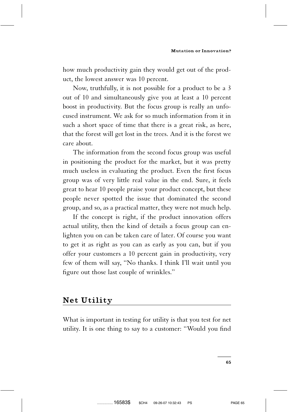how much productivity gain they would get out of the product, the lowest answer was 10 percent.

Now, truthfully, it is not possible for a product to be a 3 out of 10 and simultaneously give you at least a 10 percent boost in productivity. But the focus group is really an unfocused instrument. We ask for so much information from it in such a short space of time that there is a great risk, as here, that the forest will get lost in the trees. And it is the forest we care about.

The information from the second focus group was useful in positioning the product for the market, but it was pretty much useless in evaluating the product. Even the first focus group was of very little real value in the end. Sure, it feels great to hear 10 people praise your product concept, but these people never spotted the issue that dominated the second group, and so, as a practical matter, they were not much help.

If the concept is right, if the product innovation offers actual utility, then the kind of details a focus group can enlighten you on can be taken care of later. Of course you want to get it as right as you can as early as you can, but if you offer your customers a 10 percent gain in productivity, very few of them will say, ''No thanks. I think I'll wait until you figure out those last couple of wrinkles.''

# Net Utility

What is important in testing for utility is that you test for net utility. It is one thing to say to a customer: ''Would you find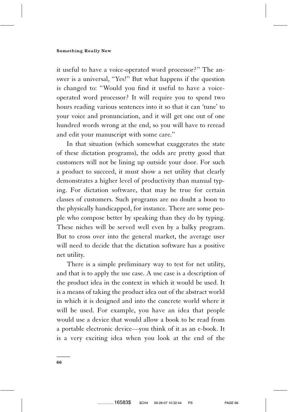#### Something Really New

it useful to have a voice-operated word processor?'' The answer is a universal, ''Yes!'' But what happens if the question is changed to: ''Would you find it useful to have a voiceoperated word processor? It will require you to spend two hours reading various sentences into it so that it can 'tune' to your voice and pronunciation, and it will get one out of one hundred words wrong at the end, so you will have to reread and edit your manuscript with some care.''

In that situation (which somewhat exaggerates the state of these dictation programs), the odds are pretty good that customers will not be lining up outside your door. For such a product to succeed, it must show a net utility that clearly demonstrates a higher level of productivity than manual typing. For dictation software, that may be true for certain classes of customers. Such programs are no doubt a boon to the physically handicapped, for instance. There are some people who compose better by speaking than they do by typing. These niches will be served well even by a balky program. But to cross over into the general market, the average user will need to decide that the dictation software has a positive net utility.

There is a simple preliminary way to test for net utility, and that is to apply the use case. A use case is a description of the product idea in the context in which it would be used. It is a means of taking the product idea out of the abstract world in which it is designed and into the concrete world where it will be used. For example, you have an idea that people would use a device that would allow a book to be read from a portable electronic device—you think of it as an e-book. It is a very exciting idea when you look at the end of the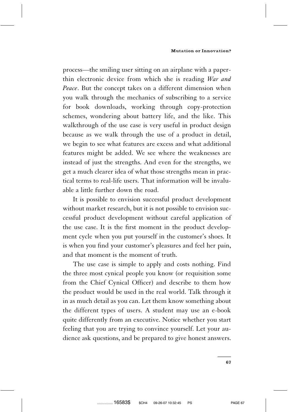process—the smiling user sitting on an airplane with a paperthin electronic device from which she is reading *War and Peace*. But the concept takes on a different dimension when you walk through the mechanics of subscribing to a service for book downloads, working through copy-protection schemes, wondering about battery life, and the like. This walkthrough of the use case is very useful in product design because as we walk through the use of a product in detail, we begin to see what features are excess and what additional features might be added. We see where the weaknesses are instead of just the strengths. And even for the strengths, we get a much clearer idea of what those strengths mean in practical terms to real-life users. That information will be invaluable a little further down the road.

It is possible to envision successful product development without market research, but it is not possible to envision successful product development without careful application of the use case. It is the first moment in the product development cycle when you put yourself in the customer's shoes. It is when you find your customer's pleasures and feel her pain, and that moment is the moment of truth.

The use case is simple to apply and costs nothing. Find the three most cynical people you know (or requisition some from the Chief Cynical Officer) and describe to them how the product would be used in the real world. Talk through it in as much detail as you can. Let them know something about the different types of users. A student may use an e-book quite differently from an executive. Notice whether you start feeling that you are trying to convince yourself. Let your audience ask questions, and be prepared to give honest answers.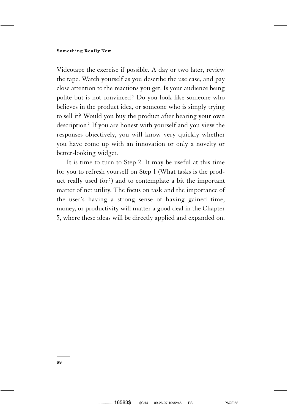#### Something Really New

Videotape the exercise if possible. A day or two later, review the tape. Watch yourself as you describe the use case, and pay close attention to the reactions you get. Is your audience being polite but is not convinced? Do you look like someone who believes in the product idea, or someone who is simply trying to sell it? Would you buy the product after hearing your own description? If you are honest with yourself and you view the responses objectively, you will know very quickly whether you have come up with an innovation or only a novelty or better-looking widget.

It is time to turn to Step 2. It may be useful at this time for you to refresh yourself on Step 1 (What tasks is the product really used for?) and to contemplate a bit the important matter of net utility. The focus on task and the importance of the user's having a strong sense of having gained time, money, or productivity will matter a good deal in the Chapter 5, where these ideas will be directly applied and expanded on.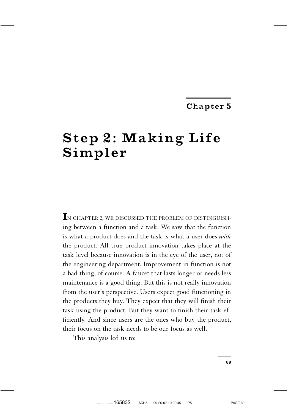# Chapter 5

# Step 2: Making Life Simpler

 $\mathbf I$ N CHAPTER 2, WE DISCUSSED THE PROBLEM OF DISTINGUISHing between a function and a task. We saw that the function is what a product does and the task is what a user does *with* the product. All true product innovation takes place at the task level because innovation is in the eye of the user, not of the engineering department. Improvement in function is not a bad thing, of course. A faucet that lasts longer or needs less maintenance is a good thing. But this is not really innovation from the user's perspective. Users expect good functioning in the products they buy. They expect that they will finish their task using the product. But they want to finish their task efficiently. And since users are the ones who buy the product, their focus on the task needs to be our focus as well.

This analysis led us to: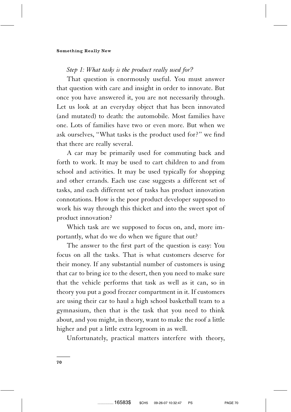### *Step 1: What tasks is the product really used for?*

That question is enormously useful. You must answer that question with care and insight in order to innovate. But once you have answered it, you are not necessarily through. Let us look at an everyday object that has been innovated (and mutated) to death: the automobile. Most families have one. Lots of families have two or even more. But when we ask ourselves, ''What tasks is the product used for?'' we find that there are really several.

A car may be primarily used for commuting back and forth to work. It may be used to cart children to and from school and activities. It may be used typically for shopping and other errands. Each use case suggests a different set of tasks, and each different set of tasks has product innovation connotations. How is the poor product developer supposed to work his way through this thicket and into the sweet spot of product innovation?

Which task are we supposed to focus on, and, more importantly, what do we do when we figure that out?

The answer to the first part of the question is easy: You focus on all the tasks. That is what customers deserve for their money. If any substantial number of customers is using that car to bring ice to the desert, then you need to make sure that the vehicle performs that task as well as it can, so in theory you put a good freezer compartment in it. If customers are using their car to haul a high school basketball team to a gymnasium, then that is the task that you need to think about, and you might, in theory, want to make the roof a little higher and put a little extra legroom in as well.

Unfortunately, practical matters interfere with theory,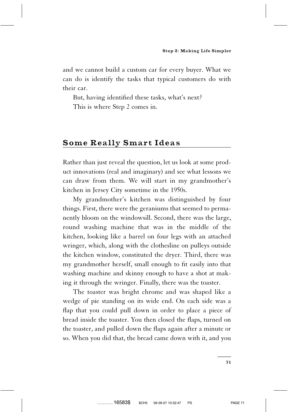and we cannot build a custom car for every buyer. What we can do is identify the tasks that typical customers do with their car.

But, having identified these tasks, what's next? This is where Step 2 comes in.

### Some Really Smart Ideas

Rather than just reveal the question, let us look at some product innovations (real and imaginary) and see what lessons we can draw from them. We will start in my grandmother's kitchen in Jersey City sometime in the 1950s.

My grandmother's kitchen was distinguished by four things. First, there were the geraniums that seemed to permanently bloom on the windowsill. Second, there was the large, round washing machine that was in the middle of the kitchen, looking like a barrel on four legs with an attached wringer, which, along with the clothesline on pulleys outside the kitchen window, constituted the dryer. Third, there was my grandmother herself, small enough to fit easily into that washing machine and skinny enough to have a shot at making it through the wringer. Finally, there was the toaster.

The toaster was bright chrome and was shaped like a wedge of pie standing on its wide end. On each side was a flap that you could pull down in order to place a piece of bread inside the toaster. You then closed the flaps, turned on the toaster, and pulled down the flaps again after a minute or so. When you did that, the bread came down with it, and you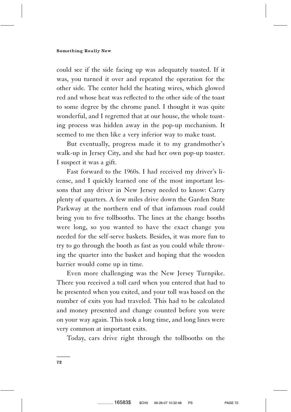could see if the side facing up was adequately toasted. If it was, you turned it over and repeated the operation for the other side. The center held the heating wires, which glowed red and whose heat was reflected to the other side of the toast to some degree by the chrome panel. I thought it was quite wonderful, and I regretted that at our house, the whole toasting process was hidden away in the pop-up mechanism. It seemed to me then like a very inferior way to make toast.

But eventually, progress made it to my grandmother's walk-up in Jersey City, and she had her own pop-up toaster. I suspect it was a gift.

Fast forward to the 1960s. I had received my driver's license, and I quickly learned one of the most important lessons that any driver in New Jersey needed to know: Carry plenty of quarters. A few miles drive down the Garden State Parkway at the northern end of that infamous road could bring you to five tollbooths. The lines at the change booths were long, so you wanted to have the exact change you needed for the self-serve baskets. Besides, it was more fun to try to go through the booth as fast as you could while throwing the quarter into the basket and hoping that the wooden barrier would come up in time.

Even more challenging was the New Jersey Turnpike. There you received a toll card when you entered that had to be presented when you exited, and your toll was based on the number of exits you had traveled. This had to be calculated and money presented and change counted before you were on your way again. This took a long time, and long lines were very common at important exits.

Today, cars drive right through the tollbooths on the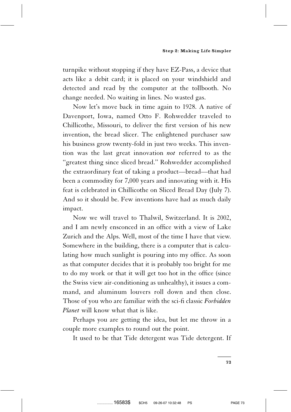turnpike without stopping if they have EZ-Pass, a device that acts like a debit card; it is placed on your windshield and detected and read by the computer at the tollbooth. No change needed. No waiting in lines. No wasted gas.

Now let's move back in time again to 1928. A native of Davenport, Iowa, named Otto F. Rohwedder traveled to Chillicothe, Missouri, to deliver the first version of his new invention, the bread slicer. The enlightened purchaser saw his business grow twenty-fold in just two weeks. This invention was the last great innovation *not* referred to as the "greatest thing since sliced bread." Rohwedder accomplished the extraordinary feat of taking a product—bread—that had been a commodity for 7,000 years and innovating with it. His feat is celebrated in Chillicothe on Sliced Bread Day (July 7). And so it should be. Few inventions have had as much daily impact.

Now we will travel to Thalwil, Switzerland. It is 2002, and I am newly ensconced in an office with a view of Lake Zurich and the Alps. Well, most of the time I have that view. Somewhere in the building, there is a computer that is calculating how much sunlight is pouring into my office. As soon as that computer decides that it is probably too bright for me to do my work or that it will get too hot in the office (since the Swiss view air-conditioning as unhealthy), it issues a command, and aluminum louvers roll down and then close. Those of you who are familiar with the sci-fi classic *Forbidden Planet* will know what that is like.

Perhaps you are getting the idea, but let me throw in a couple more examples to round out the point.

It used to be that Tide detergent was Tide detergent. If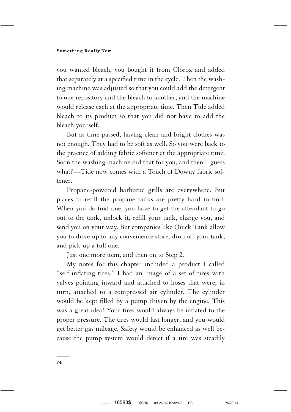#### Something Really New

you wanted bleach, you bought it from Clorox and added that separately at a specified time in the cycle. Then the washing machine was adjusted so that you could add the detergent to one repository and the bleach to another, and the machine would release each at the appropriate time. Then Tide added bleach to its product so that you did not have to add the bleach yourself.

But as time passed, having clean and bright clothes was not enough. They had to be soft as well. So you were back to the practice of adding fabric softener at the appropriate time. Soon the washing machine did that for you, and then—guess what?—Tide now comes with a Touch of Downy fabric softener.

Propane-powered barbecue grills are everywhere. But places to refill the propane tanks are pretty hard to find. When you do find one, you have to get the attendant to go out to the tank, unlock it, refill your tank, charge you, and send you on your way. But companies like Quick Tank allow you to drive up to any convenience store, drop off your tank, and pick up a full one.

Just one more item, and then on to Step 2.

My notes for this chapter included a product I called ''self-inflating tires.'' I had an image of a set of tires with valves pointing inward and attached to hoses that were, in turn, attached to a compressed air cylinder. The cylinder would be kept filled by a pump driven by the engine. This was a great idea! Your tires would always be inflated to the proper pressure. The tires would last longer, and you would get better gas mileage. Safety would be enhanced as well because the pump system would detect if a tire was steadily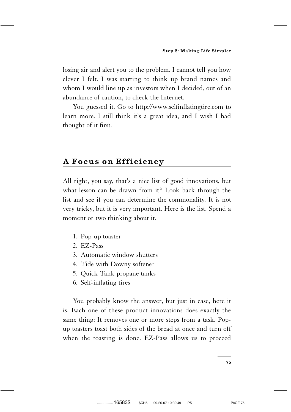losing air and alert you to the problem. I cannot tell you how clever I felt. I was starting to think up brand names and whom I would line up as investors when I decided, out of an abundance of caution, to check the Internet.

You guessed it. Go to http://www.selfinflatingtire.com to learn more. I still think it's a great idea, and I wish I had thought of it first.

### A Focus on Efficiency

All right, you say, that's a nice list of good innovations, but what lesson can be drawn from it? Look back through the list and see if you can determine the commonality. It is not very tricky, but it is very important. Here is the list. Spend a moment or two thinking about it.

- 1. Pop-up toaster
- 2. EZ-Pass
- 3. Automatic window shutters
- 4. Tide with Downy softener
- 5. Quick Tank propane tanks
- 6. Self-inflating tires

You probably know the answer, but just in case, here it is. Each one of these product innovations does exactly the same thing: It removes one or more steps from a task. Popup toasters toast both sides of the bread at once and turn off when the toasting is done. EZ-Pass allows us to proceed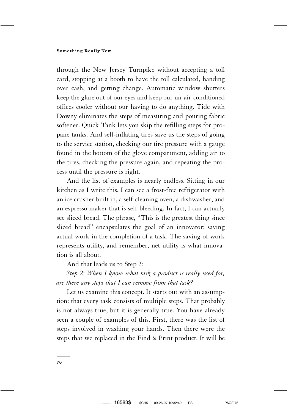through the New Jersey Turnpike without accepting a toll card, stopping at a booth to have the toll calculated, handing over cash, and getting change. Automatic window shutters keep the glare out of our eyes and keep our un-air-conditioned offices cooler without our having to do anything. Tide with Downy eliminates the steps of measuring and pouring fabric softener. Quick Tank lets you skip the refilling steps for propane tanks. And self-inflating tires save us the steps of going to the service station, checking our tire pressure with a gauge found in the bottom of the glove compartment, adding air to the tires, checking the pressure again, and repeating the process until the pressure is right.

And the list of examples is nearly endless. Sitting in our kitchen as I write this, I can see a frost-free refrigerator with an ice crusher built in, a self-cleaning oven, a dishwasher, and an espresso maker that is self-bleeding. In fact, I can actually see sliced bread. The phrase, ''This is the greatest thing since sliced bread'' encapsulates the goal of an innovator: saving actual work in the completion of a task. The saving of work represents utility, and remember, net utility is what innovation is all about.

And that leads us to Step 2:

*Step 2: When I know what task a product is really used for, are there any steps that I can remove from that task?*

Let us examine this concept. It starts out with an assumption: that every task consists of multiple steps. That probably is not always true, but it is generally true. You have already seen a couple of examples of this. First, there was the list of steps involved in washing your hands. Then there were the steps that we replaced in the Find & Print product. It will be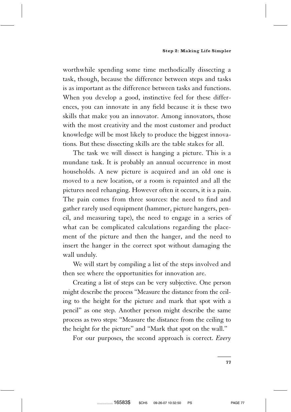worthwhile spending some time methodically dissecting a task, though, because the difference between steps and tasks is as important as the difference between tasks and functions. When you develop a good, instinctive feel for these differences, you can innovate in any field because it is these two skills that make you an innovator. Among innovators, those with the most creativity and the most customer and product knowledge will be most likely to produce the biggest innovations. But these dissecting skills are the table stakes for all.

The task we will dissect is hanging a picture. This is a mundane task. It is probably an annual occurrence in most households. A new picture is acquired and an old one is moved to a new location, or a room is repainted and all the pictures need rehanging. However often it occurs, it is a pain. The pain comes from three sources: the need to find and gather rarely used equipment (hammer, picture hangers, pencil, and measuring tape), the need to engage in a series of what can be complicated calculations regarding the placement of the picture and then the hanger, and the need to insert the hanger in the correct spot without damaging the wall unduly.

We will start by compiling a list of the steps involved and then see where the opportunities for innovation are.

Creating a list of steps can be very subjective. One person might describe the process ''Measure the distance from the ceiling to the height for the picture and mark that spot with a pencil'' as one step. Another person might describe the same process as two steps: ''Measure the distance from the ceiling to the height for the picture'' and ''Mark that spot on the wall.''

For our purposes, the second approach is correct. *Every*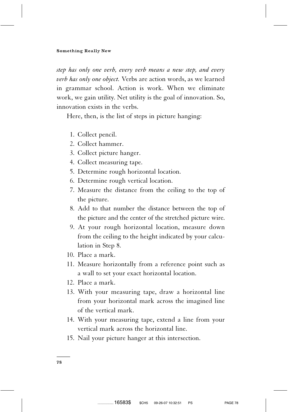*step has only one verb, every verb means a new step, and every verb has only one object.* Verbs are action words, as we learned in grammar school. Action is work. When we eliminate work, we gain utility. Net utility is the goal of innovation. So, innovation exists in the verbs.

Here, then, is the list of steps in picture hanging:

- 1. Collect pencil.
- 2. Collect hammer.
- 3. Collect picture hanger.
- 4. Collect measuring tape.
- 5. Determine rough horizontal location.
- 6. Determine rough vertical location.
- 7. Measure the distance from the ceiling to the top of the picture.
- 8. Add to that number the distance between the top of the picture and the center of the stretched picture wire.
- 9. At your rough horizontal location, measure down from the ceiling to the height indicated by your calculation in Step 8.
- 10. Place a mark.
- 11. Measure horizontally from a reference point such as a wall to set your exact horizontal location.
- 12. Place a mark.
- 13. With your measuring tape, draw a horizontal line from your horizontal mark across the imagined line of the vertical mark.
- 14. With your measuring tape, extend a line from your vertical mark across the horizontal line.
- 15. Nail your picture hanger at this intersection.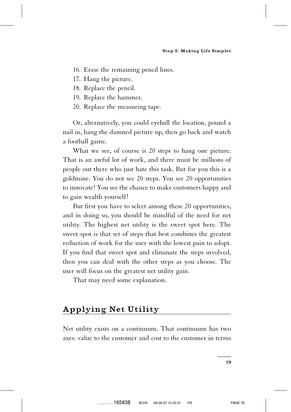- 16. Erase the remaining pencil lines.
- 17. Hang the picture.
- 18. Replace the pencil.
- 19. Replace the hammer.
- 20. Replace the measuring tape.

Or, alternatively, you could eyeball the location, pound a nail in, hang the damned picture up, then go back and watch a football game.

What we see, of course is 20 steps to hang one picture. That is an awful lot of work, and there must be millions of people out there who just hate this task. But for you this is a goldmine. You do not see 20 steps. You see 20 opportunities to innovate! You see the chance to make customers happy and to gain wealth yourself!

But first you have to select among these 20 opportunities, and in doing so, you should be mindful of the need for net utility. The highest net utility is the sweet spot here. The sweet spot is that set of steps that best combines the greatest reduction of work for the user with the lowest pain to adopt. If you find that sweet spot and eliminate the steps involved, then you can deal with the other steps as you choose. The user will focus on the greatest net utility gain.

That may need some explanation.

# Applying Net Utility

Net utility exists on a continuum. That continuum has two axes: value to the customer and cost to the customer in terms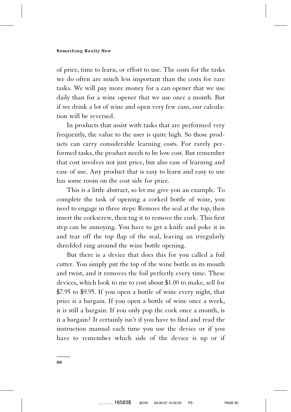of price, time to learn, or effort to use. The costs for the tasks we do often are much less important than the costs for rare tasks. We will pay more money for a can opener that we use daily than for a wine opener that we use once a month. But if we drink a lot of wine and open very few cans, our calculation will be reversed.

In products that assist with tasks that are performed very frequently, the value to the user is quite high. So those products can carry considerable learning costs. For rarely performed tasks, the product needs to be low cost. But remember that cost involves not just price, but also ease of learning and ease of use. Any product that is easy to learn and easy to use has some room on the cost side for price.

This is a little abstract, so let me give you an example. To complete the task of opening a corked bottle of wine, you need to engage in three steps: Remove the seal at the top, then insert the corkscrew, then tug it to remove the cork. This first step can be annoying. You have to get a knife and poke it in and tear off the top flap of the seal, leaving an irregularly shredded ring around the wine bottle opening.

But there is a device that does this for you called a foil cutter. You simply put the top of the wine bottle in its mouth and twist, and it removes the foil perfectly every time. These devices, which look to me to cost about \$1.00 to make, sell for \$7.95 to \$9.95. If you open a bottle of wine every night, that price is a bargain. If you open a bottle of wine once a week, it is still a bargain. If you only pop the cork once a month, is it a bargain? It certainly isn't if you have to find and read the instruction manual each time you use the device or if you have to remember which side of the device is up or if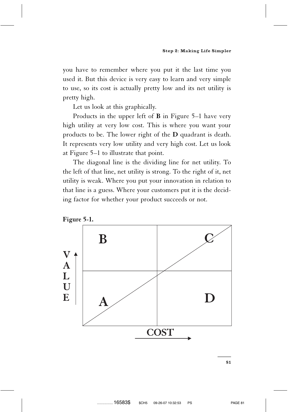you have to remember where you put it the last time you used it. But this device is very easy to learn and very simple to use, so its cost is actually pretty low and its net utility is pretty high.

Let us look at this graphically.

Products in the upper left of **B** in Figure 5–1 have very high utility at very low cost. This is where you want your products to be. The lower right of the **D** quadrant is death. It represents very low utility and very high cost. Let us look at Figure 5–1 to illustrate that point.

The diagonal line is the dividing line for net utility. To the left of that line, net utility is strong. To the right of it, net utility is weak. Where you put your innovation in relation to that line is a guess. Where your customers put it is the deciding factor for whether your product succeeds or not.



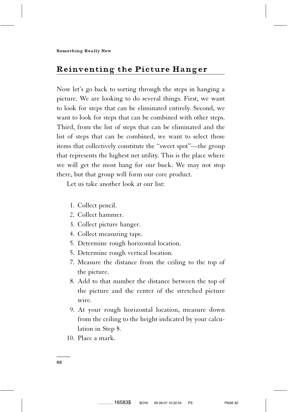# Reinventing the Picture Hanger

Now let's go back to sorting through the steps in hanging a picture. We are looking to do several things. First, we want to look for steps that can be eliminated entirely. Second, we want to look for steps that can be combined with other steps. Third, from the list of steps that can be eliminated and the list of steps that can be combined, we want to select those items that collectively constitute the ''sweet spot''—the group that represents the highest net utility. This is the place where we will get the most bang for our buck. We may not stop there, but that group will form our core product.

Let us take another look at our list:

- 1. Collect pencil.
- 2. Collect hammer.
- 3. Collect picture hanger.
- 4. Collect measuring tape.
- 5. Determine rough horizontal location.
- 5. Determine rough vertical location.
- 7. Measure the distance from the ceiling to the top of the picture.
- 8. Add to that number the distance between the top of the picture and the center of the stretched picture wire.
- 9. At your rough horizontal location, measure down from the ceiling to the height indicated by your calculation in Step 8.
- 10. Place a mark.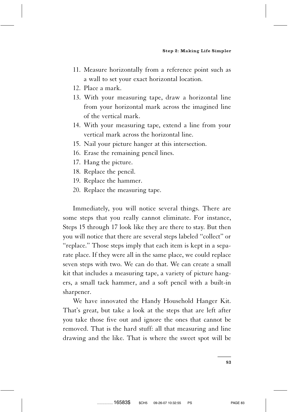- 11. Measure horizontally from a reference point such as a wall to set your exact horizontal location.
- 12. Place a mark.
- 13. With your measuring tape, draw a horizontal line from your horizontal mark across the imagined line of the vertical mark.
- 14. With your measuring tape, extend a line from your vertical mark across the horizontal line.
- 15. Nail your picture hanger at this intersection.
- 16. Erase the remaining pencil lines.
- 17. Hang the picture.
- 18. Replace the pencil.
- 19. Replace the hammer.
- 20. Replace the measuring tape.

Immediately, you will notice several things. There are some steps that you really cannot eliminate. For instance, Steps 15 through 17 look like they are there to stay. But then you will notice that there are several steps labeled ''collect'' or "replace." Those steps imply that each item is kept in a separate place. If they were all in the same place, we could replace seven steps with two. We can do that. We can create a small kit that includes a measuring tape, a variety of picture hangers, a small tack hammer, and a soft pencil with a built-in sharpener.

We have innovated the Handy Household Hanger Kit. That's great, but take a look at the steps that are left after you take those five out and ignore the ones that cannot be removed. That is the hard stuff: all that measuring and line drawing and the like. That is where the sweet spot will be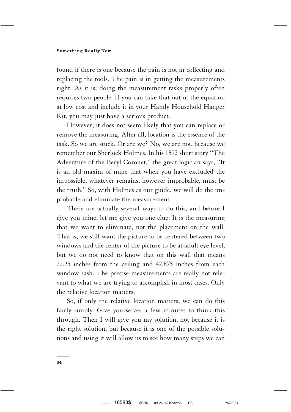found if there is one because the pain is not in collecting and replacing the tools. The pain is in getting the measurements right. As it is, doing the measurement tasks properly often requires two people. If you can take that out of the equation at low cost and include it in your Handy Household Hanger Kit, you may just have a serious product.

However, it does not seem likely that you can replace or remove the measuring. After all, location is the essence of the task. So we are stuck. Or are we? No, we are not, because we remember our Sherlock Holmes. In his 1892 short story ''The Adventure of the Beryl Coronet,'' the great logician says, ''It is an old maxim of mine that when you have excluded the impossible, whatever remains, however improbable, must be the truth.'' So, with Holmes as our guide, we will do the improbable and eliminate the measurement.

There are actually several ways to do this, and before I give you mine, let me give you one clue: It is the measuring that we want to eliminate, not the placement on the wall. That is, we still want the picture to be centered between two windows and the center of the picture to be at adult eye level, but we do not need to know that on this wall that means 22.25 inches from the ceiling and 42.875 inches from each window sash. The precise measurements are really not relevant to what we are trying to accomplish in most cases. Only the relative location matters.

So, if only the relative location matters, we can do this fairly simply. Give yourselves a few minutes to think this through. Then I will give you my solution, not because it is the right solution, but because it is one of the possible solutions and using it will allow us to see how many steps we can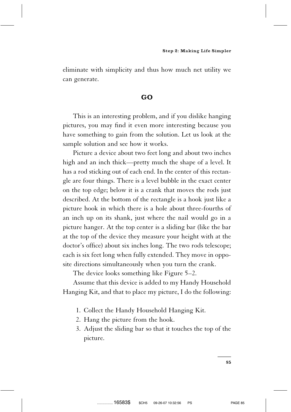eliminate with simplicity and thus how much net utility we can generate.

#### GO

This is an interesting problem, and if you dislike hanging pictures, you may find it even more interesting because you have something to gain from the solution. Let us look at the sample solution and see how it works.

Picture a device about two feet long and about two inches high and an inch thick—pretty much the shape of a level. It has a rod sticking out of each end. In the center of this rectangle are four things. There is a level bubble in the exact center on the top edge; below it is a crank that moves the rods just described. At the bottom of the rectangle is a hook just like a picture hook in which there is a hole about three-fourths of an inch up on its shank, just where the nail would go in a picture hanger. At the top center is a sliding bar (like the bar at the top of the device they measure your height with at the doctor's office) about six inches long. The two rods telescope; each is six feet long when fully extended. They move in opposite directions simultaneously when you turn the crank.

The device looks something like Figure 5–2.

Assume that this device is added to my Handy Household Hanging Kit, and that to place my picture, I do the following:

- 1. Collect the Handy Household Hanging Kit.
- 2. Hang the picture from the hook.
- 3. Adjust the sliding bar so that it touches the top of the picture.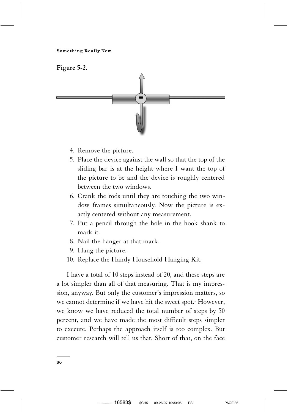**Figure 5-2.**



- 4. Remove the picture.
- 5. Place the device against the wall so that the top of the sliding bar is at the height where I want the top of the picture to be and the device is roughly centered between the two windows.
- 6. Crank the rods until they are touching the two window frames simultaneously. Now the picture is exactly centered without any measurement.
- 7. Put a pencil through the hole in the hook shank to mark it.
- 8. Nail the hanger at that mark.
- 9. Hang the picture.
- 10. Replace the Handy Household Hanging Kit.

I have a total of 10 steps instead of 20, and these steps are a lot simpler than all of that measuring. That is my impression, anyway. But only the customer's impression matters, so we cannot determine if we have hit the sweet spot.<sup>1</sup> However, we know we have reduced the total number of steps by 50 percent, and we have made the most difficult steps simpler to execute. Perhaps the approach itself is too complex. But customer research will tell us that. Short of that, on the face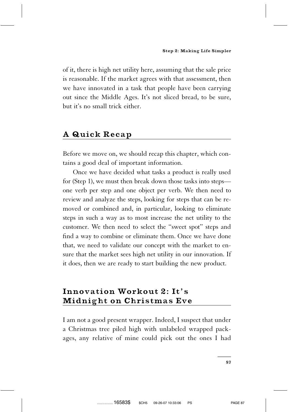of it, there is high net utility here, assuming that the sale price is reasonable. If the market agrees with that assessment, then we have innovated in a task that people have been carrying out since the Middle Ages. It's not sliced bread, to be sure, but it's no small trick either.

### A Quick Recap

Before we move on, we should recap this chapter, which contains a good deal of important information.

Once we have decided what tasks a product is really used for (Step 1), we must then break down those tasks into steps one verb per step and one object per verb. We then need to review and analyze the steps, looking for steps that can be removed or combined and, in particular, looking to eliminate steps in such a way as to most increase the net utility to the customer. We then need to select the ''sweet spot'' steps and find a way to combine or eliminate them. Once we have done that, we need to validate our concept with the market to ensure that the market sees high net utility in our innovation. If it does, then we are ready to start building the new product.

## Innovation Workout 2: It's Midnight on Christmas Eve

I am not a good present wrapper. Indeed, I suspect that under a Christmas tree piled high with unlabeled wrapped packages, any relative of mine could pick out the ones I had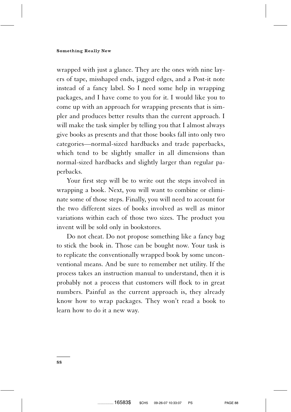wrapped with just a glance. They are the ones with nine layers of tape, misshaped ends, jagged edges, and a Post-it note instead of a fancy label. So I need some help in wrapping packages, and I have come to you for it. I would like you to come up with an approach for wrapping presents that is simpler and produces better results than the current approach. I will make the task simpler by telling you that I almost always give books as presents and that those books fall into only two categories—normal-sized hardbacks and trade paperbacks, which tend to be slightly smaller in all dimensions than normal-sized hardbacks and slightly larger than regular paperbacks.

Your first step will be to write out the steps involved in wrapping a book. Next, you will want to combine or eliminate some of those steps. Finally, you will need to account for the two different sizes of books involved as well as minor variations within each of those two sizes. The product you invent will be sold only in bookstores.

Do not cheat. Do not propose something like a fancy bag to stick the book in. Those can be bought now. Your task is to replicate the conventionally wrapped book by some unconventional means. And be sure to remember net utility. If the process takes an instruction manual to understand, then it is probably not a process that customers will flock to in great numbers. Painful as the current approach is, they already know how to wrap packages. They won't read a book to learn how to do it a new way.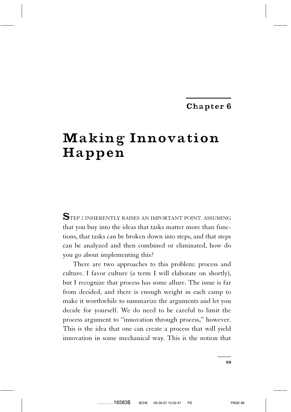### Chapter 6

# Making Innovation Happen

STEP 2 INHERENTLY RAISES AN IMPORTANT POINT. ASSUMING that you buy into the ideas that tasks matter more than functions, that tasks can be broken down into steps, and that steps can be analyzed and then combined or eliminated, how do you go about implementing this?

There are two approaches to this problem: process and culture. I favor culture (a term I will elaborate on shortly), but I recognize that process has some allure. The issue is far from decided, and there is enough weight in each camp to make it worthwhile to summarize the arguments and let you decide for yourself. We do need to be careful to limit the process argument to ''innovation through process,'' however. This is the idea that one can create a process that will yield innovation in some mechanical way. This is the notion that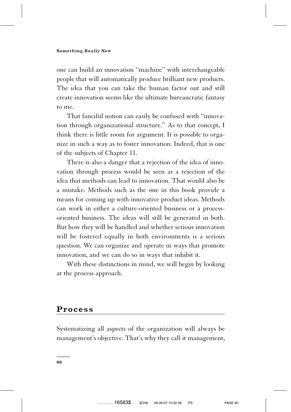one can build an innovation ''machine'' with interchangeable people that will automatically produce brilliant new products. The idea that you can take the human factor out and still create innovation seems like the ultimate bureaucratic fantasy to me.

That fanciful notion can easily be confused with ''innovation through organizational structure.'' As to that concept, I think there is little room for argument. It is possible to organize in such a way as to foster innovation. Indeed, that is one of the subjects of Chapter 11.

There is also a danger that a rejection of the idea of innovation through process would be seen as a rejection of the idea that methods can lead to innovation. That would also be a mistake. Methods such as the one in this book provide a means for coming up with innovative product ideas. Methods can work in either a culture-oriented business or a processoriented business. The ideas will still be generated in both. But how they will be handled and whether serious innovation will be fostered equally in both environments is a serious question. We can organize and operate in ways that promote innovation, and we can do so in ways that inhibit it.

With these distinctions in mind, we will begin by looking at the process approach.

### Process

Systematizing all aspects of the organization will always be management's objective. That's why they call it management,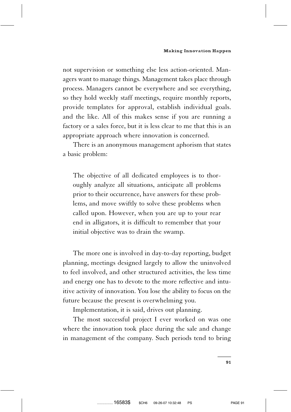not supervision or something else less action-oriented. Managers want to manage things. Management takes place through process. Managers cannot be everywhere and see everything, so they hold weekly staff meetings, require monthly reports, provide templates for approval, establish individual goals. and the like. All of this makes sense if you are running a factory or a sales force, but it is less clear to me that this is an appropriate approach where innovation is concerned.

There is an anonymous management aphorism that states a basic problem:

The objective of all dedicated employees is to thoroughly analyze all situations, anticipate all problems prior to their occurrence, have answers for these problems, and move swiftly to solve these problems when called upon. However, when you are up to your rear end in alligators, it is difficult to remember that your initial objective was to drain the swamp.

The more one is involved in day-to-day reporting, budget planning, meetings designed largely to allow the uninvolved to feel involved, and other structured activities, the less time and energy one has to devote to the more reflective and intuitive activity of innovation. You lose the ability to focus on the future because the present is overwhelming you.

Implementation, it is said, drives out planning.

The most successful project I ever worked on was one where the innovation took place during the sale and change in management of the company. Such periods tend to bring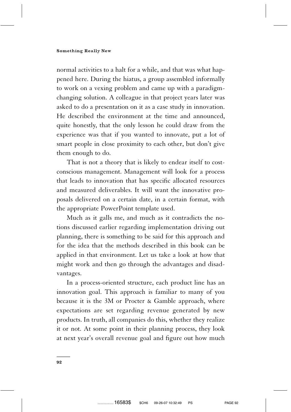normal activities to a halt for a while, and that was what happened here. During the hiatus, a group assembled informally to work on a vexing problem and came up with a paradigmchanging solution. A colleague in that project years later was asked to do a presentation on it as a case study in innovation. He described the environment at the time and announced, quite honestly, that the only lesson he could draw from the experience was that if you wanted to innovate, put a lot of smart people in close proximity to each other, but don't give them enough to do.

That is not a theory that is likely to endear itself to costconscious management. Management will look for a process that leads to innovation that has specific allocated resources and measured deliverables. It will want the innovative proposals delivered on a certain date, in a certain format, with the appropriate PowerPoint template used.

Much as it galls me, and much as it contradicts the notions discussed earlier regarding implementation driving out planning, there is something to be said for this approach and for the idea that the methods described in this book can be applied in that environment. Let us take a look at how that might work and then go through the advantages and disadvantages.

In a process-oriented structure, each product line has an innovation goal. This approach is familiar to many of you because it is the 3M or Procter & Gamble approach, where expectations are set regarding revenue generated by new products. In truth, all companies do this, whether they realize it or not. At some point in their planning process, they look at next year's overall revenue goal and figure out how much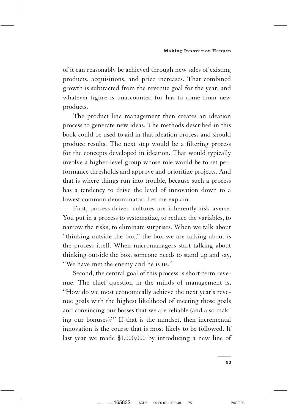of it can reasonably be achieved through new sales of existing products, acquisitions, and price increases. That combined growth is subtracted from the revenue goal for the year, and whatever figure is unaccounted for has to come from new products.

The product line management then creates an ideation process to generate new ideas. The methods described in this book could be used to aid in that ideation process and should produce results. The next step would be a filtering process for the concepts developed in ideation. That would typically involve a higher-level group whose role would be to set performance thresholds and approve and prioritize projects. And that is where things run into trouble, because such a process has a tendency to drive the level of innovation down to a lowest common denominator. Let me explain.

First, process-driven cultures are inherently risk averse. You put in a process to systematize, to reduce the variables, to narrow the risks, to eliminate surprises. When we talk about "thinking outside the box," the box we are talking about is the process itself. When micromanagers start talking about thinking outside the box, someone needs to stand up and say, ''We have met the enemy and he is us.''

Second, the central goal of this process is short-term revenue. The chief question in the minds of management is, ''How do we most economically achieve the next year's revenue goals with the highest likelihood of meeting those goals and convincing our bosses that we are reliable (and also making our bonuses)?'' If that is the mindset, then incremental innovation is the course that is most likely to be followed. If last year we made \$1,000,000 by introducing a new line of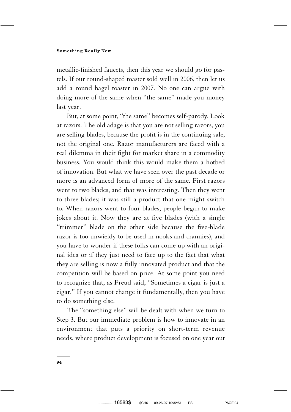metallic-finished faucets, then this year we should go for pastels. If our round-shaped toaster sold well in 2006, then let us add a round bagel toaster in 2007. No one can argue with doing more of the same when ''the same'' made you money last year.

But, at some point, ''the same'' becomes self-parody. Look at razors. The old adage is that you are not selling razors, you are selling blades, because the profit is in the continuing sale, not the original one. Razor manufacturers are faced with a real dilemma in their fight for market share in a commodity business. You would think this would make them a hotbed of innovation. But what we have seen over the past decade or more is an advanced form of more of the same. First razors went to two blades, and that was interesting. Then they went to three blades; it was still a product that one might switch to. When razors went to four blades, people began to make jokes about it. Now they are at five blades (with a single ''trimmer'' blade on the other side because the five-blade razor is too unwieldy to be used in nooks and crannies), and you have to wonder if these folks can come up with an original idea or if they just need to face up to the fact that what they are selling is now a fully innovated product and that the competition will be based on price. At some point you need to recognize that, as Freud said, ''Sometimes a cigar is just a cigar.'' If you cannot change it fundamentally, then you have to do something else.

The ''something else'' will be dealt with when we turn to Step 3. But our immediate problem is how to innovate in an environment that puts a priority on short-term revenue needs, where product development is focused on one year out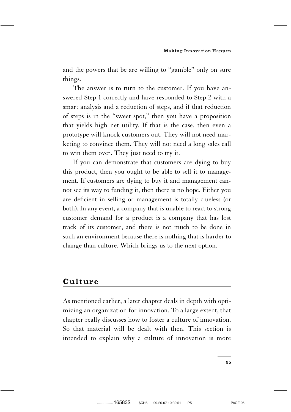and the powers that be are willing to ''gamble'' only on sure things.

The answer is to turn to the customer. If you have answered Step 1 correctly and have responded to Step 2 with a smart analysis and a reduction of steps, and if that reduction of steps is in the ''sweet spot,'' then you have a proposition that yields high net utility. If that is the case, then even a prototype will knock customers out. They will not need marketing to convince them. They will not need a long sales call to win them over. They just need to try it.

If you can demonstrate that customers are dying to buy this product, then you ought to be able to sell it to management. If customers are dying to buy it and management cannot see its way to funding it, then there is no hope. Either you are deficient in selling or management is totally clueless (or both). In any event, a company that is unable to react to strong customer demand for a product is a company that has lost track of its customer, and there is not much to be done in such an environment because there is nothing that is harder to change than culture. Which brings us to the next option.

## Culture

As mentioned earlier, a later chapter deals in depth with optimizing an organization for innovation. To a large extent, that chapter really discusses how to foster a culture of innovation. So that material will be dealt with then. This section is intended to explain why a culture of innovation is more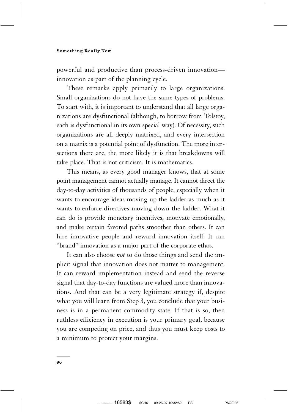powerful and productive than process-driven innovation innovation as part of the planning cycle.

These remarks apply primarily to large organizations. Small organizations do not have the same types of problems. To start with, it is important to understand that all large organizations are dysfunctional (although, to borrow from Tolstoy, each is dysfunctional in its own special way). Of necessity, such organizations are all deeply matrixed, and every intersection on a matrix is a potential point of dysfunction. The more intersections there are, the more likely it is that breakdowns will take place. That is not criticism. It is mathematics.

This means, as every good manager knows, that at some point management cannot actually manage. It cannot direct the day-to-day activities of thousands of people, especially when it wants to encourage ideas moving up the ladder as much as it wants to enforce directives moving down the ladder. What it can do is provide monetary incentives, motivate emotionally, and make certain favored paths smoother than others. It can hire innovative people and reward innovation itself. It can "brand" innovation as a major part of the corporate ethos.

It can also choose *not* to do those things and send the implicit signal that innovation does not matter to management. It can reward implementation instead and send the reverse signal that day-to-day functions are valued more than innovations. And that can be a very legitimate strategy if, despite what you will learn from Step 3, you conclude that your business is in a permanent commodity state. If that is so, then ruthless efficiency in execution is your primary goal, because you are competing on price, and thus you must keep costs to a minimum to protect your margins.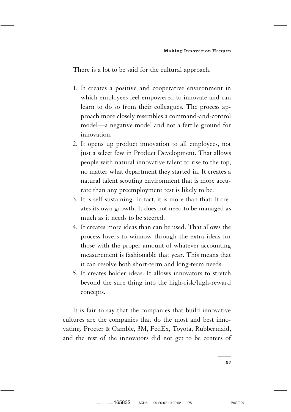There is a lot to be said for the cultural approach.

- 1. It creates a positive and cooperative environment in which employees feel empowered to innovate and can learn to do so from their colleagues. The process approach more closely resembles a command-and-control model—a negative model and not a fertile ground for innovation.
- 2. It opens up product innovation to all employees, not just a select few in Product Development. That allows people with natural innovative talent to rise to the top, no matter what department they started in. It creates a natural talent scouting environment that is more accurate than any preemployment test is likely to be.
- 3. It is self-sustaining. In fact, it is more than that: It creates its own growth. It does not need to be managed as much as it needs to be steered.
- 4. It creates more ideas than can be used. That allows the process lovers to winnow through the extra ideas for those with the proper amount of whatever accounting measurement is fashionable that year. This means that it can resolve both short-term and long-term needs.
- 5. It creates bolder ideas. It allows innovators to stretch beyond the sure thing into the high-risk/high-reward concepts.

It is fair to say that the companies that build innovative cultures are the companies that do the most and best innovating. Procter & Gamble, 3M, FedEx, Toyota, Rubbermaid, and the rest of the innovators did not get to be centers of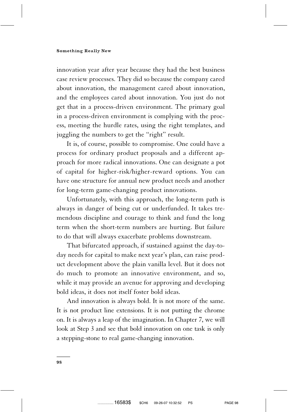#### Something Really New

innovation year after year because they had the best business case review processes. They did so because the company cared about innovation, the management cared about innovation, and the employees cared about innovation. You just do not get that in a process-driven environment. The primary goal in a process-driven environment is complying with the process, meeting the hurdle rates, using the right templates, and juggling the numbers to get the "right" result.

It is, of course, possible to compromise. One could have a process for ordinary product proposals and a different approach for more radical innovations. One can designate a pot of capital for higher-risk/higher-reward options. You can have one structure for annual new product needs and another for long-term game-changing product innovations.

Unfortunately, with this approach, the long-term path is always in danger of being cut or underfunded. It takes tremendous discipline and courage to think and fund the long term when the short-term numbers are hurting. But failure to do that will always exacerbate problems downstream.

That bifurcated approach, if sustained against the day-today needs for capital to make next year's plan, can raise product development above the plain vanilla level. But it does not do much to promote an innovative environment, and so, while it may provide an avenue for approving and developing bold ideas, it does not itself foster bold ideas.

And innovation is always bold. It is not more of the same. It is not product line extensions. It is not putting the chrome on. It is always a leap of the imagination. In Chapter 7, we will look at Step 3 and see that bold innovation on one task is only a stepping-stone to real game-changing innovation.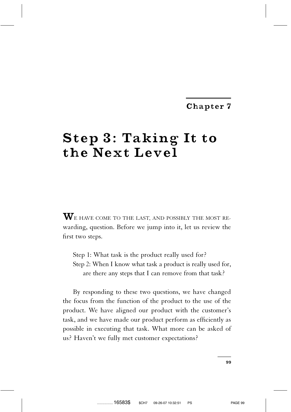## Chapter 7

# Step 3: Taking It to the Next Level

WE HAVE COME TO THE LAST, AND POSSIBLY THE MOST REwarding, question. Before we jump into it, let us review the first two steps.

Step 1: What task is the product really used for? Step 2: When I know what task a product is really used for, are there any steps that I can remove from that task?

By responding to these two questions, we have changed the focus from the function of the product to the use of the product. We have aligned our product with the customer's task, and we have made our product perform as efficiently as possible in executing that task. What more can be asked of us? Haven't we fully met customer expectations?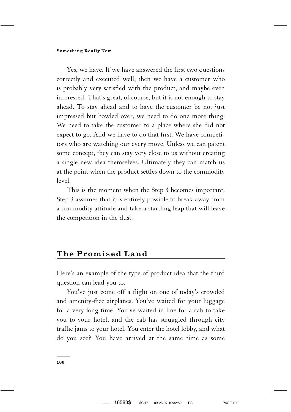#### Something Really New

Yes, we have. If we have answered the first two questions correctly and executed well, then we have a customer who is probably very satisfied with the product, and maybe even impressed. That's great, of course, but it is not enough to stay ahead. To stay ahead and to have the customer be not just impressed but bowled over, we need to do one more thing: We need to take the customer to a place where she did not expect to go. And we have to do that first. We have competitors who are watching our every move. Unless we can patent some concept, they can stay very close to us without creating a single new idea themselves. Ultimately they can match us at the point when the product settles down to the commodity level.

This is the moment when the Step 3 becomes important. Step 3 assumes that it is entirely possible to break away from a commodity attitude and take a startling leap that will leave the competition in the dust.

### The Promised Land

Here's an example of the type of product idea that the third question can lead you to.

You've just come off a flight on one of today's crowded and amenity-free airplanes. You've waited for your luggage for a very long time. You've waited in line for a cab to take you to your hotel, and the cab has struggled through city traffic jams to your hotel. You enter the hotel lobby, and what do you see? You have arrived at the same time as some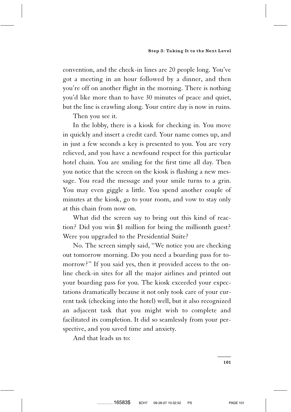convention, and the check-in lines are 20 people long. You've got a meeting in an hour followed by a dinner, and then you're off on another flight in the morning. There is nothing you'd like more than to have 30 minutes of peace and quiet, but the line is crawling along. Your entire day is now in ruins.

Then you see it.

In the lobby, there is a kiosk for checking in. You move in quickly and insert a credit card. Your name comes up, and in just a few seconds a key is presented to you. You are very relieved, and you have a newfound respect for this particular hotel chain. You are smiling for the first time all day. Then you notice that the screen on the kiosk is flashing a new message. You read the message and your smile turns to a grin. You may even giggle a little. You spend another couple of minutes at the kiosk, go to your room, and vow to stay only at this chain from now on.

What did the screen say to bring out this kind of reaction? Did you win \$1 million for being the millionth guest? Were you upgraded to the Presidential Suite?

No. The screen simply said, ''We notice you are checking out tomorrow morning. Do you need a boarding pass for tomorrow?'' If you said yes, then it provided access to the online check-in sites for all the major airlines and printed out your boarding pass for you. The kiosk exceeded your expectations dramatically because it not only took care of your current task (checking into the hotel) well, but it also recognized an adjacent task that you might wish to complete and facilitated its completion. It did so seamlessly from your perspective, and you saved time and anxiety.

And that leads us to: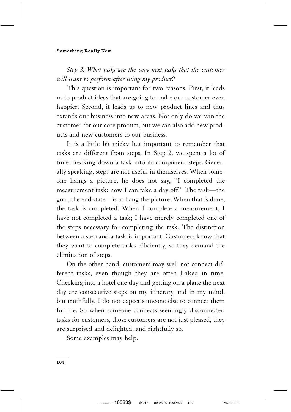*Step 3: What tasks are the very next tasks that the customer will want to perform after using my product?*

This question is important for two reasons. First, it leads us to product ideas that are going to make our customer even happier. Second, it leads us to new product lines and thus extends our business into new areas. Not only do we win the customer for our core product, but we can also add new products and new customers to our business.

It is a little bit tricky but important to remember that tasks are different from steps. In Step 2, we spent a lot of time breaking down a task into its component steps. Generally speaking, steps are not useful in themselves. When someone hangs a picture, he does not say, ''I completed the measurement task; now I can take a day off.'' The task—the goal, the end state—is to hang the picture. When that is done, the task is completed. When I complete a measurement, I have not completed a task; I have merely completed one of the steps necessary for completing the task. The distinction between a step and a task is important. Customers know that they want to complete tasks efficiently, so they demand the elimination of steps.

On the other hand, customers may well not connect different tasks, even though they are often linked in time. Checking into a hotel one day and getting on a plane the next day are consecutive steps on my itinerary and in my mind, but truthfully, I do not expect someone else to connect them for me. So when someone connects seemingly disconnected tasks for customers, those customers are not just pleased, they are surprised and delighted, and rightfully so.

Some examples may help.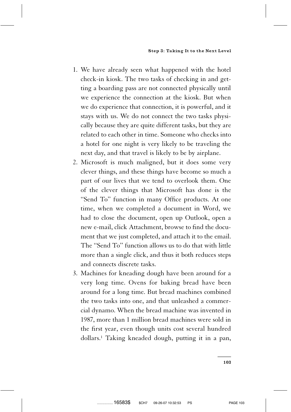- 1. We have already seen what happened with the hotel check-in kiosk. The two tasks of checking in and getting a boarding pass are not connected physically until we experience the connection at the kiosk. But when we do experience that connection, it is powerful, and it stays with us. We do not connect the two tasks physically because they are quite different tasks, but they are related to each other in time. Someone who checks into a hotel for one night is very likely to be traveling the next day, and that travel is likely to be by airplane.
- 2. Microsoft is much maligned, but it does some very clever things, and these things have become so much a part of our lives that we tend to overlook them. One of the clever things that Microsoft has done is the "Send To" function in many Office products. At one time, when we completed a document in Word, we had to close the document, open up Outlook, open a new e-mail, click Attachment, browse to find the document that we just completed, and attach it to the email. The ''Send To'' function allows us to do that with little more than a single click, and thus it both reduces steps and connects discrete tasks.
- 3. Machines for kneading dough have been around for a very long time. Ovens for baking bread have been around for a long time. But bread machines combined the two tasks into one, and that unleashed a commercial dynamo. When the bread machine was invented in 1987, more than 1 million bread machines were sold in the first year, even though units cost several hundred dollars.1 Taking kneaded dough, putting it in a pan,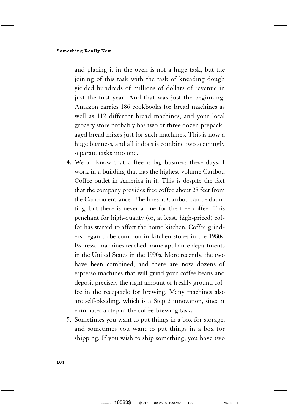and placing it in the oven is not a huge task, but the joining of this task with the task of kneading dough yielded hundreds of millions of dollars of revenue in just the first year. And that was just the beginning. Amazon carries 186 cookbooks for bread machines as well as 112 different bread machines, and your local grocery store probably has two or three dozen prepackaged bread mixes just for such machines. This is now a huge business, and all it does is combine two seemingly separate tasks into one.

- 4. We all know that coffee is big business these days. I work in a building that has the highest-volume Caribou Coffee outlet in America in it. This is despite the fact that the company provides free coffee about 25 feet from the Caribou entrance. The lines at Caribou can be daunting, but there is never a line for the free coffee. This penchant for high-quality (or, at least, high-priced) coffee has started to affect the home kitchen. Coffee grinders began to be common in kitchen stores in the 1980s. Espresso machines reached home appliance departments in the United States in the 1990s. More recently, the two have been combined, and there are now dozens of espresso machines that will grind your coffee beans and deposit precisely the right amount of freshly ground coffee in the receptacle for brewing. Many machines also are self-bleeding, which is a Step 2 innovation, since it eliminates a step in the coffee-brewing task.
- 5. Sometimes you want to put things in a box for storage, and sometimes you want to put things in a box for shipping. If you wish to ship something, you have two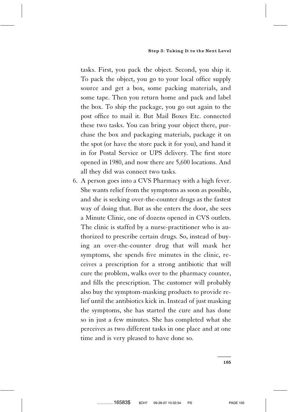tasks. First, you pack the object. Second, you ship it. To pack the object, you go to your local office supply source and get a box, some packing materials, and some tape. Then you return home and pack and label the box. To ship the package, you go out again to the post office to mail it. But Mail Boxes Etc. connected these two tasks. You can bring your object there, purchase the box and packaging materials, package it on the spot (or have the store pack it for you), and hand it in for Postal Service or UPS delivery. The first store opened in 1980, and now there are 5,600 locations. And all they did was connect two tasks.

6. A person goes into a CVS Pharmacy with a high fever. She wants relief from the symptoms as soon as possible, and she is seeking over-the-counter drugs as the fastest way of doing that. But as she enters the door, she sees a Minute Clinic, one of dozens opened in CVS outlets. The clinic is staffed by a nurse-practitioner who is authorized to prescribe certain drugs. So, instead of buying an over-the-counter drug that will mask her symptoms, she spends five minutes in the clinic, receives a prescription for a strong antibiotic that will cure the problem, walks over to the pharmacy counter, and fills the prescription. The customer will probably also buy the symptom-masking products to provide relief until the antibiotics kick in. Instead of just masking the symptoms, she has started the cure and has done so in just a few minutes. She has completed what she perceives as two different tasks in one place and at one time and is very pleased to have done so.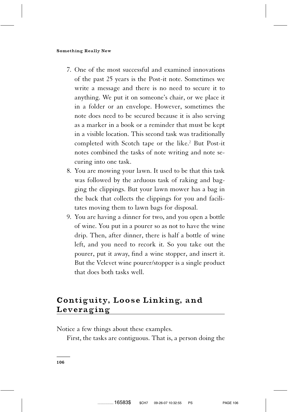- 7. One of the most successful and examined innovations of the past 25 years is the Post-it note. Sometimes we write a message and there is no need to secure it to anything. We put it on someone's chair, or we place it in a folder or an envelope. However, sometimes the note does need to be secured because it is also serving as a marker in a book or a reminder that must be kept in a visible location. This second task was traditionally completed with Scotch tape or the like.<sup>2</sup> But Post-it notes combined the tasks of note writing and note securing into one task.
- 8. You are mowing your lawn. It used to be that this task was followed by the arduous task of raking and bagging the clippings. But your lawn mower has a bag in the back that collects the clippings for you and facilitates moving them to lawn bags for disposal.
- 9. You are having a dinner for two, and you open a bottle of wine. You put in a pourer so as not to have the wine drip. Then, after dinner, there is half a bottle of wine left, and you need to recork it. So you take out the pourer, put it away, find a wine stopper, and insert it. But the Velevet wine pourer/stopper is a single product that does both tasks well.

# Contiguity, Loose Linking, and Leveraging

Notice a few things about these examples.

First, the tasks are contiguous. That is, a person doing the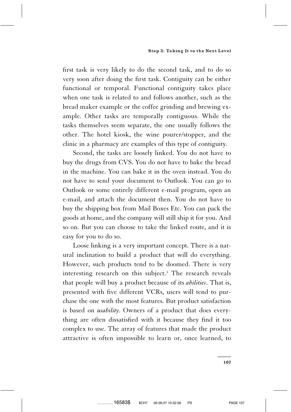first task is very likely to do the second task, and to do so very soon after doing the first task. Contiguity can be either functional or temporal. Functional contiguity takes place when one task is related to and follows another, such as the bread maker example or the coffee grinding and brewing example. Other tasks are temporally contiguous. While the tasks themselves seem separate, the one usually follows the other. The hotel kiosk, the wine pourer/stopper, and the clinic in a pharmacy are examples of this type of contiguity.

Second, the tasks are loosely linked. You do not have to buy the drugs from CVS. You do not have to bake the bread in the machine. You can bake it in the oven instead. You do not have to send your document to Outlook. You can go to Outlook or some entirely different e-mail program, open an e-mail, and attach the document then. You do not have to buy the shipping box from Mail Boxes Etc. You can pack the goods at home, and the company will still ship it for you. And so on. But you can choose to take the linked route, and it is easy for you to do so.

Loose linking is a very important concept. There is a natural inclination to build a product that will do everything. However, such products tend to be doomed. There is very interesting research on this subject.<sup>3</sup> The research reveals that people will buy a product because of its *abilities*. That is, presented with five different VCRs, users will tend to purchase the one with the most features. But product satisfaction is based on *usability*. Owners of a product that does everything are often dissatisfied with it because they find it too complex to use. The array of features that made the product attractive is often impossible to learn or, once learned, to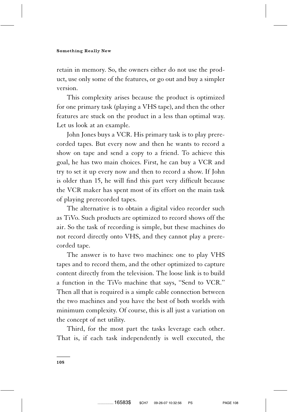retain in memory. So, the owners either do not use the product, use only some of the features, or go out and buy a simpler version.

This complexity arises because the product is optimized for one primary task (playing a VHS tape), and then the other features are stuck on the product in a less than optimal way. Let us look at an example.

John Jones buys a VCR. His primary task is to play prerecorded tapes. But every now and then he wants to record a show on tape and send a copy to a friend. To achieve this goal, he has two main choices. First, he can buy a VCR and try to set it up every now and then to record a show. If John is older than 15, he will find this part very difficult because the VCR maker has spent most of its effort on the main task of playing prerecorded tapes.

The alternative is to obtain a digital video recorder such as TiVo. Such products are optimized to record shows off the air. So the task of recording is simple, but these machines do not record directly onto VHS, and they cannot play a prerecorded tape.

The answer is to have two machines: one to play VHS tapes and to record them, and the other optimized to capture content directly from the television. The loose link is to build a function in the TiVo machine that says, ''Send to VCR.'' Then all that is required is a simple cable connection between the two machines and you have the best of both worlds with minimum complexity. Of course, this is all just a variation on the concept of net utility.

Third, for the most part the tasks leverage each other. That is, if each task independently is well executed, the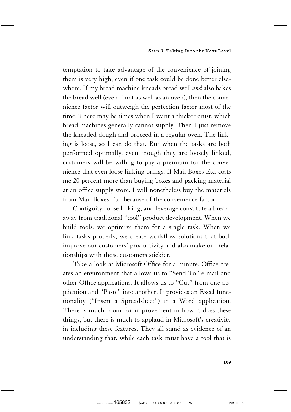temptation to take advantage of the convenience of joining them is very high, even if one task could be done better elsewhere. If my bread machine kneads bread well *and* also bakes the bread well (even if not as well as an oven), then the convenience factor will outweigh the perfection factor most of the time. There may be times when I want a thicker crust, which bread machines generally cannot supply. Then I just remove the kneaded dough and proceed in a regular oven. The linking is loose, so I can do that. But when the tasks are both performed optimally, even though they are loosely linked, customers will be willing to pay a premium for the convenience that even loose linking brings. If Mail Boxes Etc. costs me 20 percent more than buying boxes and packing material at an office supply store, I will nonetheless buy the materials from Mail Boxes Etc. because of the convenience factor.

Contiguity, loose linking, and leverage constitute a breakaway from traditional ''tool'' product development. When we build tools, we optimize them for a single task. When we link tasks properly, we create workflow solutions that both improve our customers' productivity and also make our relationships with those customers stickier.

Take a look at Microsoft Office for a minute. Office creates an environment that allows us to ''Send To'' e-mail and other Office applications. It allows us to "Cut" from one application and ''Paste'' into another. It provides an Excel functionality (''Insert a Spreadsheet'') in a Word application. There is much room for improvement in how it does these things, but there is much to applaud in Microsoft's creativity in including these features. They all stand as evidence of an understanding that, while each task must have a tool that is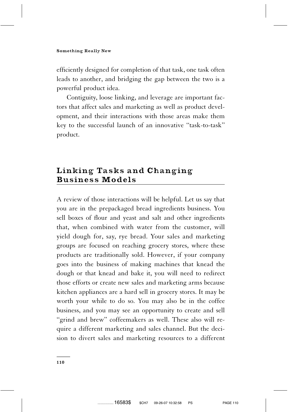#### Something Really New

efficiently designed for completion of that task, one task often leads to another, and bridging the gap between the two is a powerful product idea.

Contiguity, loose linking, and leverage are important factors that affect sales and marketing as well as product development, and their interactions with those areas make them key to the successful launch of an innovative ''task-to-task'' product.

## Linking Tasks and Changing Business Models

A review of those interactions will be helpful. Let us say that you are in the prepackaged bread ingredients business. You sell boxes of flour and yeast and salt and other ingredients that, when combined with water from the customer, will yield dough for, say, rye bread. Your sales and marketing groups are focused on reaching grocery stores, where these products are traditionally sold. However, if your company goes into the business of making machines that knead the dough or that knead and bake it, you will need to redirect those efforts or create new sales and marketing arms because kitchen appliances are a hard sell in grocery stores. It may be worth your while to do so. You may also be in the coffee business, and you may see an opportunity to create and sell "grind and brew" coffeemakers as well. These also will require a different marketing and sales channel. But the decision to divert sales and marketing resources to a different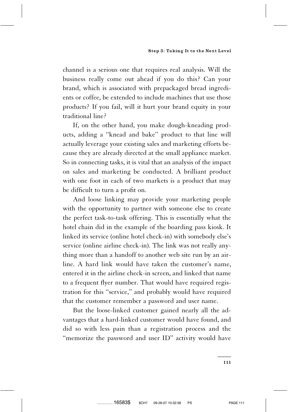channel is a serious one that requires real analysis. Will the business really come out ahead if you do this? Can your brand, which is associated with prepackaged bread ingredients or coffee, be extended to include machines that use those products? If you fail, will it hurt your brand equity in your traditional line?

If, on the other hand, you make dough-kneading products, adding a ''knead and bake'' product to that line will actually leverage your existing sales and marketing efforts because they are already directed at the small appliance market. So in connecting tasks, it is vital that an analysis of the impact on sales and marketing be conducted. A brilliant product with one foot in each of two markets is a product that may be difficult to turn a profit on.

And loose linking may provide your marketing people with the opportunity to partner with someone else to create the perfect task-to-task offering. This is essentially what the hotel chain did in the example of the boarding pass kiosk. It linked its service (online hotel check-in) with somebody else's service (online airline check-in). The link was not really anything more than a handoff to another web site run by an airline. A hard link would have taken the customer's name, entered it in the airline check-in screen, and linked that name to a frequent flyer number. That would have required registration for this ''service,'' and probably would have required that the customer remember a password and user name.

But the loose-linked customer gained nearly all the advantages that a hard-linked customer would have found, and did so with less pain than a registration process and the "memorize the password and user ID" activity would have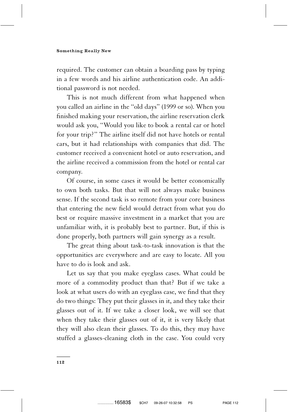required. The customer can obtain a boarding pass by typing in a few words and his airline authentication code. An additional password is not needed.

This is not much different from what happened when you called an airline in the ''old days'' (1999 or so). When you finished making your reservation, the airline reservation clerk would ask you, ''Would you like to book a rental car or hotel for your trip?'' The airline itself did not have hotels or rental cars, but it had relationships with companies that did. The customer received a convenient hotel or auto reservation, and the airline received a commission from the hotel or rental car company.

Of course, in some cases it would be better economically to own both tasks. But that will not always make business sense. If the second task is so remote from your core business that entering the new field would detract from what you do best or require massive investment in a market that you are unfamiliar with, it is probably best to partner. But, if this is done properly, both partners will gain synergy as a result.

The great thing about task-to-task innovation is that the opportunities are everywhere and are easy to locate. All you have to do is look and ask.

Let us say that you make eyeglass cases. What could be more of a commodity product than that? But if we take a look at what users do with an eyeglass case, we find that they do two things: They put their glasses in it, and they take their glasses out of it. If we take a closer look, we will see that when they take their glasses out of it, it is very likely that they will also clean their glasses. To do this, they may have stuffed a glasses-cleaning cloth in the case. You could very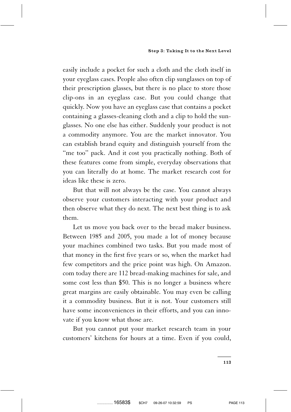easily include a pocket for such a cloth and the cloth itself in your eyeglass cases. People also often clip sunglasses on top of their prescription glasses, but there is no place to store those clip-ons in an eyeglass case. But you could change that quickly. Now you have an eyeglass case that contains a pocket containing a glasses-cleaning cloth and a clip to hold the sunglasses. No one else has either. Suddenly your product is not a commodity anymore. You are the market innovator. You can establish brand equity and distinguish yourself from the "me too" pack. And it cost you practically nothing. Both of these features come from simple, everyday observations that you can literally do at home. The market research cost for ideas like these is zero.

But that will not always be the case. You cannot always observe your customers interacting with your product and then observe what they do next. The next best thing is to ask them.

Let us move you back over to the bread maker business. Between 1985 and 2005, you made a lot of money because your machines combined two tasks. But you made most of that money in the first five years or so, when the market had few competitors and the price point was high. On Amazon. com today there are 112 bread-making machines for sale, and some cost less than \$50. This is no longer a business where great margins are easily obtainable. You may even be calling it a commodity business. But it is not. Your customers still have some inconveniences in their efforts, and you can innovate if you know what those are.

But you cannot put your market research team in your customers' kitchens for hours at a time. Even if you could,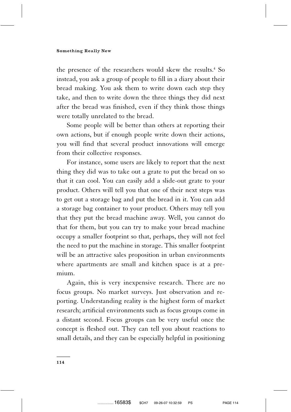the presence of the researchers would skew the results.<sup>4</sup> So instead, you ask a group of people to fill in a diary about their bread making. You ask them to write down each step they take, and then to write down the three things they did next after the bread was finished, even if they think those things were totally unrelated to the bread.

Some people will be better than others at reporting their own actions, but if enough people write down their actions, you will find that several product innovations will emerge from their collective responses.

For instance, some users are likely to report that the next thing they did was to take out a grate to put the bread on so that it can cool. You can easily add a slide-out grate to your product. Others will tell you that one of their next steps was to get out a storage bag and put the bread in it. You can add a storage bag container to your product. Others may tell you that they put the bread machine away. Well, you cannot do that for them, but you can try to make your bread machine occupy a smaller footprint so that, perhaps, they will not feel the need to put the machine in storage. This smaller footprint will be an attractive sales proposition in urban environments where apartments are small and kitchen space is at a premium.

Again, this is very inexpensive research. There are no focus groups. No market surveys. Just observation and reporting. Understanding reality is the highest form of market research; artificial environments such as focus groups come in a distant second. Focus groups can be very useful once the concept is fleshed out. They can tell you about reactions to small details, and they can be especially helpful in positioning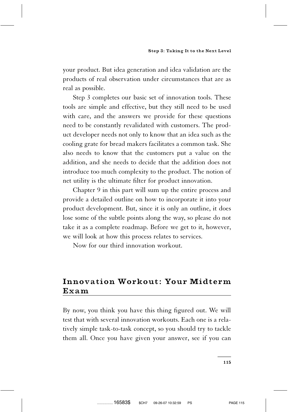your product. But idea generation and idea validation are the products of real observation under circumstances that are as real as possible.

Step 3 completes our basic set of innovation tools. These tools are simple and effective, but they still need to be used with care, and the answers we provide for these questions need to be constantly revalidated with customers. The product developer needs not only to know that an idea such as the cooling grate for bread makers facilitates a common task. She also needs to know that the customers put a value on the addition, and she needs to decide that the addition does not introduce too much complexity to the product. The notion of net utility is the ultimate filter for product innovation.

Chapter 9 in this part will sum up the entire process and provide a detailed outline on how to incorporate it into your product development. But, since it is only an outline, it does lose some of the subtle points along the way, so please do not take it as a complete roadmap. Before we get to it, however, we will look at how this process relates to services.

Now for our third innovation workout.

# Innovation Workout: Your Midterm Exam

By now, you think you have this thing figured out. We will test that with several innovation workouts. Each one is a relatively simple task-to-task concept, so you should try to tackle them all. Once you have given your answer, see if you can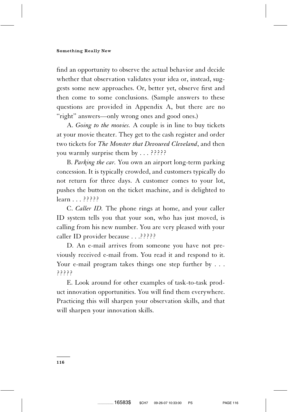find an opportunity to observe the actual behavior and decide whether that observation validates your idea or, instead, suggests some new approaches. Or, better yet, observe first and then come to some conclusions. (Sample answers to these questions are provided in Appendix A, but there are no "right" answers—only wrong ones and good ones.)

A. *Going to the movies.* A couple is in line to buy tickets at your movie theater. They get to the cash register and order two tickets for *The Monster that Devoured Cleveland*, and then you warmly surprise them by . . . ?????

B. *Parking the car.* You own an airport long-term parking concession. It is typically crowded, and customers typically do not return for three days. A customer comes to your lot, pushes the button on the ticket machine, and is delighted to learn . . . ?????

C. *Caller ID.* The phone rings at home, and your caller ID system tells you that your son, who has just moved, is calling from his new number. You are very pleased with your caller ID provider because . . .?????

D. An e-mail arrives from someone you have not previously received e-mail from. You read it and respond to it. Your e-mail program takes things one step further by . . . ?????

E. Look around for other examples of task-to-task product innovation opportunities. You will find them everywhere. Practicing this will sharpen your observation skills, and that will sharpen your innovation skills.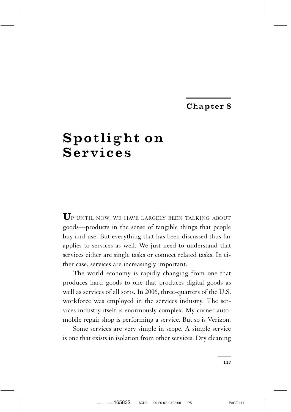#### Chapter 8

# Spotlight on Services

UP UNTIL NOW, WE HAVE LARGELY BEEN TALKING ABOUT goods—products in the sense of tangible things that people buy and use. But everything that has been discussed thus far applies to services as well. We just need to understand that services either are single tasks or connect related tasks. In either case, services are increasingly important.

The world economy is rapidly changing from one that produces hard goods to one that produces digital goods as well as services of all sorts. In 2006, three-quarters of the U.S. workforce was employed in the services industry. The services industry itself is enormously complex. My corner automobile repair shop is performing a service. But so is Verizon.

Some services are very simple in scope. A simple service is one that exists in isolation from other services. Dry cleaning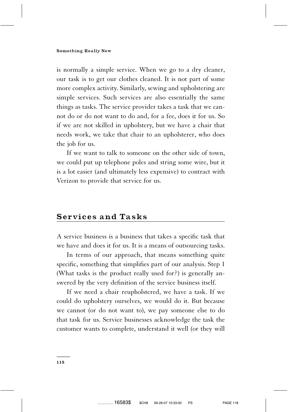is normally a simple service. When we go to a dry cleaner, our task is to get our clothes cleaned. It is not part of some more complex activity. Similarly, sewing and upholstering are simple services. Such services are also essentially the same things as tasks. The service provider takes a task that we cannot do or do not want to do and, for a fee, does it for us. So if we are not skilled in upholstery, but we have a chair that needs work, we take that chair to an upholsterer, who does the job for us.

If we want to talk to someone on the other side of town, we could put up telephone poles and string some wire, but it is a lot easier (and ultimately less expensive) to contract with Verizon to provide that service for us.

#### Services and Tasks

A service business is a business that takes a specific task that we have and does it for us. It is a means of outsourcing tasks.

In terms of our approach, that means something quite specific, something that simplifies part of our analysis. Step 1 (What tasks is the product really used for?) is generally answered by the very definition of the service business itself.

If we need a chair reupholstered, we have a task. If we could do upholstery ourselves, we would do it. But because we cannot (or do not want to), we pay someone else to do that task for us. Service businesses acknowledge the task the customer wants to complete, understand it well (or they will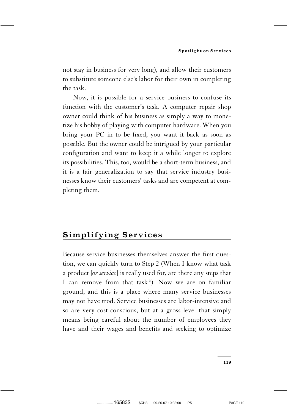Spotlight on Services

not stay in business for very long), and allow their customers to substitute someone else's labor for their own in completing the task.

Now, it is possible for a service business to confuse its function with the customer's task. A computer repair shop owner could think of his business as simply a way to monetize his hobby of playing with computer hardware. When you bring your PC in to be fixed, you want it back as soon as possible. But the owner could be intrigued by your particular configuration and want to keep it a while longer to explore its possibilities. This, too, would be a short-term business, and it is a fair generalization to say that service industry businesses know their customers' tasks and are competent at completing them.

## Simplifying Services

Because service businesses themselves answer the first question, we can quickly turn to Step 2 (When I know what task a product [*or service*] is really used for, are there any steps that I can remove from that task?). Now we are on familiar ground, and this is a place where many service businesses may not have trod. Service businesses are labor-intensive and so are very cost-conscious, but at a gross level that simply means being careful about the number of employees they have and their wages and benefits and seeking to optimize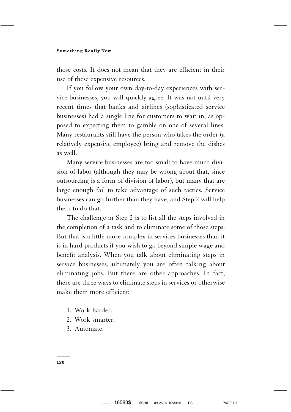those costs. It does not mean that they are efficient in their use of these expensive resources.

If you follow your own day-to-day experiences with service businesses, you will quickly agree. It was not until very recent times that banks and airlines (sophisticated service businesses) had a single line for customers to wait in, as opposed to expecting them to gamble on one of several lines. Many restaurants still have the person who takes the order (a relatively expensive employee) bring and remove the dishes as well.

Many service businesses are too small to have much division of labor (although they may be wrong about that, since outsourcing is a form of division of labor), but many that are large enough fail to take advantage of such tactics. Service businesses can go further than they have, and Step 2 will help them to do that.

The challenge in Step 2 is to list all the steps involved in the completion of a task and to eliminate some of those steps. But that is a little more complex in services businesses than it is in hard products if you wish to go beyond simple wage and benefit analysis. When you talk about eliminating steps in service businesses, ultimately you are often talking about eliminating jobs. But there are other approaches. In fact, there are three ways to eliminate steps in services or otherwise make them more efficient:

- 1. Work harder.
- 2. Work smarter.
- 3. Automate.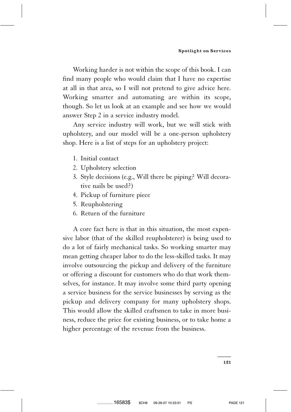Working harder is not within the scope of this book. I can find many people who would claim that I have no expertise at all in that area, so I will not pretend to give advice here. Working smarter and automating are within its scope, though. So let us look at an example and see how we would answer Step 2 in a service industry model.

Any service industry will work, but we will stick with upholstery, and our model will be a one-person upholstery shop. Here is a list of steps for an upholstery project:

- 1. Initial contact
- 2. Upholstery selection
- 3. Style decisions (e.g., Will there be piping? Will decorative nails be used?)
- 4. Pickup of furniture piece
- 5. Reupholstering
- 6. Return of the furniture

A core fact here is that in this situation, the most expensive labor (that of the skilled reupholsterer) is being used to do a lot of fairly mechanical tasks. So working smarter may mean getting cheaper labor to do the less-skilled tasks. It may involve outsourcing the pickup and delivery of the furniture or offering a discount for customers who do that work themselves, for instance. It may involve some third party opening a service business for the service businesses by serving as the pickup and delivery company for many upholstery shops. This would allow the skilled craftsmen to take in more business, reduce the price for existing business, or to take home a higher percentage of the revenue from the business.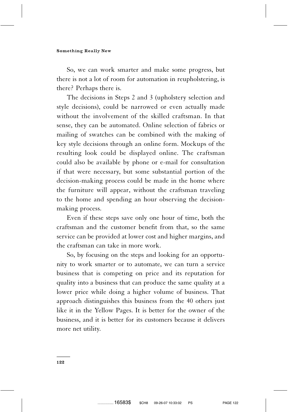So, we can work smarter and make some progress, but there is not a lot of room for automation in reupholstering, is there? Perhaps there is.

The decisions in Steps 2 and 3 (upholstery selection and style decisions), could be narrowed or even actually made without the involvement of the skilled craftsman. In that sense, they can be automated. Online selection of fabrics or mailing of swatches can be combined with the making of key style decisions through an online form. Mockups of the resulting look could be displayed online. The craftsman could also be available by phone or e-mail for consultation if that were necessary, but some substantial portion of the decision-making process could be made in the home where the furniture will appear, without the craftsman traveling to the home and spending an hour observing the decisionmaking process.

Even if these steps save only one hour of time, both the craftsman and the customer benefit from that, so the same service can be provided at lower cost and higher margins, and the craftsman can take in more work.

So, by focusing on the steps and looking for an opportunity to work smarter or to automate, we can turn a service business that is competing on price and its reputation for quality into a business that can produce the same quality at a lower price while doing a higher volume of business. That approach distinguishes this business from the 40 others just like it in the Yellow Pages. It is better for the owner of the business, and it is better for its customers because it delivers more net utility.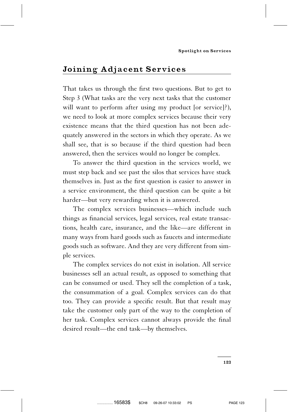## Joining Adjacent Services

That takes us through the first two questions. But to get to Step 3 (What tasks are the very next tasks that the customer will want to perform after using my product [or service]?), we need to look at more complex services because their very existence means that the third question has not been adequately answered in the sectors in which they operate. As we shall see, that is so because if the third question had been answered, then the services would no longer be complex.

To answer the third question in the services world, we must step back and see past the silos that services have stuck themselves in. Just as the first question is easier to answer in a service environment, the third question can be quite a bit harder—but very rewarding when it is answered.

The complex services businesses—which include such things as financial services, legal services, real estate transactions, health care, insurance, and the like—are different in many ways from hard goods such as faucets and intermediate goods such as software. And they are very different from simple services.

The complex services do not exist in isolation. All service businesses sell an actual result, as opposed to something that can be consumed or used. They sell the completion of a task, the consummation of a goal. Complex services can do that too. They can provide a specific result. But that result may take the customer only part of the way to the completion of her task. Complex services cannot always provide the final desired result—the end task—by themselves.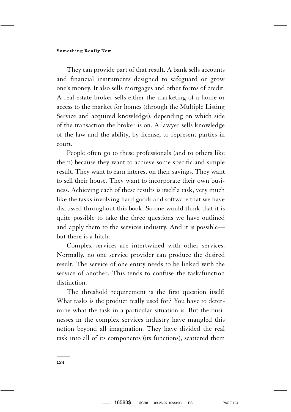#### Something Really New

They can provide part of that result. A bank sells accounts and financial instruments designed to safeguard or grow one's money. It also sells mortgages and other forms of credit. A real estate broker sells either the marketing of a home or access to the market for homes (through the Multiple Listing Service and acquired knowledge), depending on which side of the transaction the broker is on. A lawyer sells knowledge of the law and the ability, by license, to represent parties in court.

People often go to these professionals (and to others like them) because they want to achieve some specific and simple result. They want to earn interest on their savings. They want to sell their house. They want to incorporate their own business. Achieving each of these results is itself a task, very much like the tasks involving hard goods and software that we have discussed throughout this book. So one would think that it is quite possible to take the three questions we have outlined and apply them to the services industry. And it is possible but there is a hitch.

Complex services are intertwined with other services. Normally, no one service provider can produce the desired result. The service of one entity needs to be linked with the service of another. This tends to confuse the task/function distinction.

The threshold requirement is the first question itself: What tasks is the product really used for? You have to determine what the task in a particular situation is. But the businesses in the complex services industry have mangled this notion beyond all imagination. They have divided the real task into all of its components (its functions), scattered them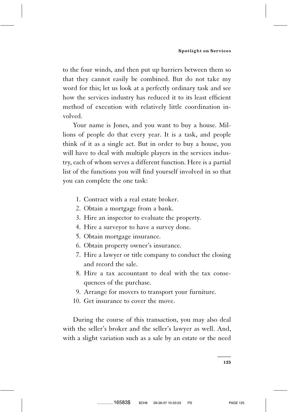to the four winds, and then put up barriers between them so that they cannot easily be combined. But do not take my word for this; let us look at a perfectly ordinary task and see how the services industry has reduced it to its least efficient method of execution with relatively little coordination involved.

Your name is Jones, and you want to buy a house. Millions of people do that every year. It is a task, and people think of it as a single act. But in order to buy a house, you will have to deal with multiple players in the services industry, each of whom serves a different function. Here is a partial list of the functions you will find yourself involved in so that you can complete the one task:

- 1. Contract with a real estate broker.
- 2. Obtain a mortgage from a bank.
- 3. Hire an inspector to evaluate the property.
- 4. Hire a surveyor to have a survey done.
- 5. Obtain mortgage insurance.
- 6. Obtain property owner's insurance.
- 7. Hire a lawyer or title company to conduct the closing and record the sale.
- 8. Hire a tax accountant to deal with the tax consequences of the purchase.
- 9. Arrange for movers to transport your furniture.
- 10. Get insurance to cover the move.

During the course of this transaction, you may also deal with the seller's broker and the seller's lawyer as well. And, with a slight variation such as a sale by an estate or the need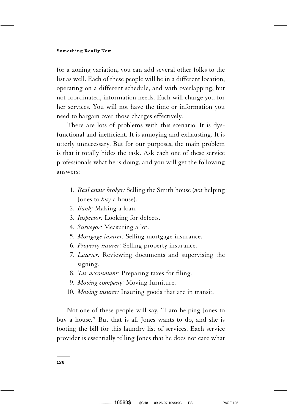for a zoning variation, you can add several other folks to the list as well. Each of these people will be in a different location, operating on a different schedule, and with overlapping, but not coordinated, information needs. Each will charge you for her services. You will not have the time or information you need to bargain over those charges effectively.

There are lots of problems with this scenario. It is dysfunctional and inefficient. It is annoying and exhausting. It is utterly unnecessary. But for our purposes, the main problem is that it totally hides the task. Ask each one of these service professionals what he is doing, and you will get the following answers:

- 1. *Real estate broker:* Selling the Smith house (*not* helping Jones to *buy* a house).<sup>1</sup>
- 2. *Bank:* Making a loan.
- 3. *Inspector:* Looking for defects.
- 4. *Surveyor:* Measuring a lot.
- 5. *Mortgage insurer:* Selling mortgage insurance.
- 6. *Property insurer:* Selling property insurance.
- 7. *Lawyer:* Reviewing documents and supervising the signing.
- 8. *Tax accountant:* Preparing taxes for filing.
- 9. *Moving company:* Moving furniture.
- 10. *Moving insurer:* Insuring goods that are in transit.

Not one of these people will say, ''I am helping Jones to buy a house.'' But that is all Jones wants to do, and she is footing the bill for this laundry list of services. Each service provider is essentially telling Jones that he does not care what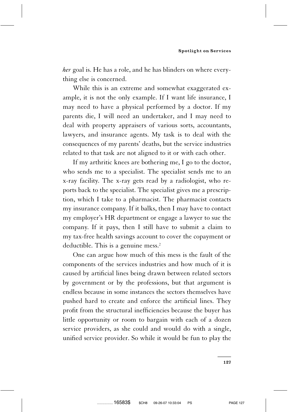*her* goal is. He has a role, and he has blinders on where everything else is concerned.

While this is an extreme and somewhat exaggerated example, it is not the only example. If I want life insurance, I may need to have a physical performed by a doctor. If my parents die, I will need an undertaker, and I may need to deal with property appraisers of various sorts, accountants, lawyers, and insurance agents. My task is to deal with the consequences of my parents' deaths, but the service industries related to that task are not aligned to it or with each other.

If my arthritic knees are bothering me, I go to the doctor, who sends me to a specialist. The specialist sends me to an x-ray facility. The x-ray gets read by a radiologist, who reports back to the specialist. The specialist gives me a prescription, which I take to a pharmacist. The pharmacist contacts my insurance company. If it balks, then I may have to contact my employer's HR department or engage a lawyer to sue the company. If it pays, then I still have to submit a claim to my tax-free health savings account to cover the copayment or deductible. This is a genuine mess.<sup>2</sup>

One can argue how much of this mess is the fault of the components of the services industries and how much of it is caused by artificial lines being drawn between related sectors by government or by the professions, but that argument is endless because in some instances the sectors themselves have pushed hard to create and enforce the artificial lines. They profit from the structural inefficiencies because the buyer has little opportunity or room to bargain with each of a dozen service providers, as she could and would do with a single, unified service provider. So while it would be fun to play the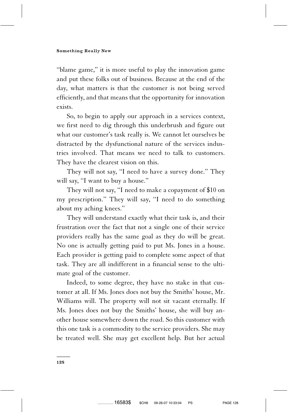"blame game," it is more useful to play the innovation game and put these folks out of business. Because at the end of the day, what matters is that the customer is not being served efficiently, and that means that the opportunity for innovation exists.

So, to begin to apply our approach in a services context, we first need to dig through this underbrush and figure out what our customer's task really is. We cannot let ourselves be distracted by the dysfunctional nature of the services industries involved. That means we need to talk to customers. They have the clearest vision on this.

They will not say, ''I need to have a survey done.'' They will say, "I want to buy a house."

They will not say, ''I need to make a copayment of \$10 on my prescription.'' They will say, ''I need to do something about my aching knees.''

They will understand exactly what their task is, and their frustration over the fact that not a single one of their service providers really has the same goal as they do will be great. No one is actually getting paid to put Ms. Jones in a house. Each provider is getting paid to complete some aspect of that task. They are all indifferent in a financial sense to the ultimate goal of the customer.

Indeed, to some degree, they have no stake in that customer at all. If Ms. Jones does not buy the Smiths' house, Mr. Williams will. The property will not sit vacant eternally. If Ms. Jones does not buy the Smiths' house, she will buy another house somewhere down the road. So this customer with this one task is a commodity to the service providers. She may be treated well. She may get excellent help. But her actual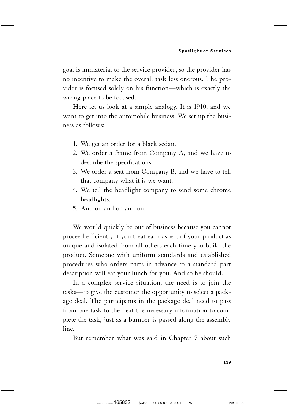goal is immaterial to the service provider, so the provider has no incentive to make the overall task less onerous. The provider is focused solely on his function—which is exactly the wrong place to be focused.

Here let us look at a simple analogy. It is 1910, and we want to get into the automobile business. We set up the business as follows:

- 1. We get an order for a black sedan.
- 2. We order a frame from Company A, and we have to describe the specifications.
- 3. We order a seat from Company B, and we have to tell that company what it is we want.
- 4. We tell the headlight company to send some chrome headlights.
- 5. And on and on and on.

We would quickly be out of business because you cannot proceed efficiently if you treat each aspect of your product as unique and isolated from all others each time you build the product. Someone with uniform standards and established procedures who orders parts in advance to a standard part description will eat your lunch for you. And so he should.

In a complex service situation, the need is to join the tasks—to give the customer the opportunity to select a package deal. The participants in the package deal need to pass from one task to the next the necessary information to complete the task, just as a bumper is passed along the assembly line.

But remember what was said in Chapter 7 about such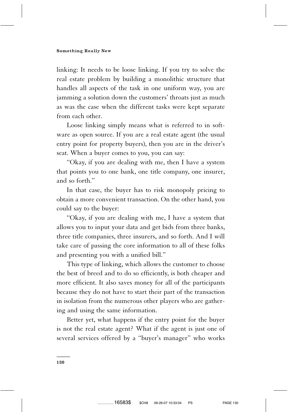linking: It needs to be loose linking. If you try to solve the real estate problem by building a monolithic structure that handles all aspects of the task in one uniform way, you are jamming a solution down the customers' throats just as much as was the case when the different tasks were kept separate from each other.

Loose linking simply means what is referred to in software as open source. If you are a real estate agent (the usual entry point for property buyers), then you are in the driver's seat. When a buyer comes to you, you can say:

''Okay, if you are dealing with me, then I have a system that points you to one bank, one title company, one insurer, and so forth.''

In that case, the buyer has to risk monopoly pricing to obtain a more convenient transaction. On the other hand, you could say to the buyer:

''Okay, if you are dealing with me, I have a system that allows you to input your data and get bids from three banks, three title companies, three insurers, and so forth. And I will take care of passing the core information to all of these folks and presenting you with a unified bill.''

This type of linking, which allows the customer to choose the best of breed and to do so efficiently, is both cheaper and more efficient. It also saves money for all of the participants because they do not have to start their part of the transaction in isolation from the numerous other players who are gathering and using the same information.

Better yet, what happens if the entry point for the buyer is not the real estate agent? What if the agent is just one of several services offered by a ''buyer's manager'' who works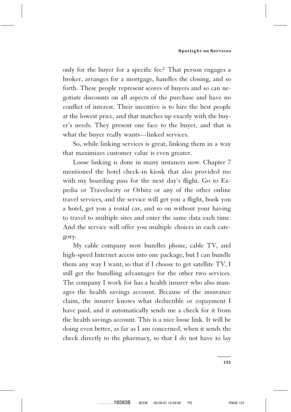only for the buyer for a specific fee? That person engages a broker, arranges for a mortgage, handles the closing, and so forth. These people represent scores of buyers and so can negotiate discounts on all aspects of the purchase and have no conflict of interest. Their incentive is to hire the best people at the lowest price, and that matches up exactly with the buyer's needs. They present one face to the buyer, and that is what the buyer really wants—linked services.

So, while linking services is great, linking them in a way that maximizes customer value is even greater.

Loose linking is done in many instances now. Chapter 7 mentioned the hotel check-in kiosk that also provided me with my boarding pass for the next day's flight. Go to Expedia or Travelocity or Orbitz or any of the other online travel services, and the service will get you a flight, book you a hotel, get you a rental car, and so on without your having to travel to multiple sites and enter the same data each time. And the service will offer you multiple choices in each category.

My cable company now bundles phone, cable TV, and high-speed Internet access into one package, but I can bundle them any way I want, so that if I choose to get satellite TV, I still get the bundling advantages for the other two services. The company I work for has a health insurer who also manages the health savings account. Because of the insurance claim, the insurer knows what deductible or copayment I have paid, and it automatically sends me a check for it from the health savings account. This is a nice loose link. It will be doing even better, as far as I am concerned, when it sends the check directly to the pharmacy, so that I do not have to lay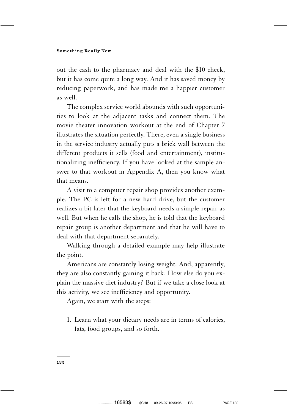out the cash to the pharmacy and deal with the \$10 check, but it has come quite a long way. And it has saved money by reducing paperwork, and has made me a happier customer as well.

The complex service world abounds with such opportunities to look at the adjacent tasks and connect them. The movie theater innovation workout at the end of Chapter 7 illustrates the situation perfectly. There, even a single business in the service industry actually puts a brick wall between the different products it sells (food and entertainment), institutionalizing inefficiency. If you have looked at the sample answer to that workout in Appendix A, then you know what that means.

A visit to a computer repair shop provides another example. The PC is left for a new hard drive, but the customer realizes a bit later that the keyboard needs a simple repair as well. But when he calls the shop, he is told that the keyboard repair group is another department and that he will have to deal with that department separately.

Walking through a detailed example may help illustrate the point.

Americans are constantly losing weight. And, apparently, they are also constantly gaining it back. How else do you explain the massive diet industry? But if we take a close look at this activity, we see inefficiency and opportunity.

Again, we start with the steps:

1. Learn what your dietary needs are in terms of calories, fats, food groups, and so forth.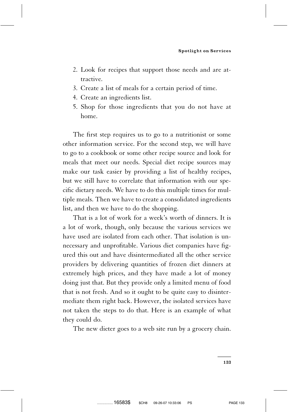- 2. Look for recipes that support those needs and are attractive.
- 3. Create a list of meals for a certain period of time.
- 4. Create an ingredients list.
- 5. Shop for those ingredients that you do not have at home.

The first step requires us to go to a nutritionist or some other information service. For the second step, we will have to go to a cookbook or some other recipe source and look for meals that meet our needs. Special diet recipe sources may make our task easier by providing a list of healthy recipes, but we still have to correlate that information with our specific dietary needs. We have to do this multiple times for multiple meals. Then we have to create a consolidated ingredients list, and then we have to do the shopping.

That is a lot of work for a week's worth of dinners. It is a lot of work, though, only because the various services we have used are isolated from each other. That isolation is unnecessary and unprofitable. Various diet companies have figured this out and have disintermediated all the other service providers by delivering quantities of frozen diet dinners at extremely high prices, and they have made a lot of money doing just that. But they provide only a limited menu of food that is not fresh. And so it ought to be quite easy to disintermediate them right back. However, the isolated services have not taken the steps to do that. Here is an example of what they could do.

The new dieter goes to a web site run by a grocery chain.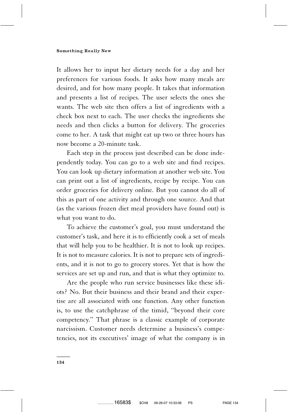It allows her to input her dietary needs for a day and her preferences for various foods. It asks how many meals are desired, and for how many people. It takes that information and presents a list of recipes. The user selects the ones she wants. The web site then offers a list of ingredients with a check box next to each. The user checks the ingredients she needs and then clicks a button for delivery. The groceries come to her. A task that might eat up two or three hours has now become a 20-minute task.

Each step in the process just described can be done independently today. You can go to a web site and find recipes. You can look up dietary information at another web site. You can print out a list of ingredients, recipe by recipe. You can order groceries for delivery online. But you cannot do all of this as part of one activity and through one source. And that (as the various frozen diet meal providers have found out) is what you want to do.

To achieve the customer's goal, you must understand the customer's task, and here it is to efficiently cook a set of meals that will help you to be healthier. It is not to look up recipes. It is not to measure calories. It is not to prepare sets of ingredients, and it is not to go to grocery stores. Yet that is how the services are set up and run, and that is what they optimize to.

Are the people who run service businesses like these idiots? No. But their business and their brand and their expertise are all associated with one function. Any other function is, to use the catchphrase of the timid, ''beyond their core competency.'' That phrase is a classic example of corporate narcissism. Customer needs determine a business's competencies, not its executives' image of what the company is in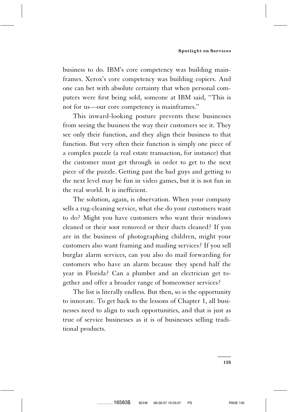business to do. IBM's core competency was building mainframes. Xerox's core competency was building copiers. And one can bet with absolute certainty that when personal computers were first being sold, someone at IBM said, ''This is not for us—our core competency is mainframes.''

This inward-looking posture prevents these businesses from seeing the business the way their customers see it. They see only their function, and they align their business to that function. But very often their function is simply one piece of a complex puzzle (a real estate transaction, for instance) that the customer must get through in order to get to the next piece of the puzzle. Getting past the bad guys and getting to the next level may be fun in video games, but it is not fun in the real world. It is inefficient.

The solution, again, is observation. When your company sells a rug-cleaning service, what else do your customers want to do? Might you have customers who want their windows cleaned or their soot removed or their ducts cleaned? If you are in the business of photographing children, might your customers also want framing and mailing services? If you sell burglar alarm services, can you also do mail forwarding for customers who have an alarm because they spend half the year in Florida? Can a plumber and an electrician get together and offer a broader range of homeowner services?

The list is literally endless. But then, so is the opportunity to innovate. To get back to the lessons of Chapter 1, all businesses need to align to such opportunities, and that is just as true of service businesses as it is of businesses selling traditional products.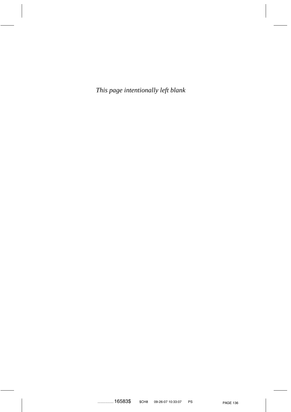*This page intentionally left blank*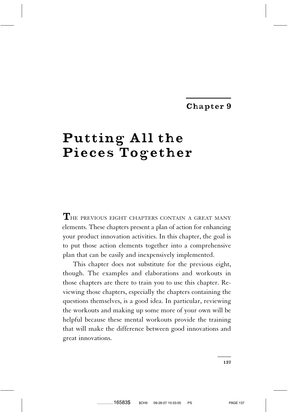# Chapter 9

# Putting All the Pieces Together

THE PREVIOUS EIGHT CHAPTERS CONTAIN A GREAT MANY elements. These chapters present a plan of action for enhancing your product innovation activities. In this chapter, the goal is to put those action elements together into a comprehensive plan that can be easily and inexpensively implemented.

This chapter does not substitute for the previous eight, though. The examples and elaborations and workouts in those chapters are there to train you to use this chapter. Reviewing those chapters, especially the chapters containing the questions themselves, is a good idea. In particular, reviewing the workouts and making up some more of your own will be helpful because these mental workouts provide the training that will make the difference between good innovations and great innovations.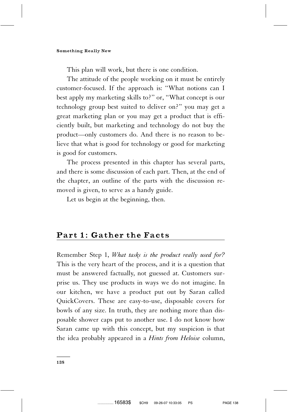This plan will work, but there is one condition.

The attitude of the people working on it must be entirely customer-focused. If the approach is: ''What notions can I best apply my marketing skills to?'' or, ''What concept is our technology group best suited to deliver on?'' you may get a great marketing plan or you may get a product that is efficiently built, but marketing and technology do not buy the product—only customers do. And there is no reason to believe that what is good for technology or good for marketing is good for customers.

The process presented in this chapter has several parts, and there is some discussion of each part. Then, at the end of the chapter, an outline of the parts with the discussion removed is given, to serve as a handy guide.

Let us begin at the beginning, then.

# Part 1: Gather the Facts

Remember Step 1, *What tasks is the product really used for?* This is the very heart of the process, and it is a question that must be answered factually, not guessed at. Customers surprise us. They use products in ways we do not imagine. In our kitchen, we have a product put out by Saran called QuickCovers. These are easy-to-use, disposable covers for bowls of any size. In truth, they are nothing more than disposable shower caps put to another use. I do not know how Saran came up with this concept, but my suspicion is that the idea probably appeared in a *Hints from Heloise* column,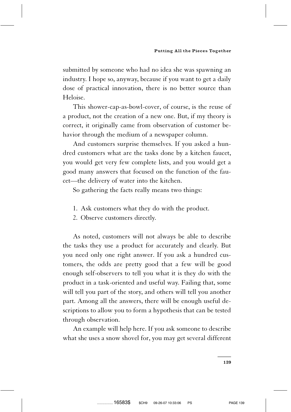submitted by someone who had no idea she was spawning an industry. I hope so, anyway, because if you want to get a daily dose of practical innovation, there is no better source than Heloise.

This shower-cap-as-bowl-cover, of course, is the reuse of a product, not the creation of a new one. But, if my theory is correct, it originally came from observation of customer behavior through the medium of a newspaper column.

And customers surprise themselves. If you asked a hundred customers what are the tasks done by a kitchen faucet, you would get very few complete lists, and you would get a good many answers that focused on the function of the faucet—the delivery of water into the kitchen.

So gathering the facts really means two things:

- 1. Ask customers what they do with the product.
- 2. Observe customers directly.

As noted, customers will not always be able to describe the tasks they use a product for accurately and clearly. But you need only one right answer. If you ask a hundred customers, the odds are pretty good that a few will be good enough self-observers to tell you what it is they do with the product in a task-oriented and useful way. Failing that, some will tell you part of the story, and others will tell you another part. Among all the answers, there will be enough useful descriptions to allow you to form a hypothesis that can be tested through observation.

An example will help here. If you ask someone to describe what she uses a snow shovel for, you may get several different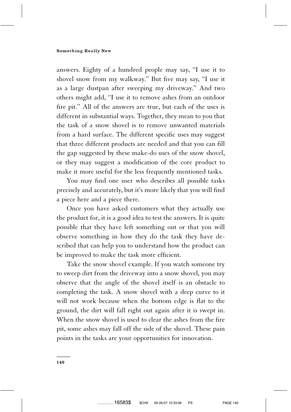answers. Eighty of a hundred people may say, ''I use it to shovel snow from my walkway.'' But five may say, ''I use it as a large dustpan after sweeping my driveway.'' And two others might add, ''I use it to remove ashes from an outdoor fire pit.'' All of the answers are true, but each of the uses is different in substantial ways. Together, they mean to you that the task of a snow shovel is to remove unwanted materials from a hard surface. The different specific uses may suggest that three different products are needed and that you can fill the gap suggested by these make-do uses of the snow shovel, or they may suggest a modification of the core product to make it more useful for the less frequently mentioned tasks.

You may find one user who describes all possible tasks precisely and accurately, but it's more likely that you will find a piece here and a piece there.

Once you have asked customers what they actually use the product for, it is a good idea to test the answers. It is quite possible that they have left something out or that you will observe something in how they do the task they have described that can help you to understand how the product can be improved to make the task more efficient.

Take the snow shovel example. If you watch someone try to sweep dirt from the driveway into a snow shovel, you may observe that the angle of the shovel itself is an obstacle to completing the task. A snow shovel with a deep curve to it will not work because when the bottom edge is flat to the ground, the dirt will fall right out again after it is swept in. When the snow shovel is used to clear the ashes from the fire pit, some ashes may fall off the side of the shovel. These pain points in the tasks are your opportunities for innovation.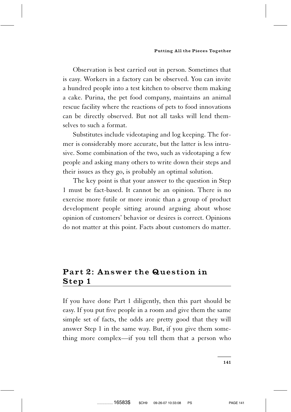Observation is best carried out in person. Sometimes that is easy. Workers in a factory can be observed. You can invite a hundred people into a test kitchen to observe them making a cake. Purina, the pet food company, maintains an animal rescue facility where the reactions of pets to food innovations can be directly observed. But not all tasks will lend themselves to such a format.

Substitutes include videotaping and log keeping. The former is considerably more accurate, but the latter is less intrusive. Some combination of the two, such as videotaping a few people and asking many others to write down their steps and their issues as they go, is probably an optimal solution.

The key point is that your answer to the question in Step 1 must be fact-based. It cannot be an opinion. There is no exercise more futile or more ironic than a group of product development people sitting around arguing about whose opinion of customers' behavior or desires is correct. Opinions do not matter at this point. Facts about customers do matter.

# Part 2: Answer the Question in Step 1

If you have done Part 1 diligently, then this part should be easy. If you put five people in a room and give them the same simple set of facts, the odds are pretty good that they will answer Step 1 in the same way. But, if you give them something more complex—if you tell them that a person who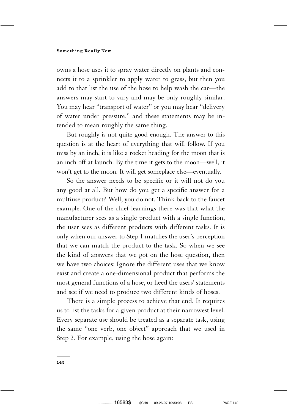owns a hose uses it to spray water directly on plants and connects it to a sprinkler to apply water to grass, but then you add to that list the use of the hose to help wash the car—the answers may start to vary and may be only roughly similar. You may hear "transport of water" or you may hear "delivery of water under pressure,'' and these statements may be intended to mean roughly the same thing.

But roughly is not quite good enough. The answer to this question is at the heart of everything that will follow. If you miss by an inch, it is like a rocket heading for the moon that is an inch off at launch. By the time it gets to the moon—well, it won't get to the moon. It will get someplace else—eventually.

So the answer needs to be specific or it will not do you any good at all. But how do you get a specific answer for a multiuse product? Well, you do not. Think back to the faucet example. One of the chief learnings there was that what the manufacturer sees as a single product with a single function, the user sees as different products with different tasks. It is only when our answer to Step 1 matches the user's perception that we can match the product to the task. So when we see the kind of answers that we got on the hose question, then we have two choices: Ignore the different uses that we know exist and create a one-dimensional product that performs the most general functions of a hose, or heed the users' statements and see if we need to produce two different kinds of hoses.

There is a simple process to achieve that end. It requires us to list the tasks for a given product at their narrowest level. Every separate use should be treated as a separate task, using the same ''one verb, one object'' approach that we used in Step 2. For example, using the hose again: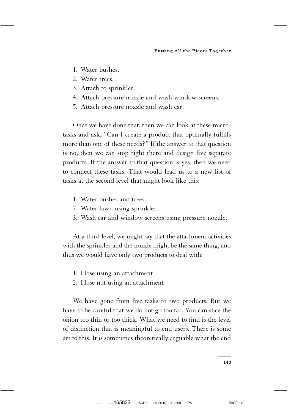- 1. Water bushes.
- 2. Water trees.
- 3. Attach to sprinkler.
- 4. Attach pressure nozzle and wash window screens.
- 5. Attach pressure nozzle and wash car.

Once we have done that, then we can look at these microtasks and ask, ''Can I create a product that optimally fulfills more than one of these needs?'' If the answer to that question is no, then we can stop right there and design five separate products. If the answer to that question is yes, then we need to connect these tasks. That would lead us to a new list of tasks at the second level that might look like this:

- 1. Water bushes and trees.
- 2. Water lawn using sprinkler.
- 3. Wash car and window screens using pressure nozzle.

At a third level, we might say that the attachment activities with the sprinkler and the nozzle might be the same thing, and thus we would have only two products to deal with:

- 1. Hose using an attachment
- 2. Hose not using an attachment

We have gone from five tasks to two products. But we have to be careful that we do not go too far. You can slice the onion too thin or too thick. What we need to find is the level of distinction that is meaningful to end users. There is some art to this. It is sometimes theoretically arguable what the end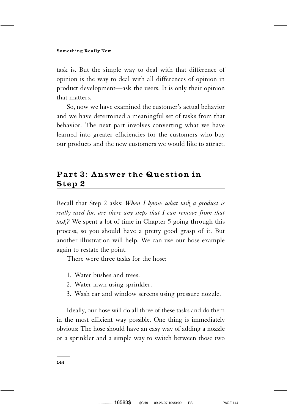task is. But the simple way to deal with that difference of opinion is the way to deal with all differences of opinion in product development—ask the users. It is only their opinion that matters.

So, now we have examined the customer's actual behavior and we have determined a meaningful set of tasks from that behavior. The next part involves converting what we have learned into greater efficiencies for the customers who buy our products and the new customers we would like to attract.

# Part 3: Answer the Question in Step 2

Recall that Step 2 asks: *When I know what task a product is really used for, are there any steps that I can remove from that task?* We spent a lot of time in Chapter 5 going through this process, so you should have a pretty good grasp of it. But another illustration will help. We can use our hose example again to restate the point.

There were three tasks for the hose:

- 1. Water bushes and trees.
- 2. Water lawn using sprinkler.
- 3. Wash car and window screens using pressure nozzle.

Ideally, our hose will do all three of these tasks and do them in the most efficient way possible. One thing is immediately obvious: The hose should have an easy way of adding a nozzle or a sprinkler and a simple way to switch between those two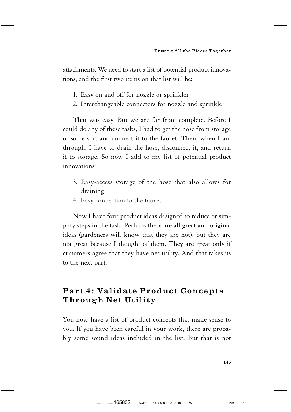attachments. We need to start a list of potential product innovations, and the first two items on that list will be:

- 1. Easy on and off for nozzle or sprinkler
- 2. Interchangeable connectors for nozzle and sprinkler

That was easy. But we are far from complete. Before I could do any of these tasks, I had to get the hose from storage of some sort and connect it to the faucet. Then, when I am through, I have to drain the hose, disconnect it, and return it to storage. So now I add to my list of potential product innovations:

- 3. Easy-access storage of the hose that also allows for draining
- 4. Easy connection to the faucet

Now I have four product ideas designed to reduce or simplify steps in the task. Perhaps these are all great and original ideas (gardeners will know that they are not), but they are not great because I thought of them. They are great only if customers agree that they have net utility. And that takes us to the next part.

# Part 4: Validate Product Concepts Through Net Utility

You now have a list of product concepts that make sense to you. If you have been careful in your work, there are probably some sound ideas included in the list. But that is not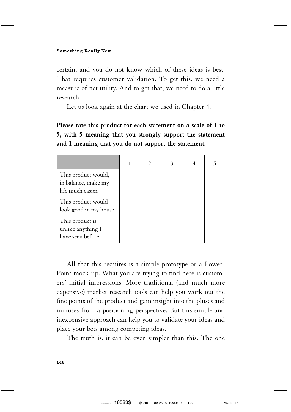certain, and you do not know which of these ideas is best. That requires customer validation. To get this, we need a measure of net utility. And to get that, we need to do a little research.

Let us look again at the chart we used in Chapter 4.

**Please rate this product for each statement on a scale of 1 to 5, with 5 meaning that you strongly support the statement and 1 meaning that you do not support the statement.**

|                                                                 | $\mathcal{L}$ | 3 |  |
|-----------------------------------------------------------------|---------------|---|--|
| This product would,<br>in balance, make my<br>life much easier. |               |   |  |
| This product would<br>look good in my house.                    |               |   |  |
| This product is<br>unlike anything I<br>have seen before.       |               |   |  |

All that this requires is a simple prototype or a Power-Point mock-up. What you are trying to find here is customers' initial impressions. More traditional (and much more expensive) market research tools can help you work out the fine points of the product and gain insight into the pluses and minuses from a positioning perspective. But this simple and inexpensive approach can help you to validate your ideas and place your bets among competing ideas.

The truth is, it can be even simpler than this. The one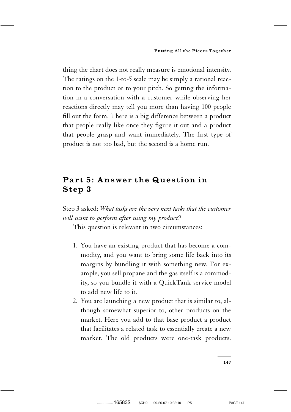thing the chart does not really measure is emotional intensity. The ratings on the 1-to-5 scale may be simply a rational reaction to the product or to your pitch. So getting the information in a conversation with a customer while observing her reactions directly may tell you more than having 100 people fill out the form. There is a big difference between a product that people really like once they figure it out and a product that people grasp and want immediately. The first type of product is not too bad, but the second is a home run.

# Part 5: Answer the Question in Step 3

# Step 3 asked: *What tasks are the very next tasks that the customer will want to perform after using my product?*

This question is relevant in two circumstances:

- 1. You have an existing product that has become a commodity, and you want to bring some life back into its margins by bundling it with something new. For example, you sell propane and the gas itself is a commodity, so you bundle it with a QuickTank service model to add new life to it.
- 2. You are launching a new product that is similar to, although somewhat superior to, other products on the market. Here you add to that base product a product that facilitates a related task to essentially create a new market. The old products were one-task products.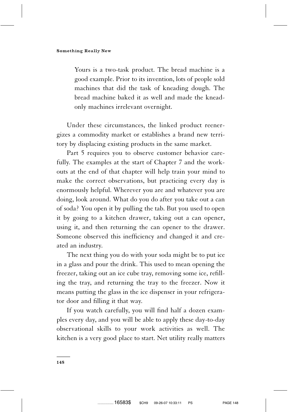Yours is a two-task product. The bread machine is a good example. Prior to its invention, lots of people sold machines that did the task of kneading dough. The bread machine baked it as well and made the kneadonly machines irrelevant overnight.

Under these circumstances, the linked product reenergizes a commodity market or establishes a brand new territory by displacing existing products in the same market.

Part 5 requires you to observe customer behavior carefully. The examples at the start of Chapter 7 and the workouts at the end of that chapter will help train your mind to make the correct observations, but practicing every day is enormously helpful. Wherever you are and whatever you are doing, look around. What do you do after you take out a can of soda? You open it by pulling the tab. But you used to open it by going to a kitchen drawer, taking out a can opener, using it, and then returning the can opener to the drawer. Someone observed this inefficiency and changed it and created an industry.

The next thing you do with your soda might be to put ice in a glass and pour the drink. This used to mean opening the freezer, taking out an ice cube tray, removing some ice, refilling the tray, and returning the tray to the freezer. Now it means putting the glass in the ice dispenser in your refrigerator door and filling it that way.

If you watch carefully, you will find half a dozen examples every day, and you will be able to apply these day-to-day observational skills to your work activities as well. The kitchen is a very good place to start. Net utility really matters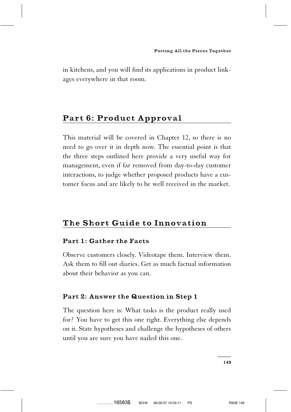in kitchens, and you will find its applications in product linkages everywhere in that room.

# Part 6: Product Approval

This material will be covered in Chapter 12, so there is no need to go over it in depth now. The essential point is that the three steps outlined here provide a very useful way for management, even if far removed from day-to-day customer interactions, to judge whether proposed products have a customer focus and are likely to be well received in the market.

# The Short Guide to Innovation

#### Part 1: Gather the Facts

Observe customers closely. Videotape them. Interview them. Ask them to fill out diaries. Get as much factual information about their behavior as you can.

# Part 2: Answer the Question in Step 1

The question here is: What tasks is the product really used for? You have to get this one right. Everything else depends on it. State hypotheses and challenge the hypotheses of others until you are sure you have nailed this one.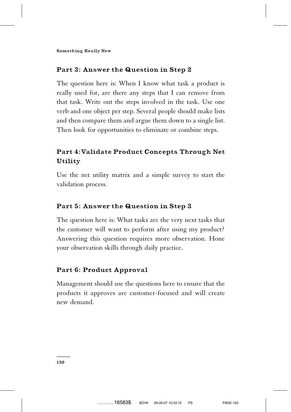Something Really New

#### Part 3: Answer the Question in Step 2

The question here is: When I know what task a product is really used for, are there any steps that I can remove from that task. Write out the steps involved in the task. Use one verb and one object per step. Several people should make lists and then compare them and argue them down to a single list. Then look for opportunities to eliminate or combine steps.

# Part 4:Validate Product Concepts Through Net Utility

Use the net utility matrix and a simple survey to start the validation process.

#### Part 5: Answer the Question in Step 3

The question here is: What tasks are the very next tasks that the customer will want to perform after using my product? Answering this question requires more observation. Hone your observation skills through daily practice.

#### Part 6: Product Approval

Management should use the questions here to ensure that the products it approves are customer-focused and will create new demand.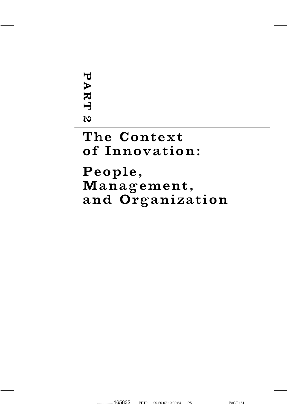# The Context of Innovation:

People, Management, **BAN**<br> **and Organization**<br> **and Organization**<br> **and Organization**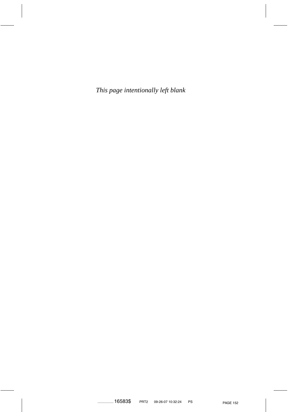*This page intentionally left blank*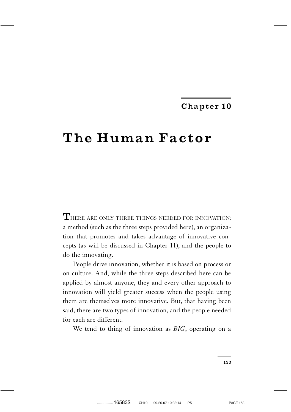# Chapter 10

# The Human Factor

THERE ARE ONLY THREE THINGS NEEDED FOR INNOVATION: a method (such as the three steps provided here), an organization that promotes and takes advantage of innovative concepts (as will be discussed in Chapter 11), and the people to do the innovating.

People drive innovation, whether it is based on process or on culture. And, while the three steps described here can be applied by almost anyone, they and every other approach to innovation will yield greater success when the people using them are themselves more innovative. But, that having been said, there are two types of innovation, and the people needed for each are different.

We tend to thing of innovation as *BIG*, operating on a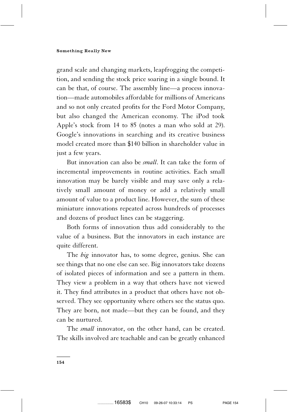grand scale and changing markets, leapfrogging the competition, and sending the stock price soaring in a single bound. It can be that, of course. The assembly line—a process innovation—made automobiles affordable for millions of Americans and so not only created profits for the Ford Motor Company, but also changed the American economy. The iPod took Apple's stock from 14 to 85 (notes a man who sold at 29). Google's innovations in searching and its creative business model created more than \$140 billion in shareholder value in just a few years.

But innovation can also be *small*. It can take the form of incremental improvements in routine activities. Each small innovation may be barely visible and may save only a relatively small amount of money or add a relatively small amount of value to a product line. However, the sum of these miniature innovations repeated across hundreds of processes and dozens of product lines can be staggering.

Both forms of innovation thus add considerably to the value of a business. But the innovators in each instance are quite different.

The *big* innovator has, to some degree, genius. She can see things that no one else can see. Big innovators take dozens of isolated pieces of information and see a pattern in them. They view a problem in a way that others have not viewed it. They find attributes in a product that others have not observed. They see opportunity where others see the status quo. They are born, not made—but they can be found, and they can be nurtured.

The *small* innovator, on the other hand, can be created. The skills involved are teachable and can be greatly enhanced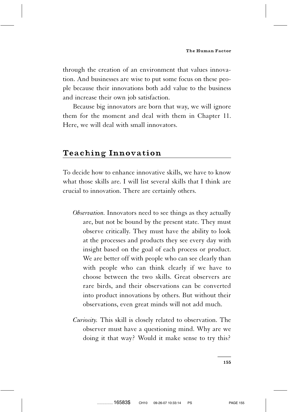through the creation of an environment that values innovation. And businesses are wise to put some focus on these people because their innovations both add value to the business and increase their own job satisfaction.

Because big innovators are born that way, we will ignore them for the moment and deal with them in Chapter 11. Here, we will deal with small innovators.

### Teaching Innovation

To decide how to enhance innovative skills, we have to know what those skills are. I will list several skills that I think are crucial to innovation. There are certainly others.

- *Observation.* Innovators need to see things as they actually are, but not be bound by the present state. They must observe critically. They must have the ability to look at the processes and products they see every day with insight based on the goal of each process or product. We are better off with people who can see clearly than with people who can think clearly if we have to choose between the two skills. Great observers are rare birds, and their observations can be converted into product innovations by others. But without their observations, even great minds will not add much.
- *Curiosity.* This skill is closely related to observation. The observer must have a questioning mind. Why are we doing it that way? Would it make sense to try this?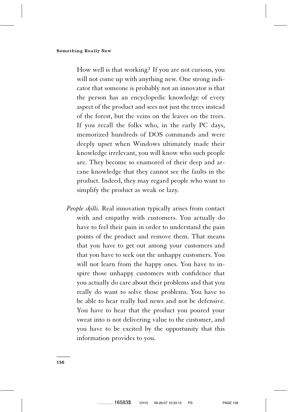How well is that working? If you are not curious, you will not come up with anything new. One strong indicator that someone is probably not an innovator is that the person has an encyclopedic knowledge of every aspect of the product and sees not just the trees instead of the forest, but the veins on the leaves on the trees. If you recall the folks who, in the early PC days, memorized hundreds of DOS commands and were deeply upset when Windows ultimately made their knowledge irrelevant, you will know who such people are. They become so enamored of their deep and arcane knowledge that they cannot see the faults in the product. Indeed, they may regard people who want to simplify the product as weak or lazy.

*People skills.* Real innovation typically arises from contact with and empathy with customers. You actually do have to feel their pain in order to understand the pain points of the product and remove them. That means that you have to get out among your customers and that you have to seek out the unhappy customers. You will not learn from the happy ones. You have to inspire those unhappy customers with confidence that you actually do care about their problems and that you really do want to solve those problems. You have to be able to hear really bad news and not be defensive. You have to hear that the product you poured your sweat into is not delivering value to the customer, and you have to be excited by the opportunity that this information provides to you.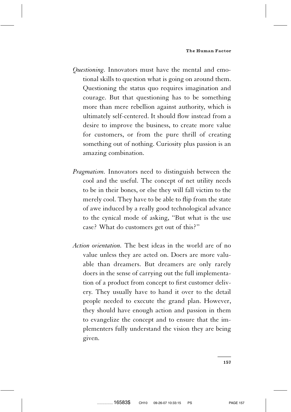- *Questioning.* Innovators must have the mental and emotional skills to question what is going on around them. Questioning the status quo requires imagination and courage. But that questioning has to be something more than mere rebellion against authority, which is ultimately self-centered. It should flow instead from a desire to improve the business, to create more value for customers, or from the pure thrill of creating something out of nothing. Curiosity plus passion is an amazing combination.
- *Pragmatism.* Innovators need to distinguish between the cool and the useful. The concept of net utility needs to be in their bones, or else they will fall victim to the merely cool. They have to be able to flip from the state of awe induced by a really good technological advance to the cynical mode of asking, ''But what is the use case? What do customers get out of this?''
- *Action orientation.* The best ideas in the world are of no value unless they are acted on. Doers are more valuable than dreamers. But dreamers are only rarely doers in the sense of carrying out the full implementation of a product from concept to first customer delivery. They usually have to hand it over to the detail people needed to execute the grand plan. However, they should have enough action and passion in them to evangelize the concept and to ensure that the implementers fully understand the vision they are being given.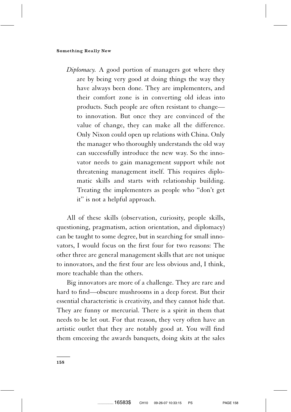*Diplomacy.* A good portion of managers got where they are by being very good at doing things the way they have always been done. They are implementers, and their comfort zone is in converting old ideas into products. Such people are often resistant to change to innovation. But once they are convinced of the value of change, they can make all the difference. Only Nixon could open up relations with China. Only the manager who thoroughly understands the old way can successfully introduce the new way. So the innovator needs to gain management support while not threatening management itself. This requires diplomatic skills and starts with relationship building. Treating the implementers as people who ''don't get it'' is not a helpful approach.

All of these skills (observation, curiosity, people skills, questioning, pragmatism, action orientation, and diplomacy) can be taught to some degree, but in searching for small innovators, I would focus on the first four for two reasons: The other three are general management skills that are not unique to innovators, and the first four are less obvious and, I think, more teachable than the others.

Big innovators are more of a challenge. They are rare and hard to find—obscure mushrooms in a deep forest. But their essential characteristic is creativity, and they cannot hide that. They are funny or mercurial. There is a spirit in them that needs to be let out. For that reason, they very often have an artistic outlet that they are notably good at. You will find them emceeing the awards banquets, doing skits at the sales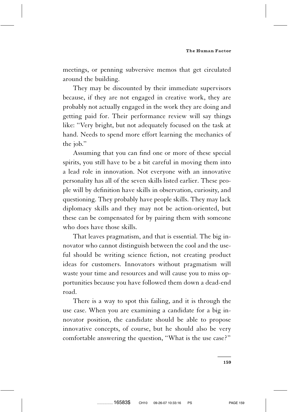meetings, or penning subversive memos that get circulated around the building.

They may be discounted by their immediate supervisors because, if they are not engaged in creative work, they are probably not actually engaged in the work they are doing and getting paid for. Their performance review will say things like: ''Very bright, but not adequately focused on the task at hand. Needs to spend more effort learning the mechanics of the job.''

Assuming that you can find one or more of these special spirits, you still have to be a bit careful in moving them into a lead role in innovation. Not everyone with an innovative personality has all of the seven skills listed earlier. These people will by definition have skills in observation, curiosity, and questioning. They probably have people skills. They may lack diplomacy skills and they may not be action-oriented, but these can be compensated for by pairing them with someone who does have those skills.

That leaves pragmatism, and that is essential. The big innovator who cannot distinguish between the cool and the useful should be writing science fiction, not creating product ideas for customers. Innovators without pragmatism will waste your time and resources and will cause you to miss opportunities because you have followed them down a dead-end road.

There is a way to spot this failing, and it is through the use case. When you are examining a candidate for a big innovator position, the candidate should be able to propose innovative concepts, of course, but he should also be very comfortable answering the question, ''What is the use case?''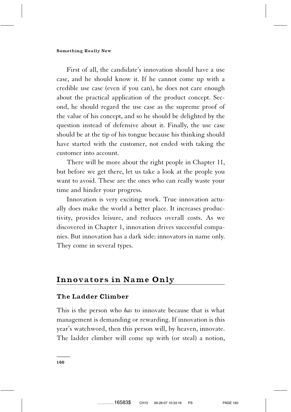#### Something Really New

First of all, the candidate's innovation should have a use case, and he should know it. If he cannot come up with a credible use case (even if you can), he does not care enough about the practical application of the product concept. Second, he should regard the use case as the supreme proof of the value of his concept, and so he should be delighted by the question instead of defensive about it. Finally, the use case should be at the tip of his tongue because his thinking should have started with the customer, not ended with taking the customer into account.

There will be more about the right people in Chapter 11, but before we get there, let us take a look at the people you want to avoid. These are the ones who can really waste your time and hinder your progress.

Innovation is very exciting work. True innovation actually does make the world a better place. It increases productivity, provides leisure, and reduces overall costs. As we discovered in Chapter 1, innovation drives successful companies. But innovation has a dark side: innovators in name only. They come in several types.

# Innovators in Name Only

#### The Ladder Climber

This is the person who *has* to innovate because that is what management is demanding or rewarding. If innovation is this year's watchword, then this person will, by heaven, innovate. The ladder climber will come up with (or steal) a notion,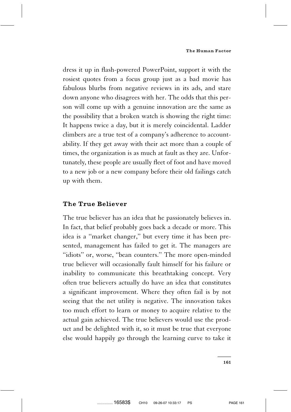dress it up in flash-powered PowerPoint, support it with the rosiest quotes from a focus group just as a bad movie has fabulous blurbs from negative reviews in its ads, and stare down anyone who disagrees with her. The odds that this person will come up with a genuine innovation are the same as the possibility that a broken watch is showing the right time: It happens twice a day, but it is merely coincidental. Ladder climbers are a true test of a company's adherence to accountability. If they get away with their act more than a couple of times, the organization is as much at fault as they are. Unfortunately, these people are usually fleet of foot and have moved to a new job or a new company before their old failings catch up with them.

#### The True Believer

The true believer has an idea that he passionately believes in. In fact, that belief probably goes back a decade or more. This idea is a ''market changer,'' but every time it has been presented, management has failed to get it. The managers are "idiots" or, worse, "bean counters." The more open-minded true believer will occasionally fault himself for his failure or inability to communicate this breathtaking concept. Very often true believers actually do have an idea that constitutes a significant improvement. Where they often fail is by not seeing that the net utility is negative. The innovation takes too much effort to learn or money to acquire relative to the actual gain achieved. The true believers would use the product and be delighted with it, so it must be true that everyone else would happily go through the learning curve to take it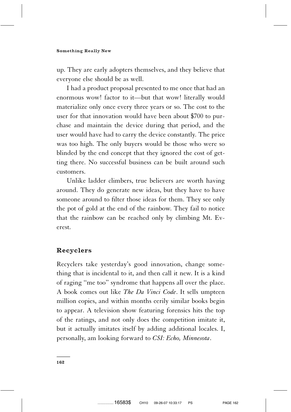up. They are early adopters themselves, and they believe that everyone else should be as well.

I had a product proposal presented to me once that had an enormous wow! factor to it—but that wow! literally would materialize only once every three years or so. The cost to the user for that innovation would have been about \$700 to purchase and maintain the device during that period, and the user would have had to carry the device constantly. The price was too high. The only buyers would be those who were so blinded by the end concept that they ignored the cost of getting there. No successful business can be built around such customers.

Unlike ladder climbers, true believers are worth having around. They do generate new ideas, but they have to have someone around to filter those ideas for them. They see only the pot of gold at the end of the rainbow. They fail to notice that the rainbow can be reached only by climbing Mt. Everest.

# Recyclers

Recyclers take yesterday's good innovation, change something that is incidental to it, and then call it new. It is a kind of raging ''me too'' syndrome that happens all over the place. A book comes out like *The Da Vinci Code*. It sells umpteen million copies, and within months eerily similar books begin to appear. A television show featuring forensics hits the top of the ratings, and not only does the competition imitate it, but it actually imitates itself by adding additional locales. I, personally, am looking forward to *CSI: Echo, Minnesota*.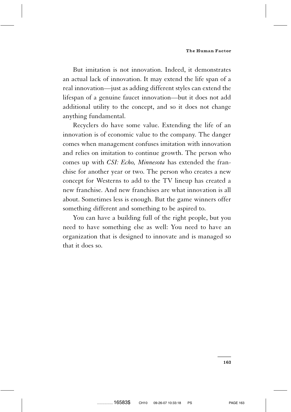But imitation is not innovation. Indeed, it demonstrates an actual lack of innovation. It may extend the life span of a real innovation—just as adding different styles can extend the lifespan of a genuine faucet innovation—but it does not add additional utility to the concept, and so it does not change anything fundamental.

Recyclers do have some value. Extending the life of an innovation is of economic value to the company. The danger comes when management confuses imitation with innovation and relies on imitation to continue growth. The person who comes up with *CSI: Echo, Minnesota* has extended the franchise for another year or two. The person who creates a new concept for Westerns to add to the TV lineup has created a new franchise. And new franchises are what innovation is all about. Sometimes less is enough. But the game winners offer something different and something to be aspired to.

You can have a building full of the right people, but you need to have something else as well: You need to have an organization that is designed to innovate and is managed so that it does so.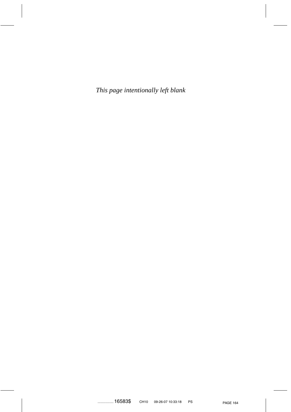*This page intentionally left blank*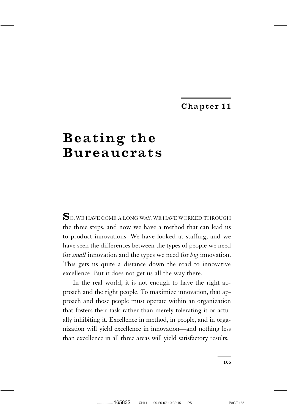# Chapter 11

# Beating the Bureaucrats

SO, WE HAVE COME A LONG WAY. WE HAVE WORKED THROUGH the three steps, and now we have a method that can lead us to product innovations. We have looked at staffing, and we have seen the differences between the types of people we need for *small* innovation and the types we need for *big* innovation. This gets us quite a distance down the road to innovative excellence. But it does not get us all the way there.

In the real world, it is not enough to have the right approach and the right people. To maximize innovation, that approach and those people must operate within an organization that fosters their task rather than merely tolerating it or actually inhibiting it. Excellence in method, in people, and in organization will yield excellence in innovation—and nothing less than excellence in all three areas will yield satisfactory results.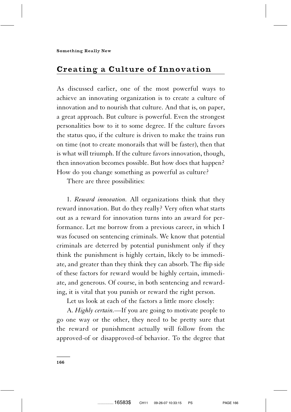## Creating a Culture of Innovation

As discussed earlier, one of the most powerful ways to achieve an innovating organization is to create a culture of innovation and to nourish that culture. And that is, on paper, a great approach. But culture is powerful. Even the strongest personalities bow to it to some degree. If the culture favors the status quo, if the culture is driven to make the trains run on time (not to create monorails that will be faster), then that is what will triumph. If the culture favors innovation, though, then innovation becomes possible. But how does that happen? How do you change something as powerful as culture?

There are three possibilities:

1. *Reward innovation.* All organizations think that they reward innovation. But do they really? Very often what starts out as a reward for innovation turns into an award for performance. Let me borrow from a previous career, in which I was focused on sentencing criminals. We know that potential criminals are deterred by potential punishment only if they think the punishment is highly certain, likely to be immediate, and greater than they think they can absorb. The flip side of these factors for reward would be highly certain, immediate, and generous. Of course, in both sentencing and rewarding, it is vital that you punish or reward the right person.

Let us look at each of the factors a little more closely:

A. *Highly certain.*—If you are going to motivate people to go one way or the other, they need to be pretty sure that the reward or punishment actually will follow from the approved-of or disapproved-of behavior. To the degree that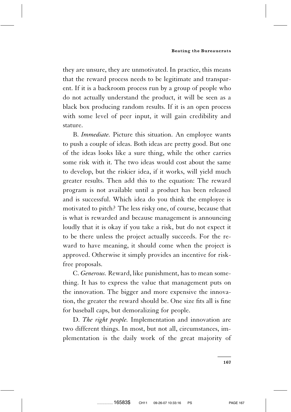they are unsure, they are unmotivated. In practice, this means that the reward process needs to be legitimate and transparent. If it is a backroom process run by a group of people who do not actually understand the product, it will be seen as a black box producing random results. If it is an open process with some level of peer input, it will gain credibility and stature.

B. *Immediate.* Picture this situation. An employee wants to push a couple of ideas. Both ideas are pretty good. But one of the ideas looks like a sure thing, while the other carries some risk with it. The two ideas would cost about the same to develop, but the riskier idea, if it works, will yield much greater results. Then add this to the equation: The reward program is not available until a product has been released and is successful. Which idea do you think the employee is motivated to pitch? The less risky one, of course, because that is what is rewarded and because management is announcing loudly that it is okay if you take a risk, but do not expect it to be there unless the project actually succeeds. For the reward to have meaning, it should come when the project is approved. Otherwise it simply provides an incentive for riskfree proposals.

C. *Generous.* Reward, like punishment, has to mean something. It has to express the value that management puts on the innovation. The bigger and more expensive the innovation, the greater the reward should be. One size fits all is fine for baseball caps, but demoralizing for people.

D. *The right people.* Implementation and innovation are two different things. In most, but not all, circumstances, implementation is the daily work of the great majority of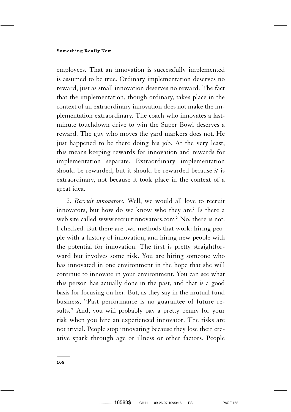employees. That an innovation is successfully implemented is assumed to be true. Ordinary implementation deserves no reward, just as small innovation deserves no reward. The fact that the implementation, though ordinary, takes place in the context of an extraordinary innovation does not make the implementation extraordinary. The coach who innovates a lastminute touchdown drive to win the Super Bowl deserves a reward. The guy who moves the yard markers does not. He just happened to be there doing his job. At the very least, this means keeping rewards for innovation and rewards for implementation separate. Extraordinary implementation should be rewarded, but it should be rewarded because *it* is extraordinary, not because it took place in the context of a great idea.

2. *Recruit innovators.* Well, we would all love to recruit innovators, but how do we know who they are? Is there a web site called www.recruitinnovators.com? No, there is not. I checked. But there are two methods that work: hiring people with a history of innovation, and hiring new people with the potential for innovation. The first is pretty straightforward but involves some risk. You are hiring someone who has innovated in one environment in the hope that she will continue to innovate in your environment. You can see what this person has actually done in the past, and that is a good basis for focusing on her. But, as they say in the mutual fund business, ''Past performance is no guarantee of future results.'' And, you will probably pay a pretty penny for your risk when you hire an experienced innovator. The risks are not trivial. People stop innovating because they lose their creative spark through age or illness or other factors. People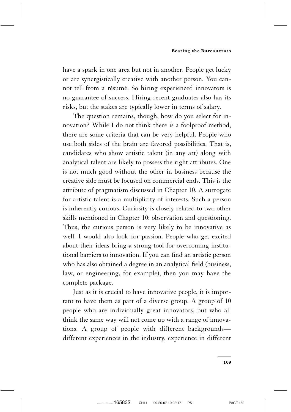have a spark in one area but not in another. People get lucky or are synergistically creative with another person. You cannot tell from a résumé. So hiring experienced innovators is no guarantee of success. Hiring recent graduates also has its risks, but the stakes are typically lower in terms of salary.

The question remains, though, how do you select for innovation? While I do not think there is a foolproof method, there are some criteria that can be very helpful. People who use both sides of the brain are favored possibilities. That is, candidates who show artistic talent (in any art) along with analytical talent are likely to possess the right attributes. One is not much good without the other in business because the creative side must be focused on commercial ends. This is the attribute of pragmatism discussed in Chapter 10. A surrogate for artistic talent is a multiplicity of interests. Such a person is inherently curious. Curiosity is closely related to two other skills mentioned in Chapter 10: observation and questioning. Thus, the curious person is very likely to be innovative as well. I would also look for passion. People who get excited about their ideas bring a strong tool for overcoming institutional barriers to innovation. If you can find an artistic person who has also obtained a degree in an analytical field (business, law, or engineering, for example), then you may have the complete package.

Just as it is crucial to have innovative people, it is important to have them as part of a diverse group. A group of 10 people who are individually great innovators, but who all think the same way will not come up with a range of innovations. A group of people with different backgrounds different experiences in the industry, experience in different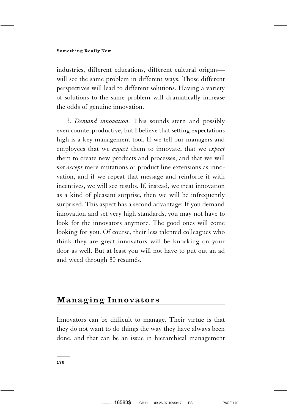industries, different educations, different cultural origins will see the same problem in different ways. Those different perspectives will lead to different solutions. Having a variety of solutions to the same problem will dramatically increase the odds of genuine innovation.

3. *Demand innovation.* This sounds stern and possibly even counterproductive, but I believe that setting expectations high is a key management tool. If we tell our managers and employees that we *expect* them to innovate, that we *expect* them to create new products and processes, and that we will *not accept* mere mutations or product line extensions as innovation, and if we repeat that message and reinforce it with incentives, we will see results. If, instead, we treat innovation as a kind of pleasant surprise, then we will be infrequently surprised. This aspect has a second advantage: If you demand innovation and set very high standards, you may not have to look for the innovators anymore. The good ones will come looking for you. Of course, their less talented colleagues who think they are great innovators will be knocking on your door as well. But at least you will not have to put out an ad and weed through 80 résumés.

## Managing Innovators

Innovators can be difficult to manage. Their virtue is that they do not want to do things the way they have always been done, and that can be an issue in hierarchical management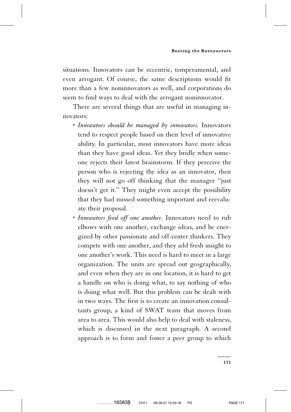situations. Innovators can be eccentric, temperamental, and even arrogant. Of course, the same descriptions would fit more than a few noninnovators as well, and corporations do seem to find ways to deal with the arrogant noninnovator.

There are several things that are useful in managing innovators:

- *Innovators should be managed by innovators.* Innovators tend to respect people based on their level of innovative ability. In particular, most innovators have more ideas than they have good ideas. Yet they bridle when someone rejects their latest brainstorm. If they perceive the person who is rejecting the idea as an innovator, then they will not go off thinking that the manager ''just doesn't get it.'' They might even accept the possibility that they had missed something important and reevaluate their proposal.
- *Innovators feed off one another.* Innovators need to rub elbows with one another, exchange ideas, and be energized by other passionate and off-center thinkers. They compete with one another, and they add fresh insight to one another's work. This need is hard to meet in a large organization. The units are spread out geographically, and even when they are in one location, it is hard to get a handle on who is doing what, to say nothing of who is doing what well. But this problem can be dealt with in two ways. The first is to create an innovation consultants group, a kind of SWAT team that moves from area to area. This would also help to deal with staleness, which is discussed in the next paragraph. A second approach is to form and foster a peer group to which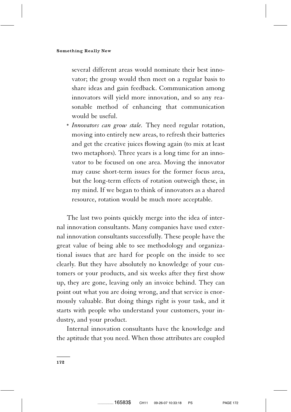several different areas would nominate their best innovator; the group would then meet on a regular basis to share ideas and gain feedback. Communication among innovators will yield more innovation, and so any reasonable method of enhancing that communication would be useful.

• *Innovators can grow stale.* They need regular rotation, moving into entirely new areas, to refresh their batteries and get the creative juices flowing again (to mix at least two metaphors). Three years is a long time for an innovator to be focused on one area. Moving the innovator may cause short-term issues for the former focus area, but the long-term effects of rotation outweigh these, in my mind. If we began to think of innovators as a shared resource, rotation would be much more acceptable.

The last two points quickly merge into the idea of internal innovation consultants. Many companies have used external innovation consultants successfully. These people have the great value of being able to see methodology and organizational issues that are hard for people on the inside to see clearly. But they have absolutely no knowledge of your customers or your products, and six weeks after they first show up, they are gone, leaving only an invoice behind. They can point out what you are doing wrong, and that service is enormously valuable. But doing things right is your task, and it starts with people who understand your customers, your industry, and your product.

Internal innovation consultants have the knowledge and the aptitude that you need. When those attributes are coupled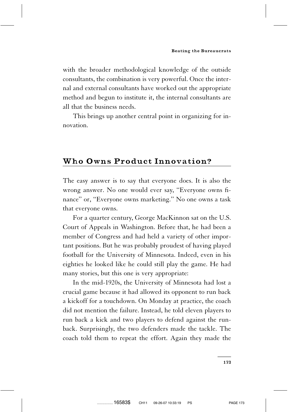with the broader methodological knowledge of the outside consultants, the combination is very powerful. Once the internal and external consultants have worked out the appropriate method and begun to institute it, the internal consultants are all that the business needs.

This brings up another central point in organizing for innovation.

### Who Owns Product Innovation?

The easy answer is to say that everyone does. It is also the wrong answer. No one would ever say, ''Everyone owns finance'' or, ''Everyone owns marketing.'' No one owns a task that everyone owns.

For a quarter century, George MacKinnon sat on the U.S. Court of Appeals in Washington. Before that, he had been a member of Congress and had held a variety of other important positions. But he was probably proudest of having played football for the University of Minnesota. Indeed, even in his eighties he looked like he could still play the game. He had many stories, but this one is very appropriate:

In the mid-1920s, the University of Minnesota had lost a crucial game because it had allowed its opponent to run back a kickoff for a touchdown. On Monday at practice, the coach did not mention the failure. Instead, he told eleven players to run back a kick and two players to defend against the runback. Surprisingly, the two defenders made the tackle. The coach told them to repeat the effort. Again they made the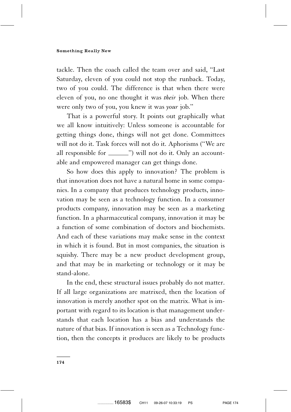tackle. Then the coach called the team over and said, ''Last Saturday, eleven of you could not stop the runback. Today, two of you could. The difference is that when there were eleven of you, no one thought it was *their* job. When there were only two of you, you knew it was *your* job.''

That is a powerful story. It points out graphically what we all know intuitively: Unless someone is accountable for getting things done, things will not get done. Committees will not do it. Task forces will not do it. Aphorisms (''We are all responsible for \_\_\_\_\_\_\_") will not do it. Only an accountable and empowered manager can get things done.

So how does this apply to innovation? The problem is that innovation does not have a natural home in some companies. In a company that produces technology products, innovation may be seen as a technology function. In a consumer products company, innovation may be seen as a marketing function. In a pharmaceutical company, innovation it may be a function of some combination of doctors and biochemists. And each of these variations may make sense in the context in which it is found. But in most companies, the situation is squishy. There may be a new product development group, and that may be in marketing or technology or it may be stand-alone.

In the end, these structural issues probably do not matter. If all large organizations are matrixed, then the location of innovation is merely another spot on the matrix. What is important with regard to its location is that management understands that each location has a bias and understands the nature of that bias. If innovation is seen as a Technology function, then the concepts it produces are likely to be products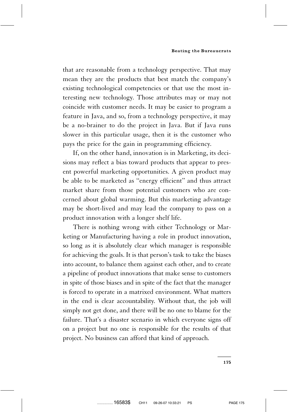that are reasonable from a technology perspective. That may mean they are the products that best match the company's existing technological competencies or that use the most interesting new technology. Those attributes may or may not coincide with customer needs. It may be easier to program a feature in Java, and so, from a technology perspective, it may be a no-brainer to do the project in Java. But if Java runs slower in this particular usage, then it is the customer who pays the price for the gain in programming efficiency.

If, on the other hand, innovation is in Marketing, its decisions may reflect a bias toward products that appear to present powerful marketing opportunities. A given product may be able to be marketed as ''energy efficient'' and thus attract market share from those potential customers who are concerned about global warming. But this marketing advantage may be short-lived and may lead the company to pass on a product innovation with a longer shelf life.

There is nothing wrong with either Technology or Marketing or Manufacturing having a role in product innovation, so long as it is absolutely clear which manager is responsible for achieving the goals. It is that person's task to take the biases into account, to balance them against each other, and to create a pipeline of product innovations that make sense to customers in spite of those biases and in spite of the fact that the manager is forced to operate in a matrixed environment. What matters in the end is clear accountability. Without that, the job will simply not get done, and there will be no one to blame for the failure. That's a disaster scenario in which everyone signs off on a project but no one is responsible for the results of that project. No business can afford that kind of approach.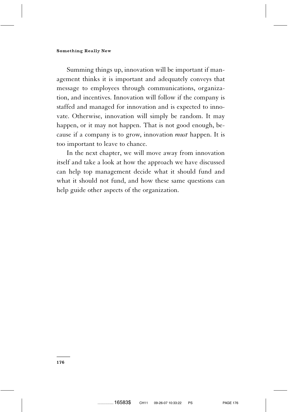#### Something Really New

Summing things up, innovation will be important if management thinks it is important and adequately conveys that message to employees through communications, organization, and incentives. Innovation will follow if the company is staffed and managed for innovation and is expected to innovate. Otherwise, innovation will simply be random. It may happen, or it may not happen. That is not good enough, because if a company is to grow, innovation *must* happen. It is too important to leave to chance.

In the next chapter, we will move away from innovation itself and take a look at how the approach we have discussed can help top management decide what it should fund and what it should not fund, and how these same questions can help guide other aspects of the organization.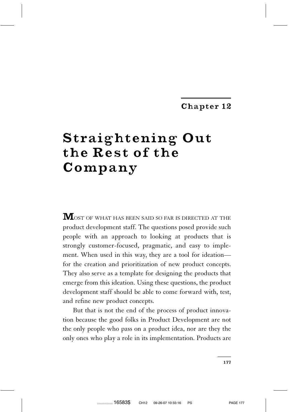## Chapter 12

# Straightening Out the Rest of the Company

 $M_{\text{OST OF WHAT HAS BEEN SAID SO FAR IS DIRECTED AT THE}$ product development staff. The questions posed provide such people with an approach to looking at products that is strongly customer-focused, pragmatic, and easy to implement. When used in this way, they are a tool for ideation for the creation and prioritization of new product concepts. They also serve as a template for designing the products that emerge from this ideation. Using these questions, the product development staff should be able to come forward with, test, and refine new product concepts.

But that is not the end of the process of product innovation because the good folks in Product Development are not the only people who pass on a product idea, nor are they the only ones who play a role in its implementation. Products are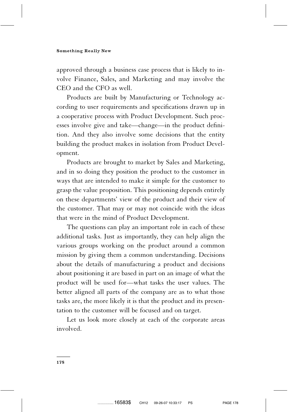approved through a business case process that is likely to involve Finance, Sales, and Marketing and may involve the CEO and the CFO as well.

Products are built by Manufacturing or Technology according to user requirements and specifications drawn up in a cooperative process with Product Development. Such processes involve give and take—change—in the product definition. And they also involve some decisions that the entity building the product makes in isolation from Product Development.

Products are brought to market by Sales and Marketing, and in so doing they position the product to the customer in ways that are intended to make it simple for the customer to grasp the value proposition. This positioning depends entirely on these departments' view of the product and their view of the customer. That may or may not coincide with the ideas that were in the mind of Product Development.

The questions can play an important role in each of these additional tasks. Just as importantly, they can help align the various groups working on the product around a common mission by giving them a common understanding. Decisions about the details of manufacturing a product and decisions about positioning it are based in part on an image of what the product will be used for—what tasks the user values. The better aligned all parts of the company are as to what those tasks are, the more likely it is that the product and its presentation to the customer will be focused and on target.

Let us look more closely at each of the corporate areas involved.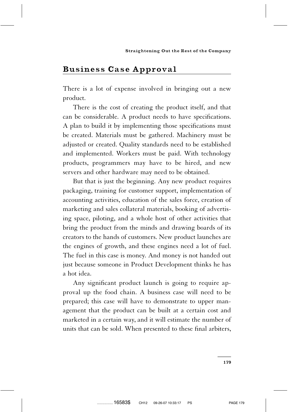## Business Case Approval

There is a lot of expense involved in bringing out a new product.

There is the cost of creating the product itself, and that can be considerable. A product needs to have specifications. A plan to build it by implementing those specifications must be created. Materials must be gathered. Machinery must be adjusted or created. Quality standards need to be established and implemented. Workers must be paid. With technology products, programmers may have to be hired, and new servers and other hardware may need to be obtained.

But that is just the beginning. Any new product requires packaging, training for customer support, implementation of accounting activities, education of the sales force, creation of marketing and sales collateral materials, booking of advertising space, piloting, and a whole host of other activities that bring the product from the minds and drawing boards of its creators to the hands of customers. New product launches are the engines of growth, and these engines need a lot of fuel. The fuel in this case is money. And money is not handed out just because someone in Product Development thinks he has a hot idea.

Any significant product launch is going to require approval up the food chain. A business case will need to be prepared; this case will have to demonstrate to upper management that the product can be built at a certain cost and marketed in a certain way, and it will estimate the number of units that can be sold. When presented to these final arbiters,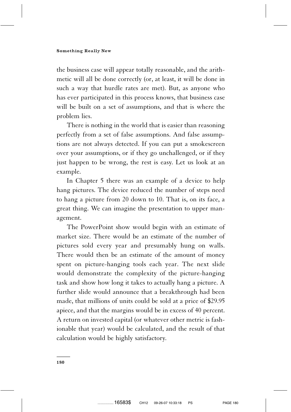the business case will appear totally reasonable, and the arithmetic will all be done correctly (or, at least, it will be done in such a way that hurdle rates are met). But, as anyone who has ever participated in this process knows, that business case will be built on a set of assumptions, and that is where the problem lies.

There is nothing in the world that is easier than reasoning perfectly from a set of false assumptions. And false assumptions are not always detected. If you can put a smokescreen over your assumptions, or if they go unchallenged, or if they just happen to be wrong, the rest is easy. Let us look at an example.

In Chapter 5 there was an example of a device to help hang pictures. The device reduced the number of steps need to hang a picture from 20 down to 10. That is, on its face, a great thing. We can imagine the presentation to upper management.

The PowerPoint show would begin with an estimate of market size. There would be an estimate of the number of pictures sold every year and presumably hung on walls. There would then be an estimate of the amount of money spent on picture-hanging tools each year. The next slide would demonstrate the complexity of the picture-hanging task and show how long it takes to actually hang a picture. A further slide would announce that a breakthrough had been made, that millions of units could be sold at a price of \$29.95 apiece, and that the margins would be in excess of 40 percent. A return on invested capital (or whatever other metric is fashionable that year) would be calculated, and the result of that calculation would be highly satisfactory.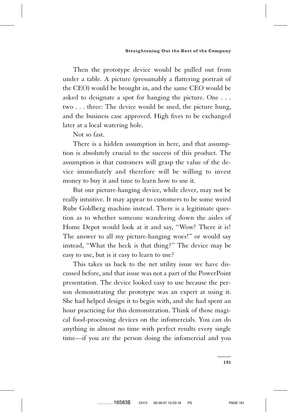Then the prototype device would be pulled out from under a table. A picture (presumably a flattering portrait of the CEO) would be brought in, and the same CEO would be asked to designate a spot for hanging the picture. One . . . two . . . three: The device would be used, the picture hung, and the business case approved. High fives to be exchanged later at a local watering hole.

Not so fast.

There is a hidden assumption in here, and that assumption is absolutely crucial to the success of this product. The assumption is that customers will grasp the value of the device immediately and therefore will be willing to invest money to buy it and time to learn how to use it.

But our picture-hanging device, while clever, may not be really intuitive. It may appear to customers to be some weird Rube Goldberg machine instead. There is a legitimate question as to whether someone wandering down the aisles of Home Depot would look at it and say, ''Wow! There it is! The answer to all my picture-hanging woes!'' or would say instead, ''What the heck is that thing?'' The device may be easy to use, but is it easy to learn to use?

This takes us back to the net utility issue we have discussed before, and that issue was not a part of the PowerPoint presentation. The device looked easy to use because the person demonstrating the prototype was an expert at using it. She had helped design it to begin with, and she had spent an hour practicing for this demonstration. Think of those magical food-processing devices on the infomercials. You can do anything in almost no time with perfect results every single time—if you are the person doing the infomercial and you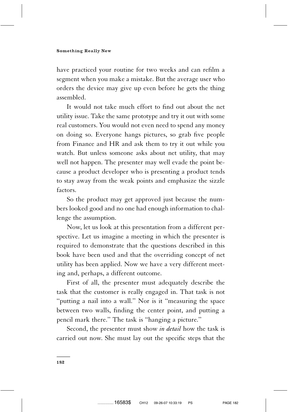have practiced your routine for two weeks and can refilm a segment when you make a mistake. But the average user who orders the device may give up even before he gets the thing assembled.

It would not take much effort to find out about the net utility issue. Take the same prototype and try it out with some real customers. You would not even need to spend any money on doing so. Everyone hangs pictures, so grab five people from Finance and HR and ask them to try it out while you watch. But unless someone asks about net utility, that may well not happen. The presenter may well evade the point because a product developer who is presenting a product tends to stay away from the weak points and emphasize the sizzle factors.

So the product may get approved just because the numbers looked good and no one had enough information to challenge the assumption.

Now, let us look at this presentation from a different perspective. Let us imagine a meeting in which the presenter is required to demonstrate that the questions described in this book have been used and that the overriding concept of net utility has been applied. Now we have a very different meeting and, perhaps, a different outcome.

First of all, the presenter must adequately describe the task that the customer is really engaged in. That task is not "putting a nail into a wall." Nor is it "measuring the space between two walls, finding the center point, and putting a pencil mark there.'' The task is ''hanging a picture.''

Second, the presenter must show *in detail* how the task is carried out now. She must lay out the specific steps that the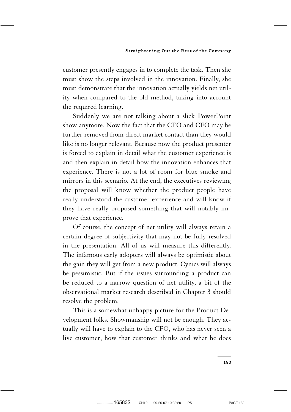customer presently engages in to complete the task. Then she must show the steps involved in the innovation. Finally, she must demonstrate that the innovation actually yields net utility when compared to the old method, taking into account the required learning.

Suddenly we are not talking about a slick PowerPoint show anymore. Now the fact that the CEO and CFO may be further removed from direct market contact than they would like is no longer relevant. Because now the product presenter is forced to explain in detail what the customer experience is and then explain in detail how the innovation enhances that experience. There is not a lot of room for blue smoke and mirrors in this scenario. At the end, the executives reviewing the proposal will know whether the product people have really understood the customer experience and will know if they have really proposed something that will notably improve that experience.

Of course, the concept of net utility will always retain a certain degree of subjectivity that may not be fully resolved in the presentation. All of us will measure this differently. The infamous early adopters will always be optimistic about the gain they will get from a new product. Cynics will always be pessimistic. But if the issues surrounding a product can be reduced to a narrow question of net utility, a bit of the observational market research described in Chapter 3 should resolve the problem.

This is a somewhat unhappy picture for the Product Development folks. Showmanship will not be enough. They actually will have to explain to the CFO, who has never seen a live customer, how that customer thinks and what he does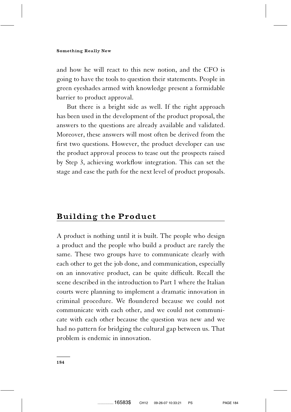and how he will react to this new notion, and the CFO is going to have the tools to question their statements. People in green eyeshades armed with knowledge present a formidable barrier to product approval.

But there is a bright side as well. If the right approach has been used in the development of the product proposal, the answers to the questions are already available and validated. Moreover, these answers will most often be derived from the first two questions. However, the product developer can use the product approval process to tease out the prospects raised by Step 3, achieving workflow integration. This can set the stage and ease the path for the next level of product proposals.

### Building the Product

A product is nothing until it is built. The people who design a product and the people who build a product are rarely the same. These two groups have to communicate clearly with each other to get the job done, and communication, especially on an innovative product, can be quite difficult. Recall the scene described in the introduction to Part 1 where the Italian courts were planning to implement a dramatic innovation in criminal procedure. We floundered because we could not communicate with each other, and we could not communicate with each other because the question was new and we had no pattern for bridging the cultural gap between us. That problem is endemic in innovation.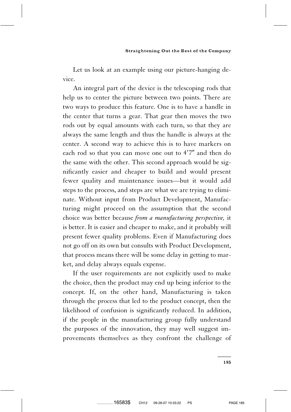Let us look at an example using our picture-hanging device.

An integral part of the device is the telescoping rods that help us to center the picture between two points. There are two ways to produce this feature. One is to have a handle in the center that turns a gear. That gear then moves the two rods out by equal amounts with each turn, so that they are always the same length and thus the handle is always at the center. A second way to achieve this is to have markers on each rod so that you can move one out to 4'7" and then do the same with the other. This second approach would be significantly easier and cheaper to build and would present fewer quality and maintenance issues—but it would add steps to the process, and steps are what we are trying to eliminate. Without input from Product Development, Manufacturing might proceed on the assumption that the second choice was better because *from a manufacturing perspective,* it is better. It is easier and cheaper to make, and it probably will present fewer quality problems. Even if Manufacturing does not go off on its own but consults with Product Development, that process means there will be some delay in getting to market, and delay always equals expense.

If the user requirements are not explicitly used to make the choice, then the product may end up being inferior to the concept. If, on the other hand, Manufacturing is taken through the process that led to the product concept, then the likelihood of confusion is significantly reduced. In addition, if the people in the manufacturing group fully understand the purposes of the innovation, they may well suggest improvements themselves as they confront the challenge of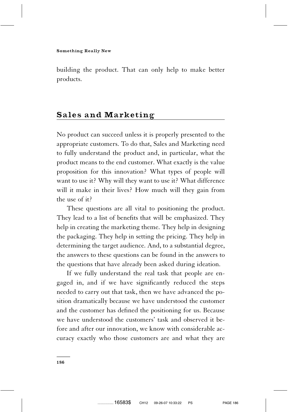building the product. That can only help to make better products.

### Sales and Marketing

No product can succeed unless it is properly presented to the appropriate customers. To do that, Sales and Marketing need to fully understand the product and, in particular, what the product means to the end customer. What exactly is the value proposition for this innovation? What types of people will want to use it? Why will they want to use it? What difference will it make in their lives? How much will they gain from the use of it?

These questions are all vital to positioning the product. They lead to a list of benefits that will be emphasized. They help in creating the marketing theme. They help in designing the packaging. They help in setting the pricing. They help in determining the target audience. And, to a substantial degree, the answers to these questions can be found in the answers to the questions that have already been asked during ideation.

If we fully understand the real task that people are engaged in, and if we have significantly reduced the steps needed to carry out that task, then we have advanced the position dramatically because we have understood the customer and the customer has defined the positioning for us. Because we have understood the customers' task and observed it before and after our innovation, we know with considerable accuracy exactly who those customers are and what they are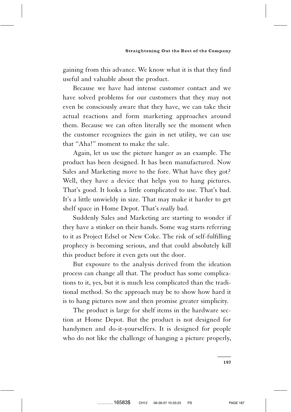gaining from this advance. We know what it is that they find useful and valuable about the product.

Because we have had intense customer contact and we have solved problems for our customers that they may not even be consciously aware that they have, we can take their actual reactions and form marketing approaches around them. Because we can often literally see the moment when the customer recognizes the gain in net utility, we can use that ''Aha!'' moment to make the sale.

Again, let us use the picture hanger as an example. The product has been designed. It has been manufactured. Now Sales and Marketing move to the fore. What have they got? Well, they have a device that helps you to hang pictures. That's good. It looks a little complicated to use. That's bad. It's a little unwieldy in size. That may make it harder to get shelf space in Home Depot. That's *really* bad.

Suddenly Sales and Marketing are starting to wonder if they have a stinker on their hands. Some wag starts referring to it as Project Edsel or New Coke. The risk of self-fulfilling prophecy is becoming serious, and that could absolutely kill this product before it even gets out the door.

But exposure to the analysis derived from the ideation process can change all that. The product has some complications to it, yes, but it is much less complicated than the traditional method. So the approach may be to show how hard it is to hang pictures now and then promise greater simplicity.

The product is large for shelf items in the hardware section at Home Depot. But the product is not designed for handymen and do-it-yourselfers. It is designed for people who do not like the challenge of hanging a picture properly,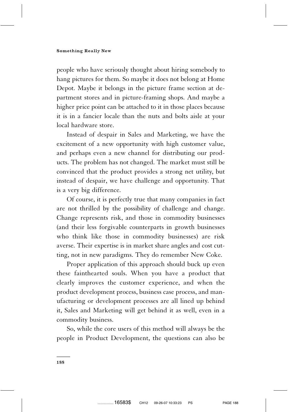people who have seriously thought about hiring somebody to hang pictures for them. So maybe it does not belong at Home Depot. Maybe it belongs in the picture frame section at department stores and in picture-framing shops. And maybe a higher price point can be attached to it in those places because it is in a fancier locale than the nuts and bolts aisle at your local hardware store.

Instead of despair in Sales and Marketing, we have the excitement of a new opportunity with high customer value, and perhaps even a new channel for distributing our products. The problem has not changed. The market must still be convinced that the product provides a strong net utility, but instead of despair, we have challenge and opportunity. That is a very big difference.

Of course, it is perfectly true that many companies in fact are not thrilled by the possibility of challenge and change. Change represents risk, and those in commodity businesses (and their less forgivable counterparts in growth businesses who think like those in commodity businesses) are risk averse. Their expertise is in market share angles and cost cutting, not in new paradigms. They do remember New Coke.

Proper application of this approach should buck up even these fainthearted souls. When you have a product that clearly improves the customer experience, and when the product development process, business case process, and manufacturing or development processes are all lined up behind it, Sales and Marketing will get behind it as well, even in a commodity business.

So, while the core users of this method will always be the people in Product Development, the questions can also be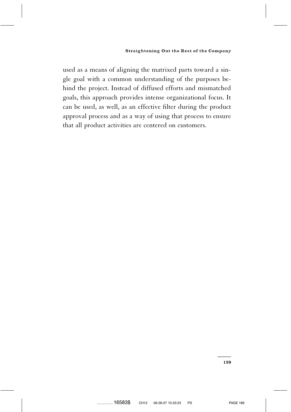used as a means of aligning the matrixed parts toward a single goal with a common understanding of the purposes behind the project. Instead of diffused efforts and mismatched goals, this approach provides intense organizational focus. It can be used, as well, as an effective filter during the product approval process and as a way of using that process to ensure that all product activities are centered on customers.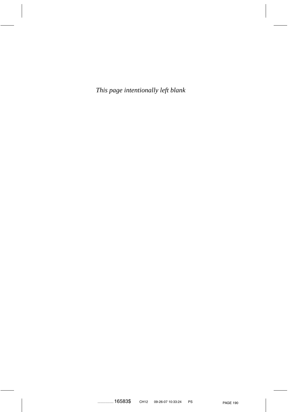*This page intentionally left blank*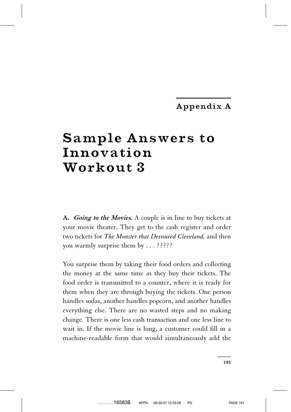Appendix A

# Sample Answers to Innovation Workout 3

**A. Going to the Movies.** A couple is in line to buy tickets at your movie theater. They get to the cash register and order two tickets for *The Monster that Devoured Cleveland,* and then you warmly surprise them by . . . ?????

You surprise them by taking their food orders and collecting the money at the same time as they buy their tickets. The food order is transmitted to a counter, where it is ready for them when they are through buying the tickets. One person handles sodas, another handles popcorn, and another handles everything else. There are no wasted steps and no making change. There is one less cash transaction and one less line to wait in. If the movie line is long, a customer could fill in a machine-readable form that would simultaneously add the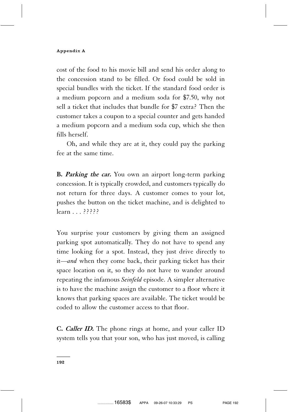#### Appendix A

cost of the food to his movie bill and send his order along to the concession stand to be filled. Or food could be sold in special bundles with the ticket. If the standard food order is a medium popcorn and a medium soda for \$7.50, why not sell a ticket that includes that bundle for \$7 extra? Then the customer takes a coupon to a special counter and gets handed a medium popcorn and a medium soda cup, which she then fills herself.

Oh, and while they are at it, they could pay the parking fee at the same time.

**B. Parking the car.** You own an airport long-term parking concession. It is typically crowded, and customers typically do not return for three days. A customer comes to your lot, pushes the button on the ticket machine, and is delighted to learn . . . ?????

You surprise your customers by giving them an assigned parking spot automatically. They do not have to spend any time looking for a spot. Instead, they just drive directly to it—*and* when they come back, their parking ticket has their space location on it, so they do not have to wander around repeating the infamous *Seinfeld* episode. A simpler alternative is to have the machine assign the customer to a floor where it knows that parking spaces are available. The ticket would be coded to allow the customer access to that floor.

**C. Caller ID.** The phone rings at home, and your caller ID system tells you that your son, who has just moved, is calling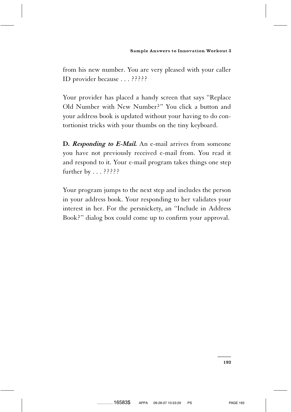from his new number. You are very pleased with your caller ID provider because . . . ?????

Your provider has placed a handy screen that says ''Replace Old Number with New Number?'' You click a button and your address book is updated without your having to do contortionist tricks with your thumbs on the tiny keyboard.

**D. Responding to E-Mail.** An e-mail arrives from someone you have not previously received e-mail from. You read it and respond to it. Your e-mail program takes things one step further by . . . ?????

Your program jumps to the next step and includes the person in your address book. Your responding to her validates your interest in her. For the persnickety, an ''Include in Address Book?'' dialog box could come up to confirm your approval.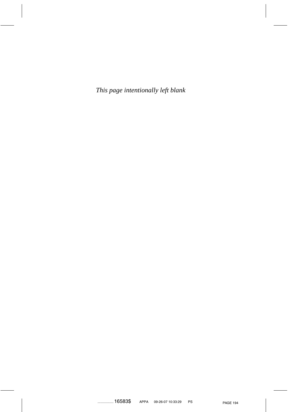*This page intentionally left blank*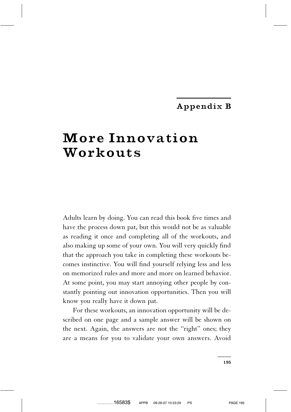## Appendix B

# More Innovation Workouts

Adults learn by doing. You can read this book five times and have the process down pat, but this would not be as valuable as reading it once and completing all of the workouts, and also making up some of your own. You will very quickly find that the approach you take in completing these workouts becomes instinctive. You will find yourself relying less and less on memorized rules and more and more on learned behavior. At some point, you may start annoying other people by constantly pointing out innovation opportunities. Then you will know you really have it down pat.

For these workouts, an innovation opportunity will be described on one page and a sample answer will be shown on the next. Again, the answers are not the ''right'' ones; they are a means for you to validate your own answers. Avoid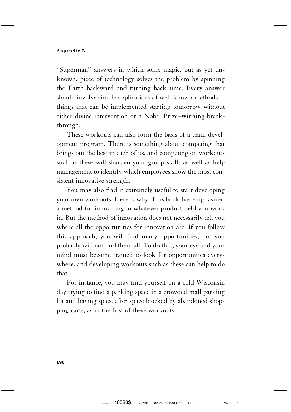#### Appendix B

''Superman'' answers in which some magic, but as yet unknown, piece of technology solves the problem by spinning the Earth backward and turning back time. Every answer should involve simple applications of well-known methods things that can be implemented starting tomorrow without either divine intervention or a Nobel Prize–winning breakthrough.

These workouts can also form the basis of a team development program. There is something about competing that brings out the best in each of us, and competing on workouts such as these will sharpen your group skills as well as help management to identify which employees show the most consistent innovative strength.

You may also find it extremely useful to start developing your own workouts. Here is why. This book has emphasized a method for innovating in whatever product field you work in. But the method of innovation does not necessarily tell you where all the opportunities for innovation are. If you follow this approach, you will find many opportunities, but you probably will not find them all. To do that, your eye and your mind must become trained to look for opportunities everywhere, and developing workouts such as these can help to do that.

For instance, you may find yourself on a cold Wisconsin day trying to find a parking space in a crowded mall parking lot and having space after space blocked by abandoned shopping carts, as in the first of these workouts.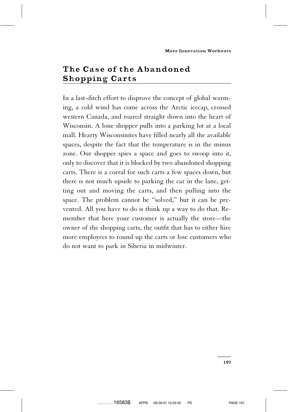## The Case of the Abandoned Shopping Carts

In a last-ditch effort to disprove the concept of global warming, a cold wind has come across the Arctic icecap, crossed western Canada, and roared straight down into the heart of Wisconsin. A lone shopper pulls into a parking lot at a local mall. Hearty Wisconsinites have filled nearly all the available spaces, despite the fact that the temperature is in the minus zone. Our shopper spies a space and goes to swoop into it, only to discover that it is blocked by two abandoned shopping carts. There is a corral for such carts a few spaces down, but there is not much upside to parking the car in the lane, getting out and moving the carts, and then pulling into the space. The problem cannot be ''solved,'' but it can be prevented. All you have to do is think up a way to do that. Remember that here your customer is actually the store—the owner of the shopping carts, the outfit that has to either hire more employees to round up the carts or lose customers who do not want to park in Siberia in midwinter.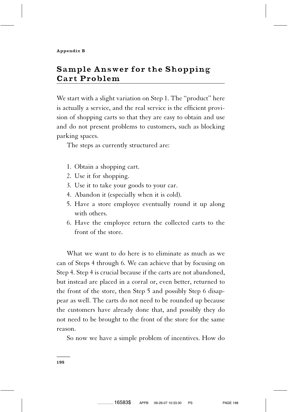# Sample Answer for the Shopping Cart Problem

We start with a slight variation on Step 1. The "product" here is actually a service, and the real service is the efficient provision of shopping carts so that they are easy to obtain and use and do not present problems to customers, such as blocking parking spaces.

The steps as currently structured are:

- 1. Obtain a shopping cart.
- 2. Use it for shopping.
- 3. Use it to take your goods to your car.
- 4. Abandon it (especially when it is cold).
- 5. Have a store employee eventually round it up along with others.
- 6. Have the employee return the collected carts to the front of the store.

What we want to do here is to eliminate as much as we can of Steps 4 through 6. We can achieve that by focusing on Step 4. Step 4 is crucial because if the carts are not abandoned, but instead are placed in a corral or, even better, returned to the front of the store, then Step 5 and possibly Step 6 disappear as well. The carts do not need to be rounded up because the customers have already done that, and possibly they do not need to be brought to the front of the store for the same reason.

So now we have a simple problem of incentives. How do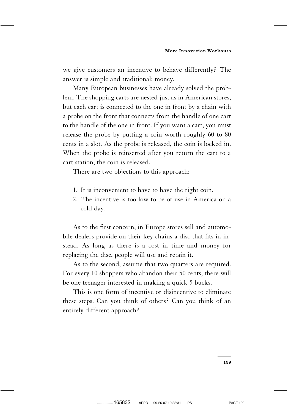we give customers an incentive to behave differently? The answer is simple and traditional: money.

Many European businesses have already solved the problem. The shopping carts are nested just as in American stores, but each cart is connected to the one in front by a chain with a probe on the front that connects from the handle of one cart to the handle of the one in front. If you want a cart, you must release the probe by putting a coin worth roughly 60 to 80 cents in a slot. As the probe is released, the coin is locked in. When the probe is reinserted after you return the cart to a cart station, the coin is released.

There are two objections to this approach:

- 1. It is inconvenient to have to have the right coin.
- 2. The incentive is too low to be of use in America on a cold day.

As to the first concern, in Europe stores sell and automobile dealers provide on their key chains a disc that fits in instead. As long as there is a cost in time and money for replacing the disc, people will use and retain it.

As to the second, assume that two quarters are required. For every 10 shoppers who abandon their 50 cents, there will be one teenager interested in making a quick 5 bucks.

This is one form of incentive or disincentive to eliminate these steps. Can you think of others? Can you think of an entirely different approach?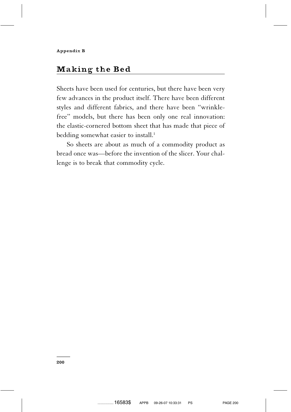## Making the Bed

Sheets have been used for centuries, but there have been very few advances in the product itself. There have been different styles and different fabrics, and there have been ''wrinklefree'' models, but there has been only one real innovation: the elastic-cornered bottom sheet that has made that piece of bedding somewhat easier to install.<sup>1</sup>

So sheets are about as much of a commodity product as bread once was—before the invention of the slicer. Your challenge is to break that commodity cycle.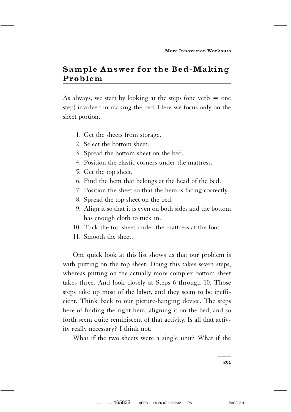## Sample Answer for the Bed-Making Problem

As always, we start by looking at the steps (one verb  $=$  one step) involved in making the bed. Here we focus only on the sheet portion.

- 1. Get the sheets from storage.
- 2. Select the bottom sheet.
- 3. Spread the bottom sheet on the bed.
- 4. Position the elastic corners under the mattress.
- 5. Get the top sheet.
- 6. Find the hem that belongs at the head of the bed.
- 7. Position the sheet so that the hem is facing correctly.
- 8. Spread the top sheet on the bed.
- 9. Align it so that it is even on both sides and the bottom has enough cloth to tuck in.
- 10. Tuck the top sheet under the mattress at the foot.
- 11. Smooth the sheet.

One quick look at this list shows us that our problem is with putting on the top sheet. Doing this takes seven steps, whereas putting on the actually more complex bottom sheet takes three. And look closely at Steps 6 through 10. Those steps take up most of the labor, and they seem to be inefficient. Think back to our picture-hanging device. The steps here of finding the right hem, aligning it on the bed, and so forth seem quite reminiscent of that activity. Is all that activity really necessary? I think not.

What if the two sheets were a single unit? What if the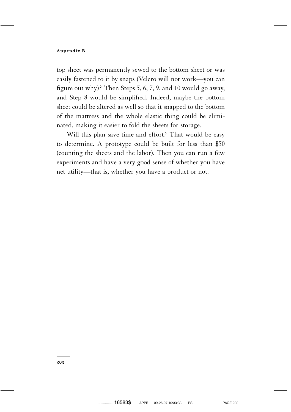#### Appendix B

top sheet was permanently sewed to the bottom sheet or was easily fastened to it by snaps (Velcro will not work—you can figure out why)? Then Steps 5, 6, 7, 9, and 10 would go away, and Step 8 would be simplified. Indeed, maybe the bottom sheet could be altered as well so that it snapped to the bottom of the mattress and the whole elastic thing could be eliminated, making it easier to fold the sheets for storage.

Will this plan save time and effort? That would be easy to determine. A prototype could be built for less than \$50 (counting the sheets and the labor). Then you can run a few experiments and have a very good sense of whether you have net utility—that is, whether you have a product or not.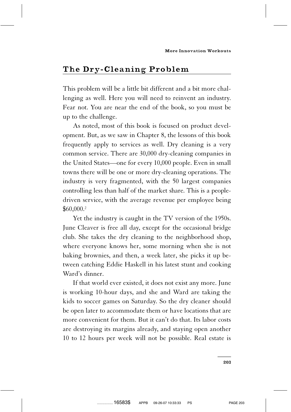## The Dry-Cleaning Problem

This problem will be a little bit different and a bit more challenging as well. Here you will need to reinvent an industry. Fear not. You are near the end of the book, so you must be up to the challenge.

As noted, most of this book is focused on product development. But, as we saw in Chapter 8, the lessons of this book frequently apply to services as well. Dry cleaning is a very common service. There are 30,000 dry-cleaning companies in the United States—one for every 10,000 people. Even in small towns there will be one or more dry-cleaning operations. The industry is very fragmented, with the 50 largest companies controlling less than half of the market share. This is a peopledriven service, with the average revenue per employee being  $$60,000.<sup>2</sup>$ 

Yet the industry is caught in the TV version of the 1950s. June Cleaver is free all day, except for the occasional bridge club. She takes the dry cleaning to the neighborhood shop, where everyone knows her, some morning when she is not baking brownies, and then, a week later, she picks it up between catching Eddie Haskell in his latest stunt and cooking Ward's dinner.

If that world ever existed, it does not exist any more. June is working 10-hour days, and she and Ward are taking the kids to soccer games on Saturday. So the dry cleaner should be open later to accommodate them or have locations that are more convenient for them. But it can't do that. Its labor costs are destroying its margins already, and staying open another 10 to 12 hours per week will not be possible. Real estate is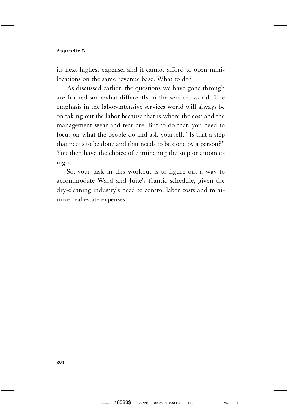#### Appendix B

its next highest expense, and it cannot afford to open minilocations on the same revenue base. What to do?

As discussed earlier, the questions we have gone through are framed somewhat differently in the services world. The emphasis in the labor-intensive services world will always be on taking out the labor because that is where the cost and the management wear and tear are. But to do that, you need to focus on what the people do and ask yourself, ''Is that a step that needs to be done and that needs to be done by a person?'' You then have the choice of eliminating the step or automating it.

So, your task in this workout is to figure out a way to accommodate Ward and June's frantic schedule, given the dry-cleaning industry's need to control labor costs and minimize real estate expenses.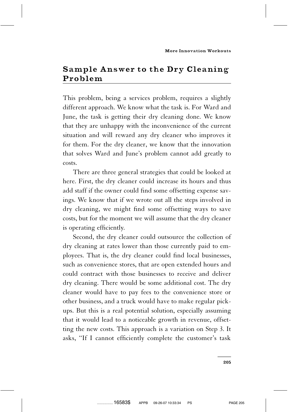# Sample Answer to the Dry Cleaning Problem

This problem, being a services problem, requires a slightly different approach. We know what the task is. For Ward and June, the task is getting their dry cleaning done. We know that they are unhappy with the inconvenience of the current situation and will reward any dry cleaner who improves it for them. For the dry cleaner, we know that the innovation that solves Ward and June's problem cannot add greatly to costs.

There are three general strategies that could be looked at here. First, the dry cleaner could increase its hours and thus add staff if the owner could find some offsetting expense savings. We know that if we wrote out all the steps involved in dry cleaning, we might find some offsetting ways to save costs, but for the moment we will assume that the dry cleaner is operating efficiently.

Second, the dry cleaner could outsource the collection of dry cleaning at rates lower than those currently paid to employees. That is, the dry cleaner could find local businesses, such as convenience stores, that are open extended hours and could contract with those businesses to receive and deliver dry cleaning. There would be some additional cost. The dry cleaner would have to pay fees to the convenience store or other business, and a truck would have to make regular pickups. But this is a real potential solution, especially assuming that it would lead to a noticeable growth in revenue, offsetting the new costs. This approach is a variation on Step 3. It asks, ''If I cannot efficiently complete the customer's task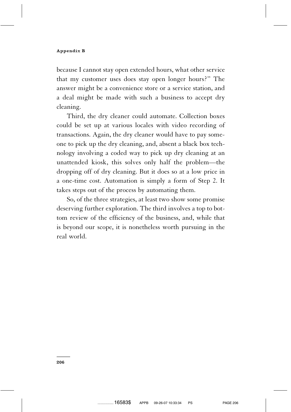#### Appendix B

because I cannot stay open extended hours, what other service that my customer uses does stay open longer hours?'' The answer might be a convenience store or a service station, and a deal might be made with such a business to accept dry cleaning.

Third, the dry cleaner could automate. Collection boxes could be set up at various locales with video recording of transactions. Again, the dry cleaner would have to pay someone to pick up the dry cleaning, and, absent a black box technology involving a coded way to pick up dry cleaning at an unattended kiosk, this solves only half the problem—the dropping off of dry cleaning. But it does so at a low price in a one-time cost. Automation is simply a form of Step 2. It takes steps out of the process by automating them.

So, of the three strategies, at least two show some promise deserving further exploration. The third involves a top to bottom review of the efficiency of the business, and, while that is beyond our scope, it is nonetheless worth pursuing in the real world.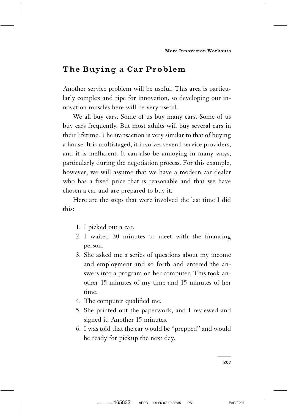## The Buying a Car Problem

Another service problem will be useful. This area is particularly complex and ripe for innovation, so developing our innovation muscles here will be very useful.

We all buy cars. Some of us buy many cars. Some of us buy cars frequently. But most adults will buy several cars in their lifetime. The transaction is very similar to that of buying a house: It is multistaged, it involves several service providers, and it is inefficient. It can also be annoying in many ways, particularly during the negotiation process. For this example, however, we will assume that we have a modern car dealer who has a fixed price that is reasonable and that we have chosen a car and are prepared to buy it.

Here are the steps that were involved the last time I did this:

- 1. I picked out a car.
- 2. I waited 30 minutes to meet with the financing person.
- 3. She asked me a series of questions about my income and employment and so forth and entered the answers into a program on her computer. This took another 15 minutes of my time and 15 minutes of her time.
- 4. The computer qualified me.
- 5. She printed out the paperwork, and I reviewed and signed it. Another 15 minutes.
- 6. I was told that the car would be ''prepped'' and would be ready for pickup the next day.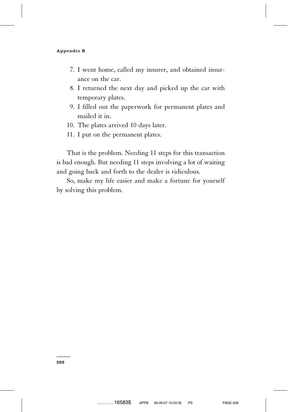#### Appendix B

- 7. I went home, called my insurer, and obtained insurance on the car.
- 8. I returned the next day and picked up the car with temporary plates.
- 9. I filled out the paperwork for permanent plates and mailed it in.
- 10. The plates arrived 10 days later.
- 11. I put on the permanent plates.

That is the problem. Needing 11 steps for this transaction is bad enough. But needing 11 steps involving a lot of waiting and going back and forth to the dealer is ridiculous.

So, make my life easier and make a fortune for yourself by solving this problem.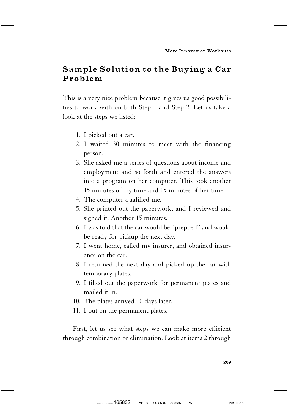# Sample Solution to the Buying a Car Problem

This is a very nice problem because it gives us good possibilities to work with on both Step 1 and Step 2. Let us take a look at the steps we listed:

- 1. I picked out a car.
- 2. I waited 30 minutes to meet with the financing person.
- 3. She asked me a series of questions about income and employment and so forth and entered the answers into a program on her computer. This took another 15 minutes of my time and 15 minutes of her time.
- 4. The computer qualified me.
- 5. She printed out the paperwork, and I reviewed and signed it. Another 15 minutes.
- 6. I was told that the car would be ''prepped'' and would be ready for pickup the next day.
- 7. I went home, called my insurer, and obtained insurance on the car.
- 8. I returned the next day and picked up the car with temporary plates.
- 9. I filled out the paperwork for permanent plates and mailed it in.
- 10. The plates arrived 10 days later.
- 11. I put on the permanent plates.

First, let us see what steps we can make more efficient through combination or elimination. Look at items 2 through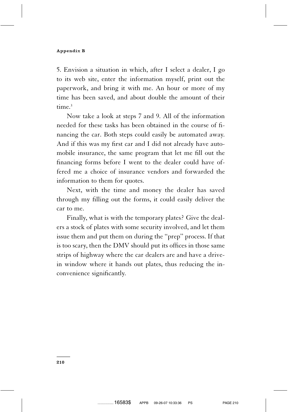#### Appendix B

5. Envision a situation in which, after I select a dealer, I go to its web site, enter the information myself, print out the paperwork, and bring it with me. An hour or more of my time has been saved, and about double the amount of their time.<sup>3</sup>

Now take a look at steps 7 and 9. All of the information needed for these tasks has been obtained in the course of financing the car. Both steps could easily be automated away. And if this was my first car and I did not already have automobile insurance, the same program that let me fill out the financing forms before I went to the dealer could have offered me a choice of insurance vendors and forwarded the information to them for quotes.

Next, with the time and money the dealer has saved through my filling out the forms, it could easily deliver the car to me.

Finally, what is with the temporary plates? Give the dealers a stock of plates with some security involved, and let them issue them and put them on during the ''prep'' process. If that is too scary, then the DMV should put its offices in those same strips of highway where the car dealers are and have a drivein window where it hands out plates, thus reducing the inconvenience significantly.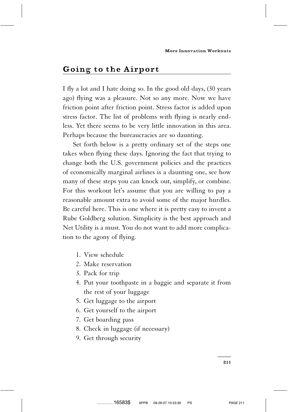## Going to the Airport

I fly a lot and I hate doing so. In the good old days, (30 years ago) flying was a pleasure. Not so any more. Now we have friction point after friction point. Stress factor is added upon stress factor. The list of problems with flying is nearly endless. Yet there seems to be very little innovation in this area. Perhaps because the bureaucracies are so daunting.

Set forth below is a pretty ordinary set of the steps one takes when flying these days. Ignoring the fact that trying to change both the U.S. government policies and the practices of economically marginal airlines is a daunting one, see how many of these steps you can knock out, simplify, or combine. For this workout let's assume that you are willing to pay a reasonable amount extra to avoid some of the major hurdles. Be careful here. This is one where it is pretty easy to invent a Rube Goldberg solution. Simplicity is the best approach and Net Utility is a must. You do not want to add more complication to the agony of flying.

- 1. View schedule
- 2. Make reservation
- 3. Pack for trip
- 4. Put your toothpaste in a baggie and separate it from the rest of your luggage
- 5. Get luggage to the airport
- 6. Get yourself to the airport
- 7. Get boarding pass
- 8. Check in luggage (if necessary)
- 9. Get through security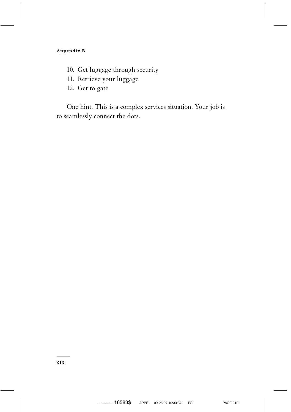- 10. Get luggage through security
- 11. Retrieve your luggage
- 12. Get to gate

One hint. This is a complex services situation. Your job is to seamlessly connect the dots.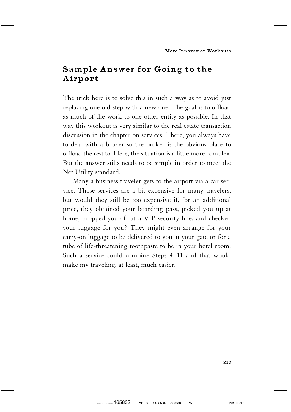# Sample Answer for Going to the Airport

The trick here is to solve this in such a way as to avoid just replacing one old step with a new one. The goal is to offload as much of the work to one other entity as possible. In that way this workout is very similar to the real estate transaction discussion in the chapter on services. There, you always have to deal with a broker so the broker is the obvious place to offload the rest to. Here, the situation is a little more complex. But the answer stills needs to be simple in order to meet the Net Utility standard.

Many a business traveler gets to the airport via a car service. Those services are a bit expensive for many travelers, but would they still be too expensive if, for an additional price, they obtained your boarding pass, picked you up at home, dropped you off at a VIP security line, and checked your luggage for you? They might even arrange for your carry-on luggage to be delivered to you at your gate or for a tube of life-threatening toothpaste to be in your hotel room. Such a service could combine Steps 4–11 and that would make my traveling, at least, much easier.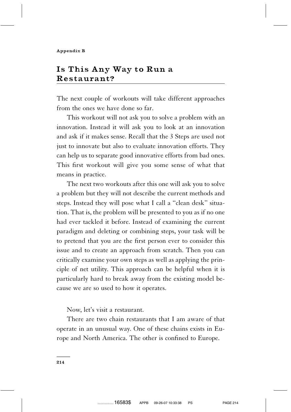# Is This Any Way to Run a Restaurant?

The next couple of workouts will take different approaches from the ones we have done so far.

This workout will not ask you to solve a problem with an innovation. Instead it will ask you to look at an innovation and ask if it makes sense. Recall that the 3 Steps are used not just to innovate but also to evaluate innovation efforts. They can help us to separate good innovative efforts from bad ones. This first workout will give you some sense of what that means in practice.

The next two workouts after this one will ask you to solve a problem but they will not describe the current methods and steps. Instead they will pose what I call a ''clean desk'' situation. That is, the problem will be presented to you as if no one had ever tackled it before. Instead of examining the current paradigm and deleting or combining steps, your task will be to pretend that you are the first person ever to consider this issue and to create an approach from scratch. Then you can critically examine your own steps as well as applying the principle of net utility. This approach can be helpful when it is particularly hard to break away from the existing model because we are so used to how it operates.

Now, let's visit a restaurant.

There are two chain restaurants that I am aware of that operate in an unusual way. One of these chains exists in Europe and North America. The other is confined to Europe.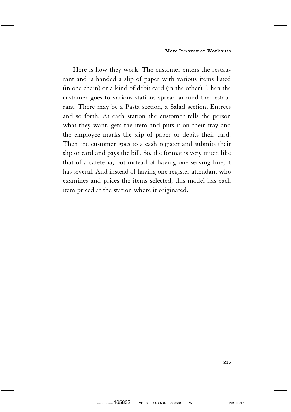Here is how they work: The customer enters the restaurant and is handed a slip of paper with various items listed (in one chain) or a kind of debit card (in the other). Then the customer goes to various stations spread around the restaurant. There may be a Pasta section, a Salad section, Entrees and so forth. At each station the customer tells the person what they want, gets the item and puts it on their tray and the employee marks the slip of paper or debits their card. Then the customer goes to a cash register and submits their slip or card and pays the bill. So, the format is very much like that of a cafeteria, but instead of having one serving line, it has several. And instead of having one register attendant who examines and prices the items selected, this model has each item priced at the station where it originated.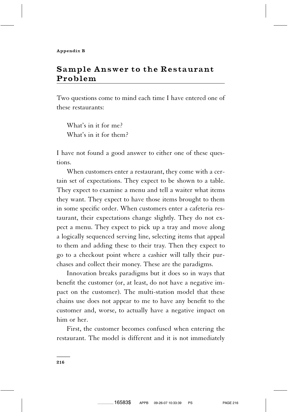# Sample Answer to the Restaurant Problem

Two questions come to mind each time I have entered one of these restaurants:

What's in it for me? What's in it for them?

I have not found a good answer to either one of these questions.

When customers enter a restaurant, they come with a certain set of expectations. They expect to be shown to a table. They expect to examine a menu and tell a waiter what items they want. They expect to have those items brought to them in some specific order. When customers enter a cafeteria restaurant, their expectations change slightly. They do not expect a menu. They expect to pick up a tray and move along a logically sequenced serving line, selecting items that appeal to them and adding these to their tray. Then they expect to go to a checkout point where a cashier will tally their purchases and collect their money. These are the paradigms.

Innovation breaks paradigms but it does so in ways that benefit the customer (or, at least, do not have a negative impact on the customer). The multi-station model that these chains use does not appear to me to have any benefit to the customer and, worse, to actually have a negative impact on him or her.

First, the customer becomes confused when entering the restaurant. The model is different and it is not immediately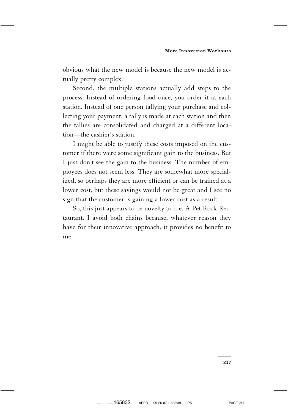obvious what the new model is because the new model is actually pretty complex.

Second, the multiple stations actually add steps to the process. Instead of ordering food once, you order it at each station. Instead of one person tallying your purchase and collecting your payment, a tally is made at each station and then the tallies are consolidated and charged at a different location—the cashier's station.

I might be able to justify these costs imposed on the customer if there were some significant gain to the business. But I just don't see the gain to the business. The number of employees does not seem less. They are somewhat more specialized, so perhaps they are more efficient or can be trained at a lower cost, but these savings would not be great and I see no sign that the customer is gaining a lower cost as a result.

So, this just appears to be novelty to me. A Pet Rock Restaurant. I avoid both chains because, whatever reason they have for their innovative approach, it provides no benefit to me.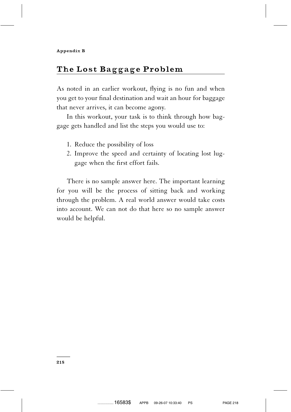# The Lost Baggage Problem

As noted in an earlier workout, flying is no fun and when you get to your final destination and wait an hour for baggage that never arrives, it can become agony.

In this workout, your task is to think through how baggage gets handled and list the steps you would use to:

- 1. Reduce the possibility of loss
- 2. Improve the speed and certainty of locating lost luggage when the first effort fails.

There is no sample answer here. The important learning for you will be the process of sitting back and working through the problem. A real world answer would take costs into account. We can not do that here so no sample answer would be helpful.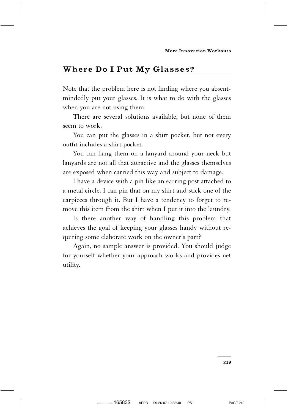### Where Do I Put My Glasses?

Note that the problem here is not finding where you absentmindedly put your glasses. It is what to do with the glasses when you are not using them.

There are several solutions available, but none of them seem to work.

You can put the glasses in a shirt pocket, but not every outfit includes a shirt pocket.

You can hang them on a lanyard around your neck but lanyards are not all that attractive and the glasses themselves are exposed when carried this way and subject to damage.

I have a device with a pin like an earring post attached to a metal circle. I can pin that on my shirt and stick one of the earpieces through it. But I have a tendency to forget to remove this item from the shirt when I put it into the laundry.

Is there another way of handling this problem that achieves the goal of keeping your glasses handy without requiring some elaborate work on the owner's part?

Again, no sample answer is provided. You should judge for yourself whether your approach works and provides net utility.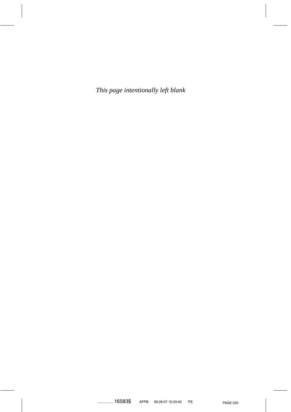*This page intentionally left blank*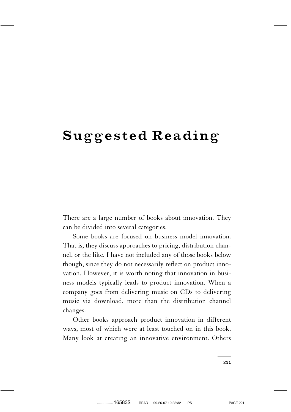# Suggested Reading

There are a large number of books about innovation. They can be divided into several categories.

Some books are focused on business model innovation. That is, they discuss approaches to pricing, distribution channel, or the like. I have not included any of those books below though, since they do not necessarily reflect on product innovation. However, it is worth noting that innovation in business models typically leads to product innovation. When a company goes from delivering music on CDs to delivering music via download, more than the distribution channel changes.

Other books approach product innovation in different ways, most of which were at least touched on in this book. Many look at creating an innovative environment. Others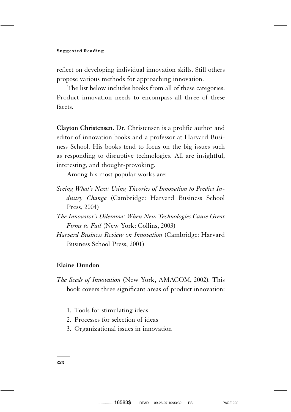reflect on developing individual innovation skills. Still others propose various methods for approaching innovation.

The list below includes books from all of these categories. Product innovation needs to encompass all three of these facets.

**Clayton Christensen.** Dr. Christensen is a prolific author and editor of innovation books and a professor at Harvard Business School. His books tend to focus on the big issues such as responding to disruptive technologies. All are insightful, interesting, and thought-provoking.

Among his most popular works are:

- *Seeing What's Next: Using Theories of Innovation to Predict Industry Change* (Cambridge: Harvard Business School Press, 2004)
- *The Innovator's Dilemma: When New Technologies Cause Great Firms to Fail* (New York: Collins, 2003)
- *Harvard Business Review on Innovation* (Cambridge: Harvard Business School Press, 2001)

#### **Elaine Dundon**

- *The Seeds of Innovation* (New York, AMACOM, 2002). This book covers three significant areas of product innovation:
	- 1. Tools for stimulating ideas
	- 2. Processes for selection of ideas
	- 3. Organizational issues in innovation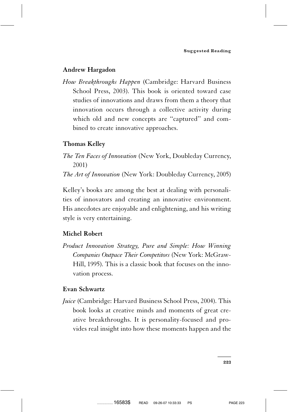#### **Andrew Hargadon**

*How Breakthroughs Happen* (Cambridge: Harvard Business School Press, 2003). This book is oriented toward case studies of innovations and draws from them a theory that innovation occurs through a collective activity during which old and new concepts are "captured" and combined to create innovative approaches.

#### **Thomas Kelley**

- *The Ten Faces of Innovation* (New York, Doubleday Currency, 2001)
- *The Art of Innovation* (New York: Doubleday Currency, 2005)

Kelley's books are among the best at dealing with personalities of innovators and creating an innovative environment. His anecdotes are enjoyable and enlightening, and his writing style is very entertaining.

#### **Michel Robert**

*Product Innovation Strategy, Pure and Simple: How Winning Companies Outpace Their Competitors* (New York: McGraw-Hill, 1995). This is a classic book that focuses on the innovation process.

#### **Evan Schwartz**

*Juice* (Cambridge: Harvard Business School Press, 2004). This book looks at creative minds and moments of great creative breakthroughs. It is personality-focused and provides real insight into how these moments happen and the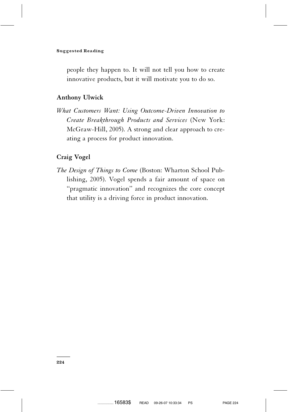people they happen to. It will not tell you how to create innovative products, but it will motivate you to do so.

### **Anthony Ulwick**

*What Customers Want: Using Outcome-Driven Innovation to Create Breakthrough Products and Services* (New York: McGraw-Hill, 2005). A strong and clear approach to creating a process for product innovation.

## **Craig Vogel**

*The Design of Things to Come* (Boston: Wharton School Publishing, 2005). Vogel spends a fair amount of space on ''pragmatic innovation'' and recognizes the core concept that utility is a driving force in product innovation.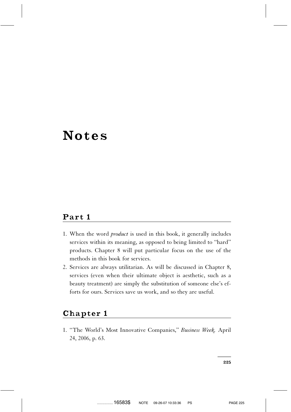# Notes

### Part 1

- 1. When the word *product* is used in this book, it generally includes services within its meaning, as opposed to being limited to ''hard'' products. Chapter 8 will put particular focus on the use of the methods in this book for services.
- 2. Services are always utilitarian. As will be discussed in Chapter 8, services (even when their ultimate object is aesthetic, such as a beauty treatment) are simply the substitution of someone else's efforts for ours. Services save us work, and so they are useful.

# Chapter 1

1. ''The World's Most Innovative Companies,'' *Business Week,* April 24, 2006, p. 63.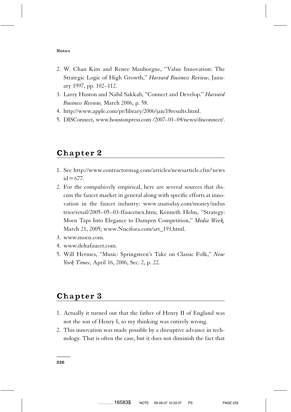- 2. W. Chan Kim and Renee Mauborgne, ''Value Innovation: The Strategic Logic of High Growth,'' *Harvard Business Review*, January 1997, pp. 102–112.
- 3. Larry Huston and Nabil Sakkab, ''Connect and Develop.'' *Harvard Business Review,* March 2006, p. 58.
- 4. http://www.apple.com/pr/library/2006/jan/18results.html.
- 5. DISConnect, www.houstonpress.com /2007–01–04/news/disconnect/.

### Chapter 2

- 1. See http://www.contractormag.com/articles/newsarticle.cfm?news  $id = 677$ .
- 2. For the compulsively empirical, here are several sources that discuss the faucet market in general along with specific efforts at innovation in the faucet industry: www.usatoday.com/money/indus tries/retail/2005–05–03-ffaucetsex.htm; Kenneth Helm, ''Strategy: Moen Taps Into Elegance to Dampen Competition,'' *Media Week,* March 21, 2005; www.Nucifora.com/art\_193.html.
- 3. www.moen.com.
- 4. www.deltafaucet.com.
- 5. Will Hermes, ''Music: Springsteen's Take on Classic Folk,'' *New York Times*, April 16, 2006, Sec. 2, p. 22.

#### Chapter 3

- 1. Actually it turned out that the father of Henry II of England was not the son of Henry I, so my thinking was entirely wrong.
- 2. This innovation was made possible by a disruptive advance in technology. That is often the case, but it does not diminish the fact that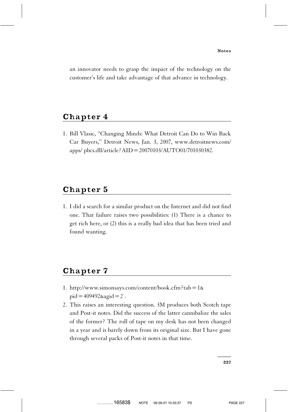an innovator needs to grasp the impact of the technology on the customer's life and take advantage of that advance in technology.

#### Chapter 4

1. Bill Vlasic, ''Changing Minds: What Detroit Can Do to Win Back Car Buyers,'' Detroit News, Jan. 3, 2007, www.detroitnews.com/ apps/ pbcs.dll/article? AID = 20070103/AUTO01/701030382.

#### Chapter 5

1. I did a search for a similar product on the Internet and did not find one. That failure raises two possibilities: (1) There is a chance to get rich here, or (2) this is a really bad idea that has been tried and found wanting.

### Chapter 7

- 1. http://www.simonsays.com/content/book.cfm?tab=1&  $pid = 409492$ &agid = 2.
- 2. This raises an interesting question. 3M produces both Scotch tape and Post-it notes. Did the success of the latter cannibalize the sales of the former? The roll of tape on my desk has not been changed in a year and is barely down from its original size. But I have gone through several packs of Post-it notes in that time.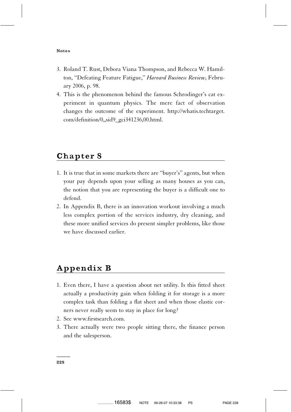- 3. Roland T. Rust, Debora Viana Thompson, and Rebecca W. Hamilton, ''Defeating Feature Fatigue,'' *Harvard Business Review*, February 2006, p. 98.
- 4. This is the phenomenon behind the famous Schrodinger's cat experiment in quantum physics. The mere fact of observation changes the outcome of the experiment. http://whatis.techtarget. com/definition/0,,sid9\_gci341236,00.html.

## Chapter 8

- 1. It is true that in some markets there are ''buyer's'' agents, but when your pay depends upon your selling as many houses as you can, the notion that you are representing the buyer is a difficult one to defend.
- 2. In Appendix B, there is an innovation workout involving a much less complex portion of the services industry, dry cleaning, and these more unified services do present simpler problems, like those we have discussed earlier.

# Appendix B

- 1. Even there, I have a question about net utility. Is this fitted sheet actually a productivity gain when folding it for storage is a more complex task than folding a flat sheet and when those elastic corners never really seem to stay in place for long?
- 2. See www.firstsearch.com.
- 3. There actually were two people sitting there, the finance person and the salesperson.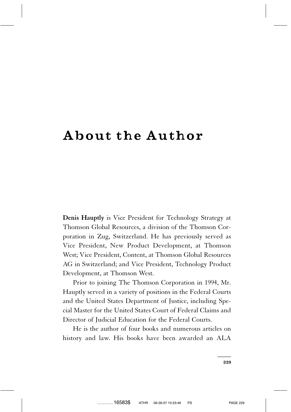# About the Author

**Denis Hauptly** is Vice President for Technology Strategy at Thomson Global Resources, a division of the Thomson Corporation in Zug, Switzerland. He has previously served as Vice President, New Product Development, at Thomson West; Vice President, Content, at Thomson Global Resources AG in Switzerland; and Vice President, Technology Product Development, at Thomson West.

Prior to joining The Thomson Corporation in 1994, Mr. Hauptly served in a variety of positions in the Federal Courts and the United States Department of Justice, including Special Master for the United States Court of Federal Claims and Director of Judicial Education for the Federal Courts.

He is the author of four books and numerous articles on history and law. His books have been awarded an ALA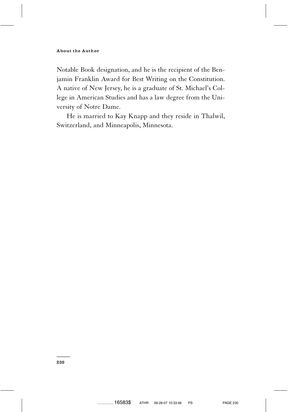#### About the Author

Notable Book designation, and he is the recipient of the Benjamin Franklin Award for Best Writing on the Constitution. A native of New Jersey, he is a graduate of St. Michael's College in American Studies and has a law degree from the University of Notre Dame.

He is married to Kay Knapp and they reside in Thalwil, Switzerland, and Minneapolis, Minnesota.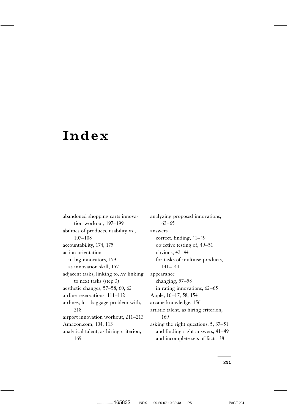# Index

abandoned shopping carts innovation workout, 197–199 abilities of products, usability vs., 107–108 accountability, 174, 175 action orientation in big innovators, 159 as innovation skill, 157 adjacent tasks, linking to, *see* linking to next tasks (step 3) aesthetic changes, 57–58, 60, 62 airline reservations, 111–112 airlines, lost baggage problem with, 218 airport innovation workout, 211–213 Amazon.com, 104, 113 analytical talent, as hiring criterion, 169

analyzing proposed innovations, 62–65 answers correct, finding, 41–49 objective testing of, 49–51 obvious, 42–44 for tasks of multiuse products, 141–144 appearance changing, 57–58 in rating innovations, 62–65 Apple, 16–17, 58, 154 arcane knowledge, 156 artistic talent, as hiring criterion, 169 asking the right questions, 5, 37–51 and finding right answers, 41–49 and incomplete sets of facts, 38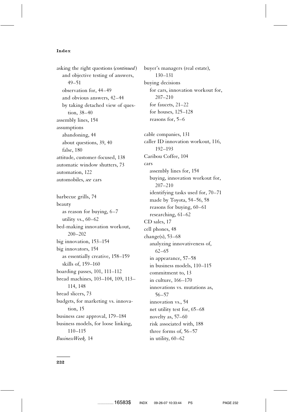#### Index

asking the right questions (*continued*) and objective testing of answers, 49–51 observation for, 44–49 and obvious answers, 42–44 by taking detached view of question, 38–40 assembly lines, 154 assumptions abandoning, 44 about questions, 39, 40 false, 180 attitude, customer-focused, 138 automatic window shutters, 73 automation, 122 automobiles, *see* cars

barbecue grills, 74 beauty as reason for buying, 6–7 utility vs., 60–62 bed-making innovation workout, 200–202 big innovation, 153–154 big innovators, 154 as essentially creative, 158–159 skills of, 159–160 boarding passes, 101, 111–112 bread machines, 103–104, 109, 113– 114, 148 bread slicers, 73 budgets, for marketing vs. innovation, 15 business case approval, 179–184 business models, for loose linking, 110–115 *BusinessWeek,* 14

buyer's managers (real estate), 130–131 buying decisions for cars, innovation workout for, 207–210 for faucets, 21–22 for houses, 125–128 reasons for, 5–6 cable companies, 131 caller ID innovation workout, 116, 192–193 Caribou Coffee, 104 cars assembly lines for, 154 buying, innovation workout for, 207–210 identifying tasks used for, 70–71 made by Toyota, 54–56, 58 reasons for buying, 60–61 researching, 61–62 CD sales, 17 cell phones, 48 change(s), 53–68 analyzing innovativeness of, 62–65 in appearance, 57–58 in business models, 110–115 commitment to, 13 in culture, 166–170 innovations vs. mutations as, 56–57 innovation vs., 54 net utility test for, 65–68 novelty as, 57–60 risk associated with, 188 three forms of, 56–57 in utility, 60–62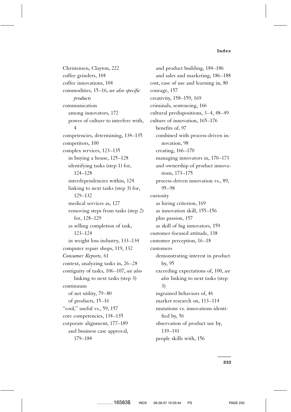Christensen, Clayton, 222 coffee grinders, 104 coffee innovations, 104 commodities, 15–16, *see also specific products* communication among innovators, 172 power of culture to interfere with, 4 competencies, determining, 134–135 competitors, 100 complex services, 123–135 in buying a house, 125–128 identifying tasks (step 1) for, 124–128 interdependencies within, 124 linking to next tasks (step 3) for, 129–132 medical services as, 127 removing steps from tasks (step 2) for, 128–129 as selling completion of task, 123–124 in weight loss industry, 133–134 computer repair shops, 119, 132 *Consumer Reports,* 61 context, analyzing tasks in, 26–28 contiguity of tasks, 106–107, *see also* linking to next tasks (step 3) continuum of net utility, 79–80 of products, 15–16 "cool," useful vs., 59, 157 core competencies, 134–135 corporate alignment, 177–189 and business case approval, 179–184

and product building, 184–186 and sales and marketing, 186–188 cost, ease of use and learning in, 80 courage, 157 creativity, 158–159, 169 criminals, sentencing, 166 cultural predispositions, 3–4, 48–49 culture of innovation, 165–176 benefits of, 97 combined with process-driven innovation, 98 creating, 166–170 managing innovators in, 170–173 and ownership of product innovations, 173–175 process-driven innovation vs., 89, 95–98 curiosity as hiring criterion, 169 as innovation skill, 155–156 plus passion, 157 as skill of big innovators, 159 customer-focused attitude, 138 customer perception, 16–18 customers demonstrating interest in product by, 95 exceeding expectations of, 100, *see also* linking to next tasks (step 3) ingrained behaviors of, 46 market research on, 113–114 mutations vs. innovations identified by, 56 observation of product use by, 139–141 people skills with, 156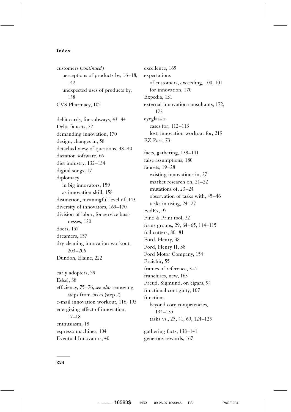#### Index

customers (*continued*) perceptions of products by, 16–18, 142 unexpected uses of products by, 138 CVS Pharmacy, 105

debit cards, for subways, 43–44 Delta faucets, 22 demanding innovation, 170 design, changes in, 58 detached view of questions, 38–40 dictation software, 66 diet industry, 132–134 digital songs, 17 diplomacy in big innovators, 159 as innovation skill, 158 distinction, meaningful level of, 143 diversity of innovators, 169–170 division of labor, for service businesses, 120 doers, 157 dreamers, 157 dry cleaning innovation workout, 203–206 Dundon, Elaine, 222

early adopters, 59 Edsel, 38 efficiency, 75–76, *see also* removing steps from tasks (step 2) e-mail innovation workout, 116, 193 energizing effect of innovation, 17–18 enthusiasm, 18 espresso machines, 104 Eventual Innovators, 40

excellence, 165 expectations of customers, exceeding, 100, 101 for innovation, 170 Expedia, 131 external innovation consultants, 172, 173 eyeglasses cases for, 112–113 lost, innovation workout for, 219 EZ-Pass, 73 facts, gathering, 138–141 false assumptions, 180 faucets, 19–28 existing innovations in, 27 market research on, 21–22 mutations of, 23–24 observation of tasks with, 45–46 tasks in using, 24–27 FedEx, 97 Find & Print tool, 32 focus groups, 29, 64–65, 114–115 foil cutters, 80–81 Ford, Henry, 38 Ford, Henry II, 38 Ford Motor Company, 154 Fraichir, 55 frames of reference, 3–5 franchises, new, 163 Freud, Sigmund, on cigars, 94 functional contiguity, 107 functions beyond core competencies, 134–135 tasks vs., 25, 41, 69, 124–125 gathering facts, 138–141 generous rewards, 167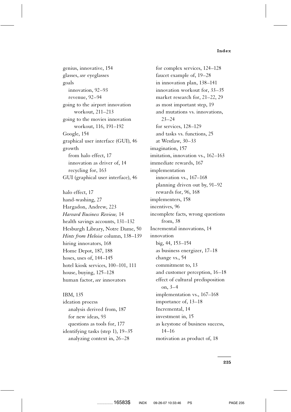genius, innovative, 154 glasses, *see* eyeglasses goals innovation, 92–93 revenue, 92–94 going to the airport innovation workout, 211–213 going to the movies innovation workout, 116, 191–192 Google, 154 graphical user interface (GUI), 46 growth from halo effect, 17 innovation as driver of, 14 recycling for, 163 GUI (graphical user interface), 46

halo effect, 17 hand-washing, 27 Hargadon, Andrew, 223 *Harvard Business Review,* 14 health savings accounts, 131–132 Hesburgh Library, Notre Dame, 50 *Hints from Heloise* column, 138–139 hiring innovators, 168 Home Depot, 187, 188 hoses, uses of, 144–145 hotel kiosk services, 100–101, 111 house, buying, 125–128 human factor, *see* innovators

IBM, 135 ideation process analysis derived from, 187 for new ideas, 93 questions as tools for, 177 identifying tasks (step 1), 19–35 analyzing context in, 26–28

for complex services, 124–128 faucet example of, 19–28 in innovation plan, 138–141 innovation workout for, 33–35 market research for, 21–22, 29 as most important step, 19 and mutations vs. innovations, 23–24 for services, 128–129 and tasks vs. functions, 25 at Westlaw, 30–33 imagination, 157 imitation, innovation vs., 162–163 immediate rewards, 167 implementation innovation vs., 167–168 planning driven out by, 91–92 rewards for, 96, 168 implementers, 158 incentives, 96 incomplete facts, wrong questions from, 38 Incremental innovations, 14 innovation big, 44, 153–154 as business energizer, 17–18 change vs., 54 commitment to, 13 and customer perception, 16–18 effect of cultural predisposition on, 3–4 implementation vs., 167–168 importance of, 13–18 Incremental, 14 investment in, 15 as keystone of business success, 14–16 motivation as product of, 18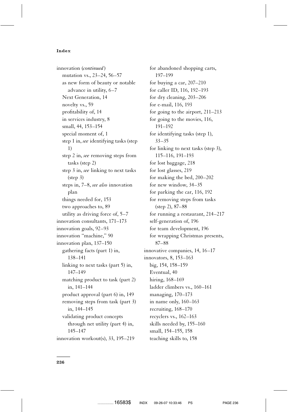#### Index

innovation (*continued*) mutation vs., 23–24, 56–57 as new form of beauty or notable advance in utility, 6–7 Next Generation, 14 novelty vs., 59 profitability of, 14 in services industry, 8 small, 44, 153–154 special moment of, 1 step 1 in, *see* identifying tasks (step 1) step 2 in, *see* removing steps from tasks (step 2) step 3 in, *see* linking to next tasks (step 3) steps in, 7–8, *see also* innovation plan things needed for, 153 two approaches to, 89 utility as driving force of, 5–7 innovation consultants, 171–173 innovation goals, 92–93 innovation "machine," 90 innovation plan, 137–150 gathering facts (part 1) in, 138–141 linking to next tasks (part 5) in, 147–149 matching product to task (part 2) in, 141–144 product approval (part 6) in, 149 removing steps from task (part 3) in, 144–145 validating product concepts through net utility (part 4) in, 145–147 innovation workout(s), 33, 195–219

for abandoned shopping carts, 197–199 for buying a car, 207–210 for caller ID, 116, 192–193 for dry cleaning, 203–206 for e-mail, 116, 193 for going to the airport, 211–213 for going to the movies, 116, 191–192 for identifying tasks (step 1), 33–35 for linking to next tasks (step 3), 115–116, 191–193 for lost baggage, 218 for lost glasses, 219 for making the bed, 200–202 for new window, 34–35 for parking the car, 116, 192 for removing steps from tasks (step 2), 87–88 for running a restaurant, 214–217 self-generation of, 196 for team development, 196 for wrapping Christmas presents, 87–88 innovative companies, 14, 16–17 innovators, 8, 153–163 big, 154, 158–159 Eventual, 40 hiring, 168–169 ladder climbers vs., 160–161 managing, 170–173 in name only, 160–163 recruiting, 168–170 recyclers vs., 162–163 skills needed by, 155–160 small, 154–155, 158 teaching skills to, 158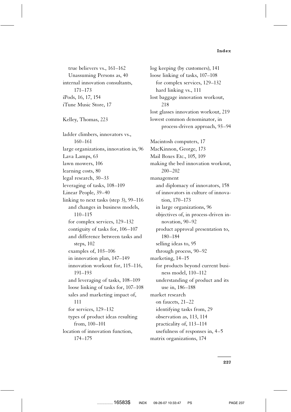true believers vs., 161–162 Unassuming Persons as, 40 internal innovation consultants, 171–173 iPods, 16, 17, 154 iTune Music Store, 17

Kelley, Thomas, 223

ladder climbers, innovators vs., 160–161 large organizations, innovation in, 96 Lava Lamps, 63 lawn mowers, 106 learning costs, 80 legal research, 30–33 leveraging of tasks, 108–109 Linear People, 39–40 linking to next tasks (step 3), 99–116 and changes in business models, 110–115 for complex services, 129–132 contiguity of tasks for, 106–107 and difference between tasks and steps, 102 examples of, 103–106 in innovation plan, 147–149 innovation workout for, 115–116, 191–193 and leveraging of tasks, 108–109 loose linking of tasks for, 107–108 sales and marketing impact of, 111 for services, 129–132 types of product ideas resulting from, 100–101 location of innovation function, 174–175

log keeping (by customers), 141 loose linking of tasks, 107–108 for complex services, 129–132 hard linking vs., 111 lost baggage innovation workout, 218 lost glasses innovation workout, 219 lowest common denominator, in process-driven approach, 93–94 Macintosh computers, 17 MacKinnon, George, 173 Mail Boxes Etc., 105, 109 making the bed innovation workout, 200–202 management and diplomacy of innovators, 158 of innovators in culture of innovation, 170–173 in large organizations, 96 objectives of, in process-driven innovation, 90–92 product approval presentation to, 180–184 selling ideas to, 95 through process, 90–92 marketing, 14–15 for products beyond current business model, 110–112 understanding of product and its use in, 186–188 market research on faucets, 21–22 identifying tasks from, 29 observation as, 113, 114 practicality of, 113–114 usefulness of responses in, 4–5 matrix organizations, 174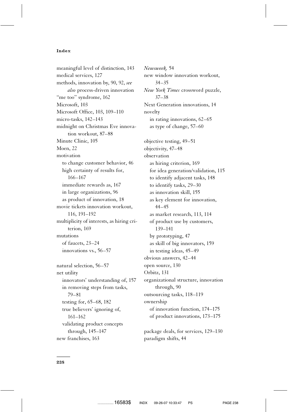## Index

meaningful level of distinction, 143 medical services, 127 methods, innovation by, 90, 92, *see also* process-driven innovation "me too" syndrome, 162 Microsoft, 103 Microsoft Office, 103, 109–110 micro-tasks, 142–143 midnight on Christmas Eve innovation workout, 87–88 Minute Clinic, 105 Moen, 22 motivation to change customer behavior, 46 high certainty of results for, 166–167 immediate rewards as, 167 in large organizations, 96 as product of innovation, 18 movie tickets innovation workout, 116, 191–192 multiplicity of interests, as hiring criterion, 169 mutations of faucets, 23–24 innovations vs., 56–57 natural selection, 56–57 net utility innovators' understanding of, 157 in removing steps from tasks, 79–81

testing for, 65–68, 182 true believers' ignoring of,

validating product concepts through, 145–147

161–162

new franchises, 163

37–38 Next Generation innovations, 14 novelty in rating innovations, 62–65 as type of change, 57–60 objective testing, 49–51 objectivity, 47–48 observation as hiring criterion, 169 for idea generation/validation, 115 to identify adjacent tasks, 148 to identify tasks, 29–30 as innovation skill, 155 as key element for innovation, 44–45 as market research, 113, 114 of product use by customers, 139–141 by prototyping, 47 as skill of big innovators, 159 in testing ideas, 45–49 obvious answers, 42–44 open source, 130 Orbitz, 131 organizational structure, innovation through, 90 outsourcing tasks, 118–119 ownership of innovation function, 174–175 of product innovations, 173–175

*Newsweek,* 54

34–35

new window innovation workout,

*New York Times* crossword puzzle,

package deals, for services, 129–130 paradigm shifts, 44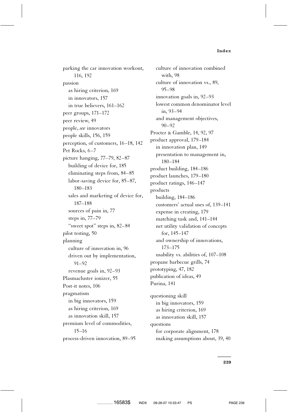parking the car innovation workout, 116, 192 passion as hiring criterion, 169 in innovators, 157 in true believers, 161–162 peer groups, 171–172 peer review, 49 people, *see* innovators people skills, 156, 159 perception, of customers, 16–18, 142 Pet Rocks, 6–7 picture hanging, 77–79, 82–87 building of device for, 185 eliminating steps from, 84–85 labor-saving device for, 85–87, 180–183 sales and marketing of device for, 187–188 sources of pain in, 77 steps in, 77–79 "sweet spot" steps in, 82-84 pilot testing, 50 planning culture of innovation in, 96 driven out by implementation, 91–92 revenue goals in, 92–93 Plasmacluster ionizer, 55 Post-it notes, 106 pragmatism in big innovators, 159 as hiring criterion, 169 as innovation skill, 157 premium level of commodities, 15–16 process-driven innovation, 89–95

culture of innovation combined with, 98 culture of innovation vs., 89, 95–98 innovation goals in, 92–93 lowest common denominator level in, 93–94 and management objectives, 90–92 Procter & Gamble, 14, 92, 97 product approval, 179–184 in innovation plan, 149 presentation to management in, 180–184 product building, 184–186 product launches, 179–180 product ratings, 146–147 products building, 184–186 customers' actual uses of, 139–141 expense in creating, 179 matching task and, 141–144 net utility validation of concepts for, 145–147 and ownership of innovations, 173–175 usability vs. abilities of, 107–108 propane barbecue grills, 74 prototyping, 47, 182 publication of ideas, 49 Purina, 141 questioning skill in big innovators, 159 as hiring criterion, 169 as innovation skill, 157 questions for corporate alignment, 178

making assumptions about, 39, 40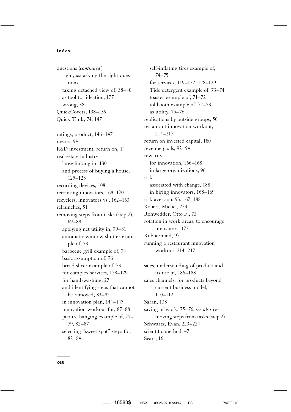## Index

questions (*continued*) right, *see* asking the right questions taking detached view of, 38–40 as tool for ideation, 177 wrong, 38 QuickCovers, 138–139 Quick Tank, 74, 147

ratings, product, 146–147 razors, 94 R&D investment, return on, 14 real estate industry loose linking in, 130 and process of buying a house, 125–128 recording devices, 108 recruiting innovators, 168–170 recyclers, innovators vs., 162–163 relaunches, 51 removing steps from tasks (step 2), 69–88 applying net utility in, 79–81 automatic window shutter example of, 73 barbecue grill example of, 74 basic assumption of, 76 bread slicer example of, 73 for complex services, 128–129 for hand-washing, 27 and identifying steps that cannot be removed, 83–85 in innovation plan, 144–145 innovation workout for, 87–88 picture hanging example of, 77– 79, 82–87 selecting ''sweet spot'' steps for, 82–84

self-inflating tires example of, 74–75 for services, 119–122, 128–129 Tide detergent example of, 73–74 toaster example of, 71–72 tollbooth example of, 72–73 as utility, 75–76 replications by outside groups, 50 restaurant innovation workout, 214–217 return on invested capital, 180 revenue goals, 92–94 rewards for innovation, 166–168 in large organizations, 96 risk associated with change, 188 in hiring innovators, 168–169 risk aversion, 93, 167, 188 Robert, Michel, 223 Rohwedder, Otto F., 73 rotation in work areas, to encourage innovators, 172 Rubbermaid, 97 running a restaurant innovation workout, 214–217

sales, understanding of product and its use in, 186–188 sales channels, for products beyond current business model, 110–112 Saran, 138 saving of work, 75–76, *see also* removing steps from tasks (step 2) Schwartz, Evan, 223–224 scientific method, 47 Sears, 16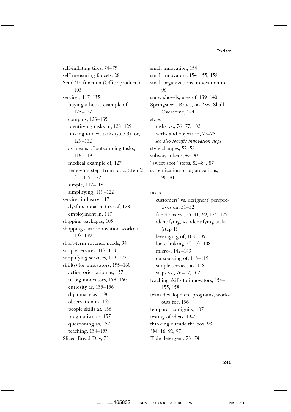self-inflating tires, 74–75 self-measuring faucets, 28 Send To function (Office products), 103 services, 117–135 buying a house example of, 125–127 complex, 123–135 identifying tasks in, 128–129 linking to next tasks (step 3) for, 129–132 as means of outsourcing tasks, 118–119 medical example of, 127 removing steps from tasks (step 2) for, 119–122 simple, 117–118 simplifying, 119–122 services industry, 117 dysfunctional nature of, 128 employment in, 117 shipping packages, 105 shopping carts innovation workout, 197–199 short-term revenue needs, 94 simple services, 117–118 simplifying services, 119–122 skill(s) for innovators, 155–160 action orientation as, 157 in big innovators, 158–160 curiosity as, 155–156 diplomacy as, 158 observation as, 155 people skills as, 156 pragmatism as, 157 questioning as, 157 teaching, 154–155 Sliced Bread Day, 73

small innovation, 154 small innovators, 154–155, 158 small organizations, innovation in, 96 snow shovels, uses of, 139–140 Springsteen, Bruce, on ''We Shall Overcome,'' 24 steps tasks vs., 76–77, 102 verbs and objects in, 77–78 *see also specific innovation steps* style changes, 57–58 subway tokens, 42–43 "sweet spot" steps, 82-84, 87 systemization of organizations, 90–91

tasks customers' vs. designers' perspectives on, 31–32 functions vs., 25, 41, 69, 124–125 identifying, *see* identifying tasks (step 1) leveraging of, 108–109 loose linking of, 107–108 micro-, 142–143 outsourcing of, 118–119 simple services as, 118 steps vs., 76–77, 102 teaching skills to innovators, 154– 155, 158 team development programs, workouts for, 196 temporal contiguity, 107 testing of ideas, 49–51 thinking outside the box, 93 3M, 16, 92, 97 Tide detergent, 73–74